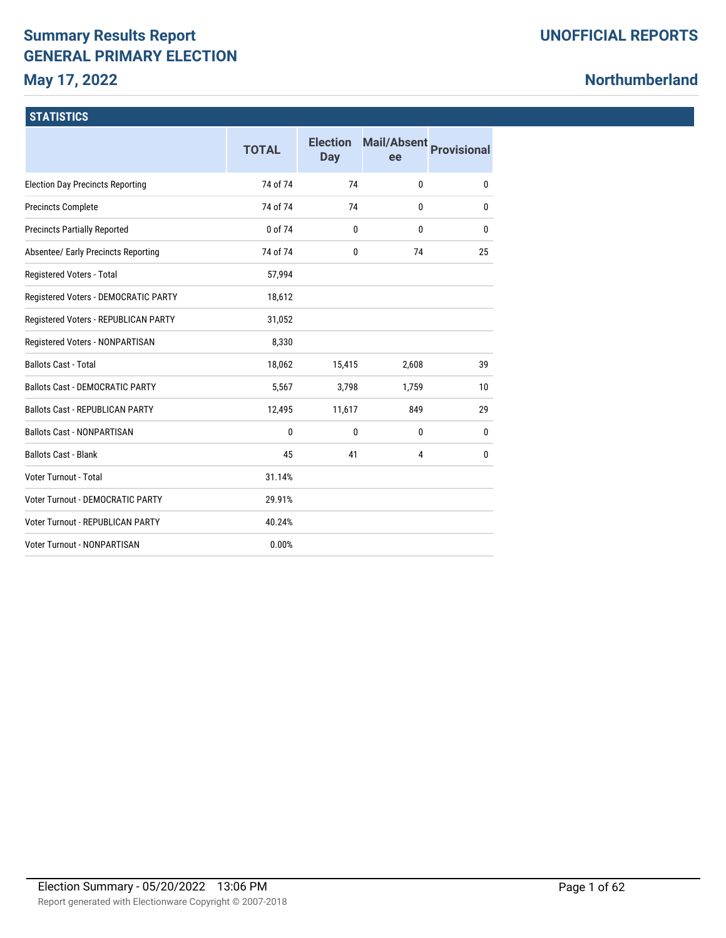# **Summary Results Report GENERAL PRIMARY ELECTION**

**May 17, 2022**

# **Northumberland**

### **STATISTICS**

|                                            | <b>TOTAL</b> | <b>Election</b><br>Day | <b>Mail/Absent</b><br>ee | <b>Provisional</b> |
|--------------------------------------------|--------------|------------------------|--------------------------|--------------------|
| <b>Election Day Precincts Reporting</b>    | 74 of 74     | 74                     | 0                        | 0                  |
| <b>Precincts Complete</b>                  | 74 of 74     | 74                     | 0                        | 0                  |
| <b>Precincts Partially Reported</b>        | 0 of 74      | $\bf{0}$               | 0                        | 0                  |
| <b>Absentee/ Early Precincts Reporting</b> | 74 of 74     | $\mathbf{0}$           | 74                       | 25                 |
| Registered Voters - Total                  | 57,994       |                        |                          |                    |
| Registered Voters - DEMOCRATIC PARTY       | 18,612       |                        |                          |                    |
| Registered Voters - REPUBLICAN PARTY       | 31,052       |                        |                          |                    |
| Registered Voters - NONPARTISAN            | 8,330        |                        |                          |                    |
| <b>Ballots Cast - Total</b>                | 18,062       | 15,415                 | 2,608                    | 39                 |
| <b>Ballots Cast - DEMOCRATIC PARTY</b>     | 5,567        | 3,798                  | 1,759                    | 10                 |
| <b>Ballots Cast - REPUBLICAN PARTY</b>     | 12,495       | 11,617                 | 849                      | 29                 |
| <b>Ballots Cast - NONPARTISAN</b>          | 0            | $\mathbf{0}$           | 0                        | 0                  |
| <b>Ballots Cast - Blank</b>                | 45           | 41                     | 4                        | 0                  |
| Voter Turnout - Total                      | 31.14%       |                        |                          |                    |
| <b>Voter Turnout - DEMOCRATIC PARTY</b>    | 29.91%       |                        |                          |                    |
| <b>Voter Turnout - REPUBLICAN PARTY</b>    | 40.24%       |                        |                          |                    |
| <b>Voter Turnout - NONPARTISAN</b>         | 0.00%        |                        |                          |                    |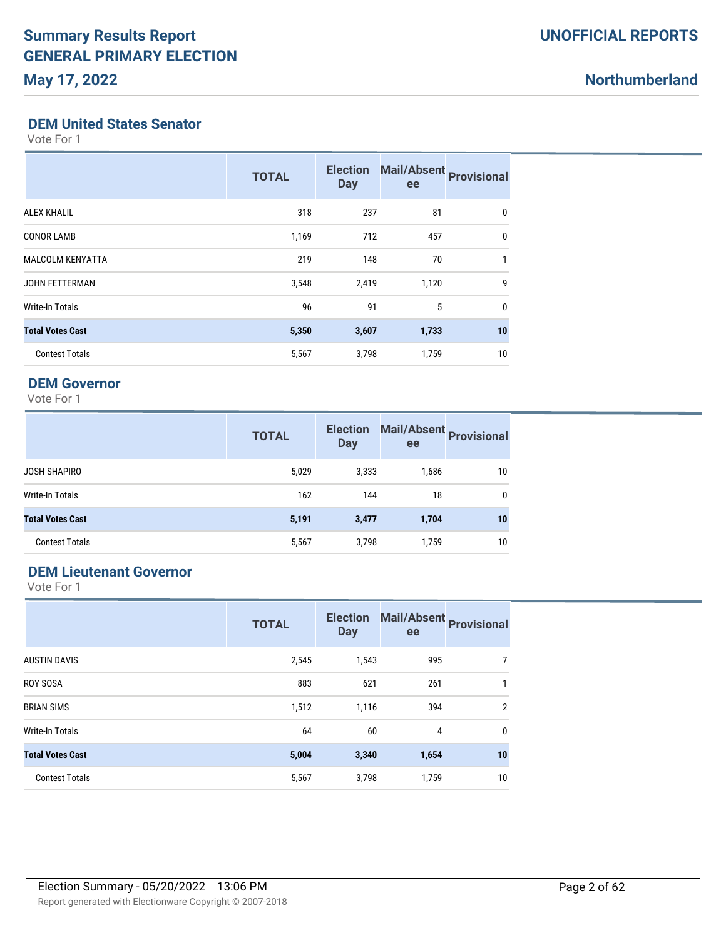#### **DEM United States Senator**

Vote For 1

|                         | <b>TOTAL</b> | <b>Election</b><br><b>Day</b> | Mail/Absent Provisional<br>ee |              |
|-------------------------|--------------|-------------------------------|-------------------------------|--------------|
| <b>ALEX KHALIL</b>      | 318          | 237                           | 81                            | 0            |
| <b>CONOR LAMB</b>       | 1,169        | 712                           | 457                           | 0            |
| <b>MALCOLM KENYATTA</b> | 219          | 148                           | 70                            | 1            |
| <b>JOHN FETTERMAN</b>   | 3,548        | 2,419                         | 1,120                         | 9            |
| <b>Write-In Totals</b>  | 96           | 91                            | 5                             | $\mathbf{0}$ |
| <b>Total Votes Cast</b> | 5,350        | 3,607                         | 1,733                         | 10           |
| <b>Contest Totals</b>   | 5,567        | 3,798                         | 1,759                         | 10           |

#### **DEM Governor**

Vote For 1

|                         | <b>TOTAL</b> | <b>Election</b><br><b>Day</b> | Mail/Absent Provisional<br>ee |    |
|-------------------------|--------------|-------------------------------|-------------------------------|----|
| <b>JOSH SHAPIRO</b>     | 5,029        | 3,333                         | 1,686                         | 10 |
| Write-In Totals         | 162          | 144                           | 18                            | 0  |
| <b>Total Votes Cast</b> | 5,191        | 3,477                         | 1,704                         | 10 |
| <b>Contest Totals</b>   | 5,567        | 3,798                         | 1,759                         | 10 |

### **DEM Lieutenant Governor**

|                         | <b>TOTAL</b> | <b>Election</b><br><b>Day</b> | ee    | Mail/Absent Provisional |
|-------------------------|--------------|-------------------------------|-------|-------------------------|
| <b>AUSTIN DAVIS</b>     | 2,545        | 1,543                         | 995   | 7                       |
| <b>ROY SOSA</b>         | 883          | 621                           | 261   | 1                       |
| <b>BRIAN SIMS</b>       | 1,512        | 1,116                         | 394   | $\overline{2}$          |
| <b>Write-In Totals</b>  | 64           | 60                            | 4     | 0                       |
| <b>Total Votes Cast</b> | 5,004        | 3,340                         | 1,654 | 10                      |
| <b>Contest Totals</b>   | 5,567        | 3,798                         | 1,759 | 10                      |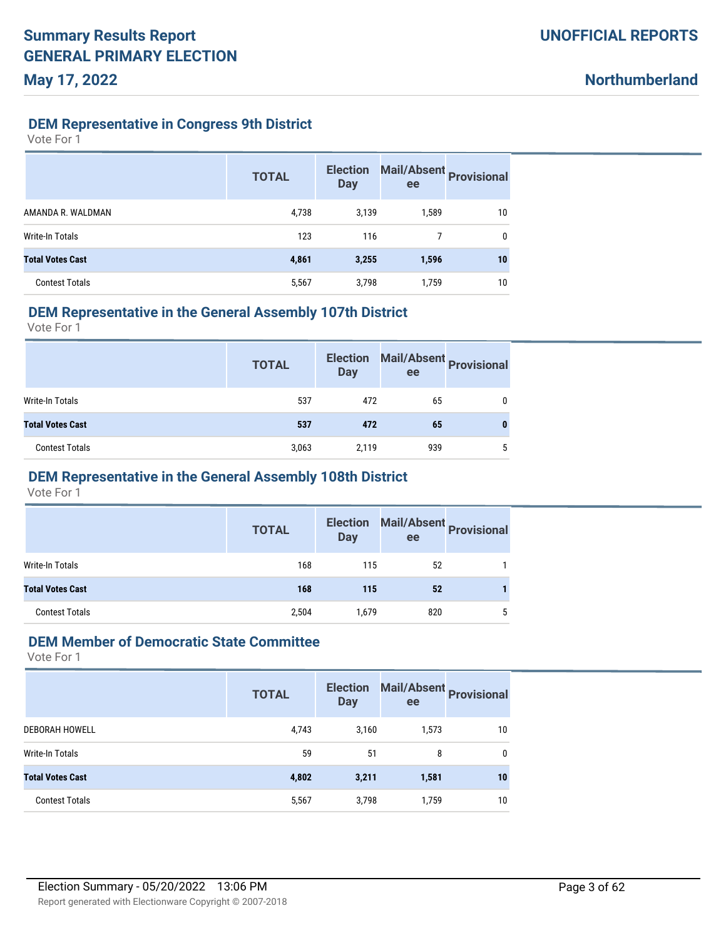#### **DEM Representative in Congress 9th District**

Vote For 1

|                         | <b>TOTAL</b> | <b>Election</b><br><b>Day</b> | ee    | Mail/Absent Provisional |
|-------------------------|--------------|-------------------------------|-------|-------------------------|
| AMANDA R. WALDMAN       | 4,738        | 3,139                         | 1,589 | 10                      |
| Write-In Totals         | 123          | 116                           |       | 0                       |
| <b>Total Votes Cast</b> | 4,861        | 3,255                         | 1,596 | 10                      |
| <b>Contest Totals</b>   | 5,567        | 3,798                         | 1,759 | 10                      |

#### **DEM Representative in the General Assembly 107th District**

Vote For 1

|                         | <b>TOTAL</b> | <b>Election</b><br><b>Day</b> | ee  | Mail/Absent Provisional |
|-------------------------|--------------|-------------------------------|-----|-------------------------|
| Write-In Totals         | 537          | 472                           | 65  |                         |
| <b>Total Votes Cast</b> | 537          | 472                           | 65  | 0                       |
| <b>Contest Totals</b>   | 3,063        | 2,119                         | 939 | 5                       |

# **DEM Representative in the General Assembly 108th District**

Vote For 1

|                         | <b>TOTAL</b> | <b>Election</b><br><b>Day</b> | ee  | Mail/Absent Provisional |
|-------------------------|--------------|-------------------------------|-----|-------------------------|
| Write-In Totals         | 168          | 115                           | 52  |                         |
| <b>Total Votes Cast</b> | 168          | 115                           | 52  |                         |
| <b>Contest Totals</b>   | 2,504        | 1,679                         | 820 | 5                       |

#### **DEM Member of Democratic State Committee**

|                         | <b>TOTAL</b> | <b>Election</b><br><b>Day</b> | ee    | Mail/Absent<br><b>Provisional</b> |
|-------------------------|--------------|-------------------------------|-------|-----------------------------------|
| <b>DEBORAH HOWELL</b>   | 4,743        | 3,160                         | 1,573 | 10                                |
| Write-In Totals         | 59           | 51                            | 8     | 0                                 |
| <b>Total Votes Cast</b> | 4,802        | 3,211                         | 1,581 | 10                                |
| <b>Contest Totals</b>   | 5,567        | 3,798                         | 1,759 | 10                                |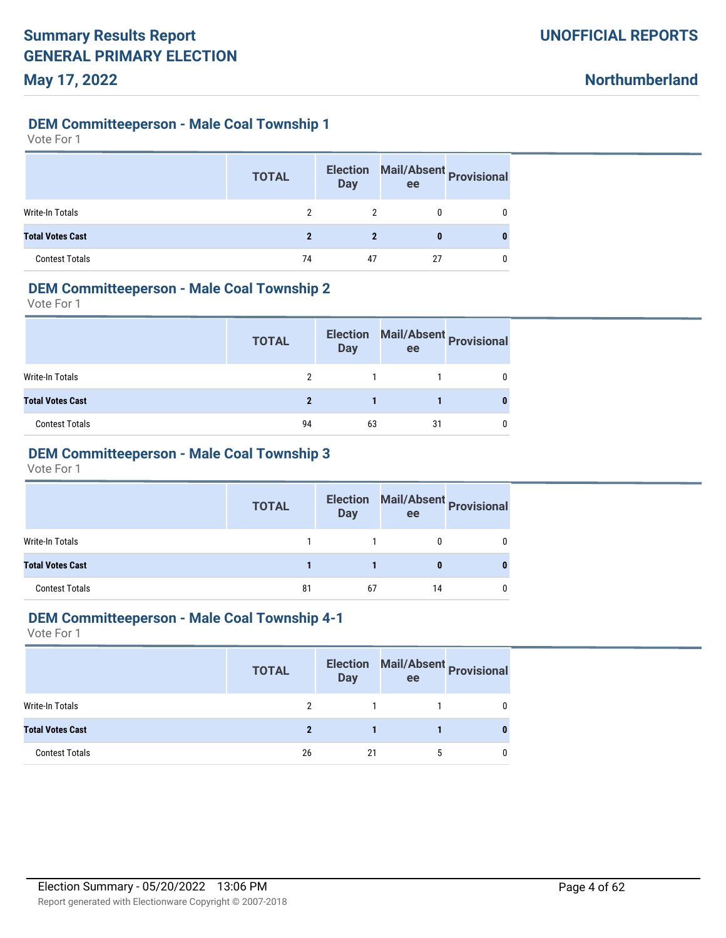### **DEM Committeeperson - Male Coal Township 1**

Vote For 1

|                         | <b>TOTAL</b> | <b>Election</b><br><b>Day</b> | ee | Mail/Absent Provisional |
|-------------------------|--------------|-------------------------------|----|-------------------------|
| Write-In Totals         | 2            | 2                             |    |                         |
| <b>Total Votes Cast</b> | 2            | 2                             | 0  |                         |
| <b>Contest Totals</b>   | 74           | 47                            | 27 |                         |

### **DEM Committeeperson - Male Coal Township 2**

Vote For 1

|                         | <b>TOTAL</b> | <b>Election</b><br>Day | ee | Mail/Absent Provisional |
|-------------------------|--------------|------------------------|----|-------------------------|
| <b>Write-In Totals</b>  |              |                        |    |                         |
| <b>Total Votes Cast</b> |              |                        |    |                         |
| <b>Contest Totals</b>   | 94           | 63                     | 31 |                         |

# **DEM Committeeperson - Male Coal Township 3**

Vote For 1

|                         | <b>TOTAL</b> | <b>Election</b><br><b>Day</b> | ee | Mail/Absent Provisional |
|-------------------------|--------------|-------------------------------|----|-------------------------|
| Write-In Totals         |              |                               |    |                         |
| <b>Total Votes Cast</b> |              |                               |    |                         |
| <b>Contest Totals</b>   | 81           | 67                            | 14 |                         |

#### **DEM Committeeperson - Male Coal Township 4-1**

|                         | <b>TOTAL</b> | <b>Day</b> | ee | Election Mail/Absent Provisional |
|-------------------------|--------------|------------|----|----------------------------------|
| Write-In Totals         |              |            |    |                                  |
| <b>Total Votes Cast</b> |              |            |    |                                  |
| <b>Contest Totals</b>   | 26           | 21         | h  |                                  |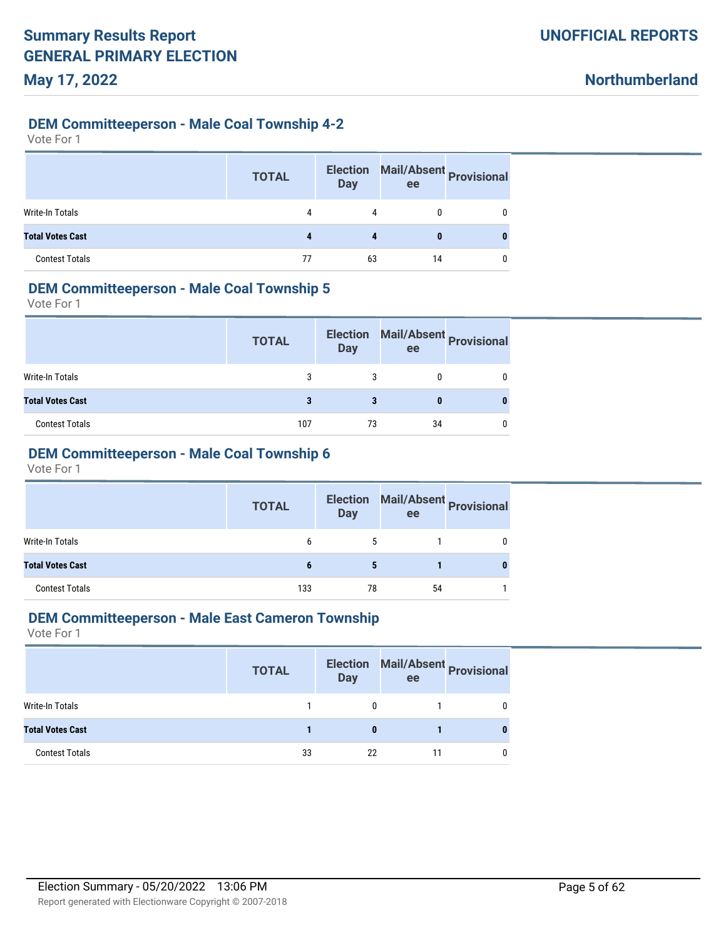#### **DEM Committeeperson - Male Coal Township 4-2**

Vote For 1

|                         | <b>TOTAL</b> | <b>Election</b><br><b>Day</b> | ee | Mail/Absent Provisional |
|-------------------------|--------------|-------------------------------|----|-------------------------|
| <b>Write-In Totals</b>  | 4            | 4                             |    |                         |
| <b>Total Votes Cast</b> |              |                               |    |                         |
| <b>Contest Totals</b>   | 77           | 63                            | 14 |                         |

#### **DEM Committeeperson - Male Coal Township 5**

Vote For 1

|                         | <b>TOTAL</b> | <b>Election</b><br>Day | ee | Mail/Absent Provisional |
|-------------------------|--------------|------------------------|----|-------------------------|
| Write-In Totals         |              |                        |    |                         |
| <b>Total Votes Cast</b> |              |                        |    |                         |
| <b>Contest Totals</b>   | 107          | 73                     | 34 |                         |

# **DEM Committeeperson - Male Coal Township 6**

Vote For 1

|                         | <b>TOTAL</b> | <b>Day</b> | Election Mail/Absent Provisional<br>ee |   |
|-------------------------|--------------|------------|----------------------------------------|---|
| Write-In Totals         | b            | b.         |                                        |   |
| <b>Total Votes Cast</b> | 6            | 5          |                                        | 0 |
| <b>Contest Totals</b>   | 133          | 78         | 54                                     |   |

# **DEM Committeeperson - Male East Cameron Township**

|                         | <b>TOTAL</b> | <b>Day</b> | ee | Election Mail/Absent Provisional |
|-------------------------|--------------|------------|----|----------------------------------|
| Write-In Totals         |              | 0          |    |                                  |
| <b>Total Votes Cast</b> |              | 0          |    |                                  |
| <b>Contest Totals</b>   | 33           | 22         |    |                                  |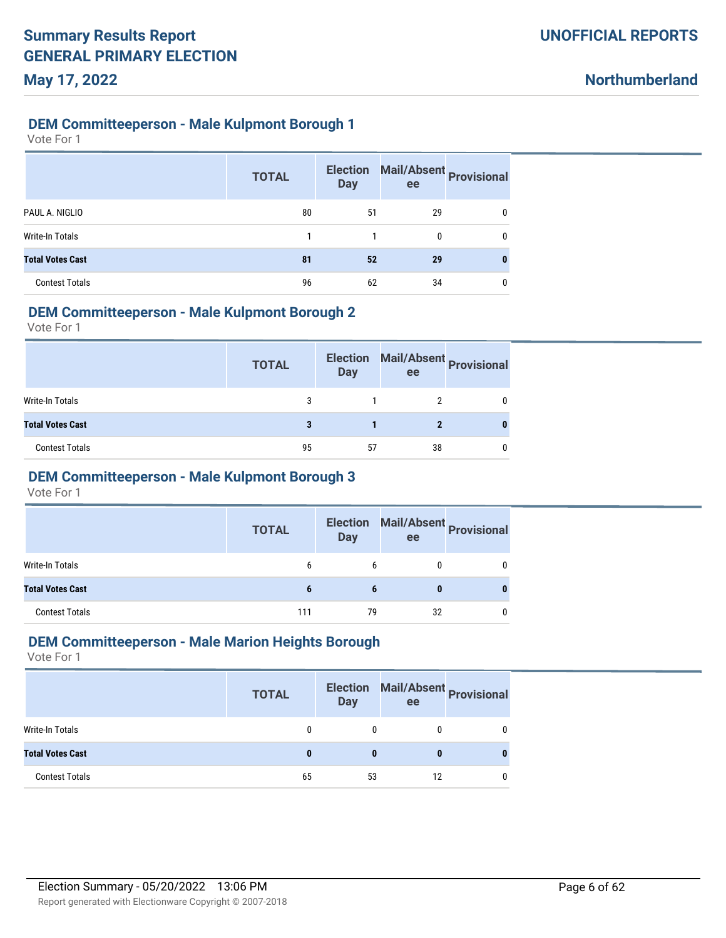#### **DEM Committeeperson - Male Kulpmont Borough 1**

Vote For 1

|                         | <b>TOTAL</b> | <b>Election</b><br><b>Day</b> | ee | Mail/Absent Provisional |
|-------------------------|--------------|-------------------------------|----|-------------------------|
| PAUL A. NIGLIO          | 80           | 51                            | 29 | 0                       |
| <b>Write-In Totals</b>  |              |                               | 0  | 0                       |
| <b>Total Votes Cast</b> | 81           | 52                            | 29 | 0                       |
| <b>Contest Totals</b>   | 96           | 62                            | 34 | 0                       |

#### **DEM Committeeperson - Male Kulpmont Borough 2**

Vote For 1

|                         | <b>TOTAL</b> | <b>Election</b><br><b>Day</b> | ee | Mail/Absent Provisional |
|-------------------------|--------------|-------------------------------|----|-------------------------|
| Write-In Totals         | 3            |                               |    |                         |
| <b>Total Votes Cast</b> |              |                               |    |                         |
| <b>Contest Totals</b>   | 95           | 57                            | 38 |                         |

### **DEM Committeeperson - Male Kulpmont Borough 3**

Vote For 1

|                         | <b>TOTAL</b> | <b>Election</b><br><b>Day</b> | ee | Mail/Absent Provisional |
|-------------------------|--------------|-------------------------------|----|-------------------------|
| <b>Write-In Totals</b>  | b            | 6                             |    |                         |
| <b>Total Votes Cast</b> |              |                               |    |                         |
| <b>Contest Totals</b>   | 111          | 79                            | 32 |                         |

#### **DEM Committeeperson - Male Marion Heights Borough**

|                         | <b>TOTAL</b> | <b>Election</b><br><b>Day</b> | ee | Mail/Absent Provisional |
|-------------------------|--------------|-------------------------------|----|-------------------------|
| Write-In Totals         |              |                               |    |                         |
| <b>Total Votes Cast</b> | 0            |                               |    |                         |
| <b>Contest Totals</b>   | 65           | 53                            | 12 |                         |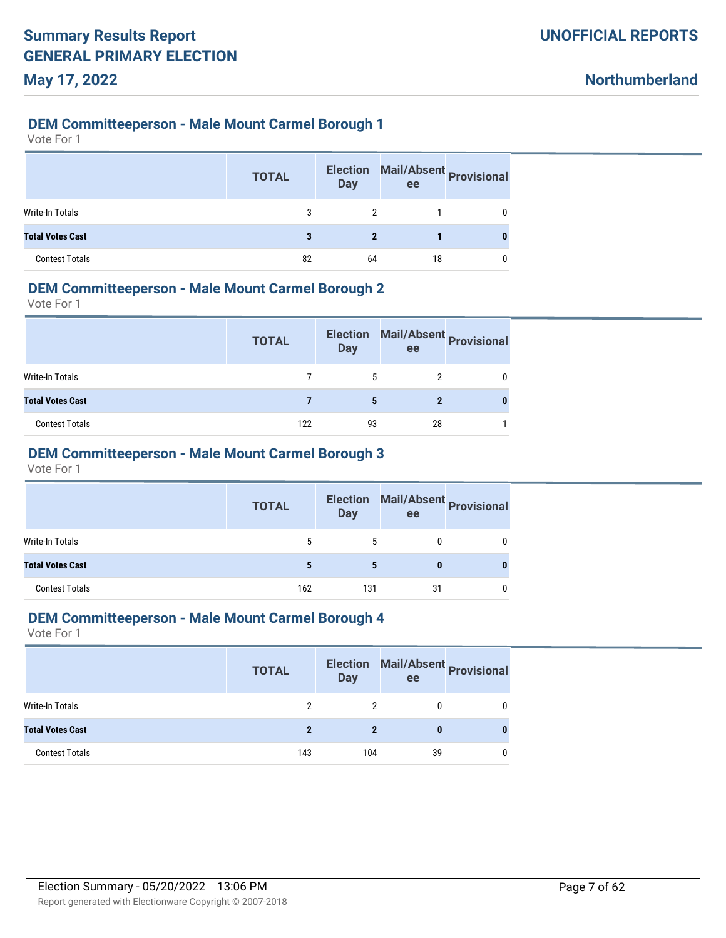#### **DEM Committeeperson - Male Mount Carmel Borough 1**

Vote For 1

|                         | <b>TOTAL</b> | <b>Election</b><br><b>Day</b> | Mail/Absent Provisional<br>ee |   |
|-------------------------|--------------|-------------------------------|-------------------------------|---|
| Write-In Totals         | 3            |                               |                               |   |
| <b>Total Votes Cast</b> |              | 2                             |                               | 0 |
| <b>Contest Totals</b>   | 82           | 64                            | 18                            |   |

### **DEM Committeeperson - Male Mount Carmel Borough 2**

Vote For 1

|                         | <b>TOTAL</b> | <b>Election</b><br><b>Day</b> | ee | Mail/Absent Provisional |
|-------------------------|--------------|-------------------------------|----|-------------------------|
| Write-In Totals         |              | 5                             |    |                         |
| <b>Total Votes Cast</b> |              | 5                             |    |                         |
| <b>Contest Totals</b>   | 122          | 93                            | 28 |                         |

# **DEM Committeeperson - Male Mount Carmel Borough 3**

Vote For 1

|                         | <b>TOTAL</b> | <b>Day</b> | Election Mail/Absent Provisional<br>ee |   |
|-------------------------|--------------|------------|----------------------------------------|---|
| <b>Write-In Totals</b>  | 5            | 5.         | 0                                      | 0 |
| <b>Total Votes Cast</b> |              | 5          | $\bf{0}$                               | 0 |
| <b>Contest Totals</b>   | 162          | 131        | 31                                     | 0 |

# **DEM Committeeperson - Male Mount Carmel Borough 4**

|                         | <b>TOTAL</b> | <b>Election</b><br>Day | Mail/Absent Provisional<br>ee |   |
|-------------------------|--------------|------------------------|-------------------------------|---|
| Write-In Totals         |              |                        |                               |   |
| <b>Total Votes Cast</b> |              |                        | 0                             | 0 |
| <b>Contest Totals</b>   | 143          | 104                    | 39                            |   |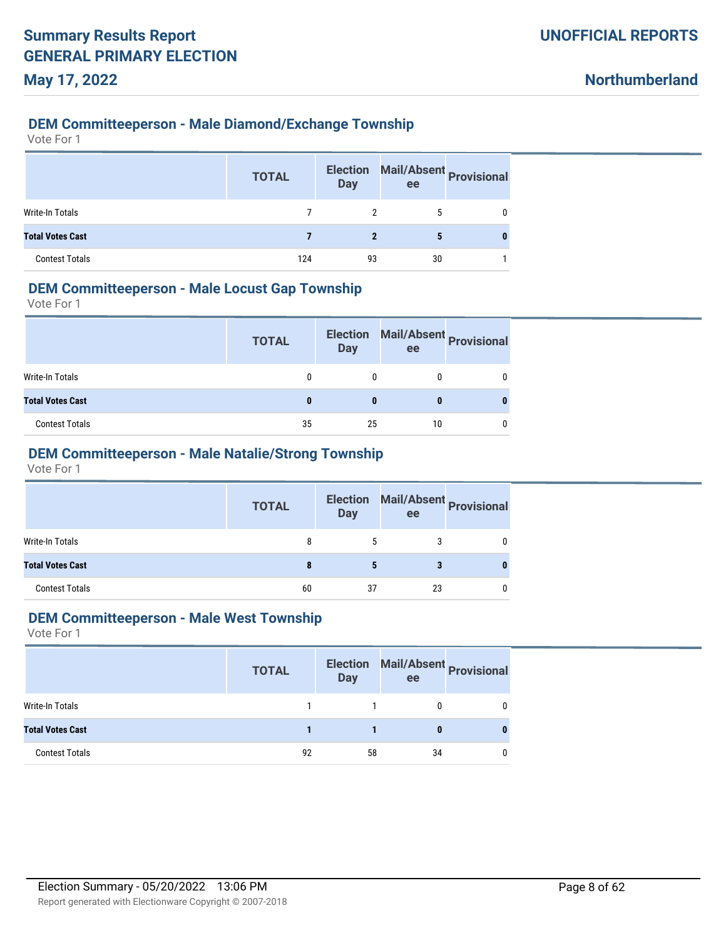### **DEM Committeeperson - Male Diamond/Exchange Township**

Vote For 1

|                         | <b>TOTAL</b> | <b>Election</b><br><b>Day</b> | Mail/Absent Provisional<br>ee |   |
|-------------------------|--------------|-------------------------------|-------------------------------|---|
| Write-In Totals         |              |                               |                               |   |
| <b>Total Votes Cast</b> |              | 2                             | 5                             | 0 |
| <b>Contest Totals</b>   | 124          | 93                            | 30                            |   |

### **DEM Committeeperson - Male Locust Gap Township**

Vote For 1

|                         | <b>TOTAL</b> | <b>Election</b><br><b>Day</b> | ee | Mail/Absent Provisional |
|-------------------------|--------------|-------------------------------|----|-------------------------|
| Write-In Totals         |              |                               |    |                         |
| <b>Total Votes Cast</b> |              | 0                             |    |                         |
| <b>Contest Totals</b>   | 35           | 25                            | 10 |                         |

# **DEM Committeeperson - Male Natalie/Strong Township**

Vote For 1

|                         | <b>TOTAL</b> | <b>Day</b>   | Election Mail/Absent Provisional<br>ee |              |
|-------------------------|--------------|--------------|----------------------------------------|--------------|
| Write-In Totals         | 8            | <sup>5</sup> | 3                                      | $\mathbf{0}$ |
| <b>Total Votes Cast</b> | 8            | 5            | 3                                      | 0            |
| <b>Contest Totals</b>   | 60           | 37           | 23                                     | 0            |

#### **DEM Committeeperson - Male West Township**

|                         | <b>TOTAL</b> | <b>Election</b><br>Day | Mail/Absent<br>Provisional<br>ee |  |
|-------------------------|--------------|------------------------|----------------------------------|--|
| Write-In Totals         |              |                        |                                  |  |
| <b>Total Votes Cast</b> |              |                        | 0                                |  |
| <b>Contest Totals</b>   | 92           | 58                     | 34                               |  |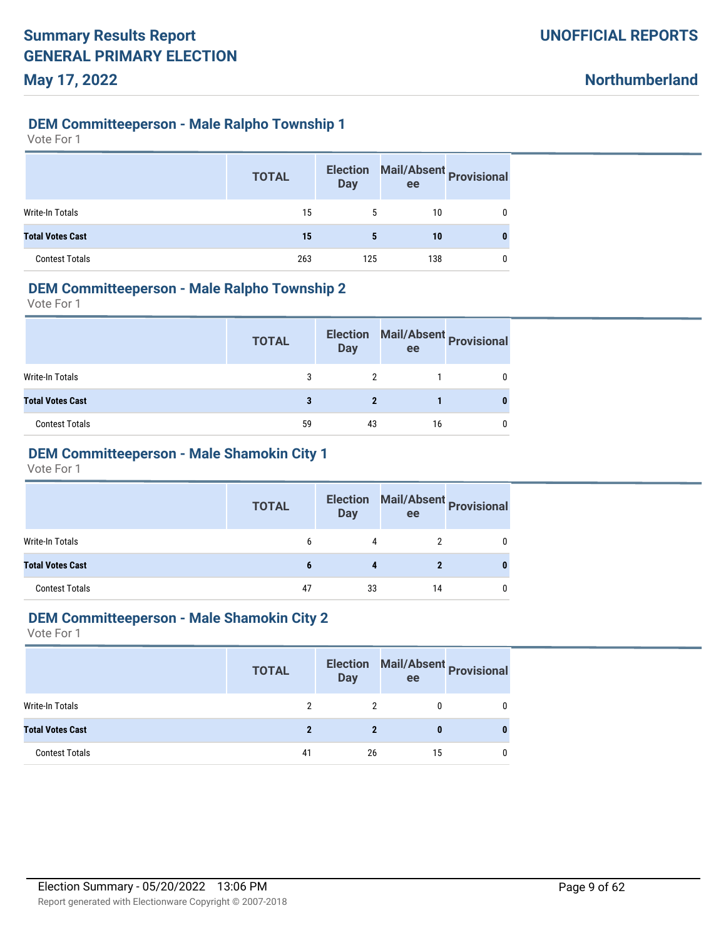### **DEM Committeeperson - Male Ralpho Township 1**

Vote For 1

|                         | <b>TOTAL</b> | <b>Election</b><br><b>Day</b> | ee  | Mail/Absent Provisional |
|-------------------------|--------------|-------------------------------|-----|-------------------------|
| Write-In Totals         | 15           | 5                             | 10  |                         |
| <b>Total Votes Cast</b> | 15           | 5                             | 10  | 0                       |
| <b>Contest Totals</b>   | 263          | 125                           | 138 |                         |

#### **DEM Committeeperson - Male Ralpho Township 2**

Vote For 1

|                         | <b>TOTAL</b> | <b>Election</b><br><b>Day</b> | ee | Mail/Absent Provisional |
|-------------------------|--------------|-------------------------------|----|-------------------------|
| Write-In Totals         | 3            |                               |    |                         |
| <b>Total Votes Cast</b> |              |                               |    |                         |
| <b>Contest Totals</b>   | 59           | 43                            | 16 |                         |

# **DEM Committeeperson - Male Shamokin City 1**

Vote For 1

|                         | <b>TOTAL</b> | <b>Election</b><br><b>Day</b> | Mail/Absent Provisional<br>ee |   |
|-------------------------|--------------|-------------------------------|-------------------------------|---|
| Write-In Totals         | b            |                               |                               | 0 |
| <b>Total Votes Cast</b> |              |                               |                               | 0 |
| <b>Contest Totals</b>   | 47           | 33                            | 14                            | 0 |

#### **DEM Committeeperson - Male Shamokin City 2**

|                         | <b>TOTAL</b> | <b>Election</b><br><b>Day</b> | ee | Mail/Absent<br>Provisional |
|-------------------------|--------------|-------------------------------|----|----------------------------|
| Write-In Totals         |              |                               |    |                            |
| <b>Total Votes Cast</b> | $\mathbf{2}$ | 2                             | 0  |                            |
| <b>Contest Totals</b>   | 41           | 26                            | 15 |                            |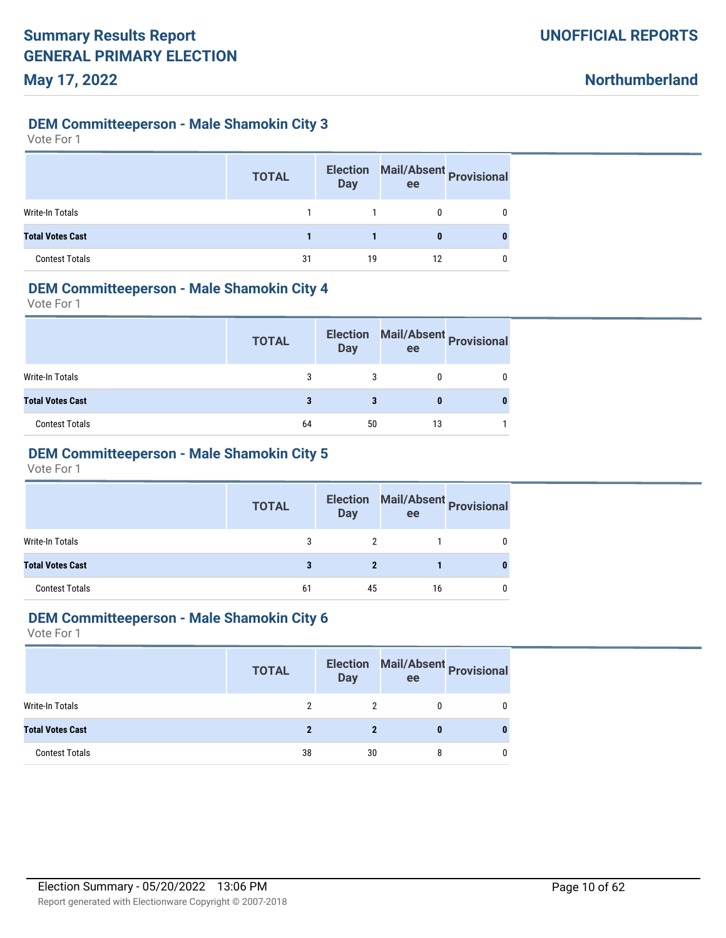#### **DEM Committeeperson - Male Shamokin City 3**

Vote For 1

|                         | <b>TOTAL</b> | <b>Election</b><br><b>Day</b> | Mail/Absent Provisional<br>ee |   |
|-------------------------|--------------|-------------------------------|-------------------------------|---|
| Write-In Totals         |              |                               |                               | 0 |
| <b>Total Votes Cast</b> |              |                               | 0                             |   |
| <b>Contest Totals</b>   | 31           | 19                            | 12                            |   |

#### **DEM Committeeperson - Male Shamokin City 4**

Vote For 1

|                         | <b>TOTAL</b> | <b>Election</b><br><b>Day</b> | ee | Mail/Absent Provisional |
|-------------------------|--------------|-------------------------------|----|-------------------------|
| Write-In Totals         |              |                               |    |                         |
| <b>Total Votes Cast</b> |              |                               |    |                         |
| <b>Contest Totals</b>   | 64           | 50                            | 13 |                         |

# **DEM Committeeperson - Male Shamokin City 5**

Vote For 1

|                         | <b>TOTAL</b> | <b>Day</b> | Election Mail/Absent Provisional<br>ee |  |
|-------------------------|--------------|------------|----------------------------------------|--|
| Write-In Totals         | 3            | 2          |                                        |  |
| <b>Total Votes Cast</b> | 3            |            |                                        |  |
| <b>Contest Totals</b>   | 61           | 45         | 16                                     |  |

#### **DEM Committeeperson - Male Shamokin City 6**

|                         | <b>TOTAL</b> | <b>Election</b><br><b>Day</b> | ee | Mail/Absent<br>Provisional |
|-------------------------|--------------|-------------------------------|----|----------------------------|
| Write-In Totals         |              |                               |    |                            |
| <b>Total Votes Cast</b> | 2            | 2                             | 0  |                            |
| <b>Contest Totals</b>   | 38           | 30                            | 8  |                            |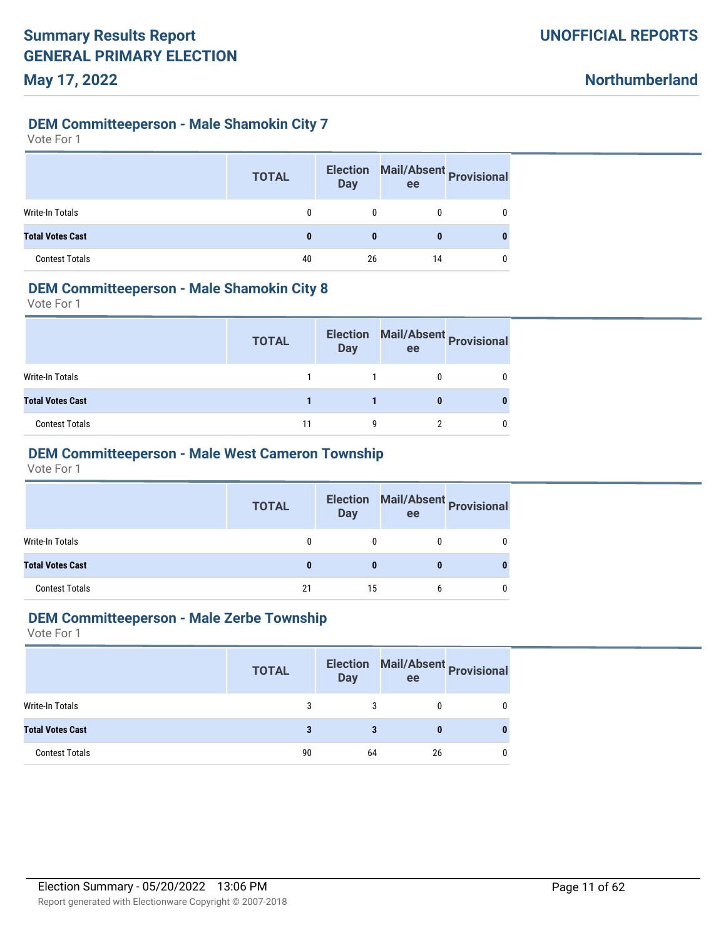#### **DEM Committeeperson - Male Shamokin City 7**

Vote For 1

|                         | <b>TOTAL</b> | <b>Election</b><br><b>Day</b> | ee | Mail/Absent Provisional |
|-------------------------|--------------|-------------------------------|----|-------------------------|
| Write-In Totals         | 0            | 0                             |    |                         |
| <b>Total Votes Cast</b> | 0            |                               |    |                         |
| <b>Contest Totals</b>   | 40           | 26                            | 14 |                         |

#### **DEM Committeeperson - Male Shamokin City 8**

Vote For 1

|                         | <b>TOTAL</b> | <b>Election</b><br><b>Day</b> | ee | Mail/Absent Provisional |
|-------------------------|--------------|-------------------------------|----|-------------------------|
| Write-In Totals         |              |                               |    |                         |
| <b>Total Votes Cast</b> |              |                               |    |                         |
| <b>Contest Totals</b>   | 11           | q                             |    |                         |

# **DEM Committeeperson - Male West Cameron Township**

Vote For 1

|                         | <b>TOTAL</b> | Day | Election Mail/Absent Provisional<br>ee |   |
|-------------------------|--------------|-----|----------------------------------------|---|
| Write-In Totals         | 0            | 0   | 0                                      | 0 |
| <b>Total Votes Cast</b> | 0            | 0   | 0                                      | 0 |
| <b>Contest Totals</b>   | 21           | 15  | b                                      | 0 |

#### **DEM Committeeperson - Male Zerbe Township**

|                         | <b>TOTAL</b> | <b>Day</b> | ee | Election Mail/Absent Provisional |
|-------------------------|--------------|------------|----|----------------------------------|
| Write-In Totals         | 3            |            |    |                                  |
| <b>Total Votes Cast</b> | 3            | 3          | 0  |                                  |
| <b>Contest Totals</b>   | 90           | 64         | 26 |                                  |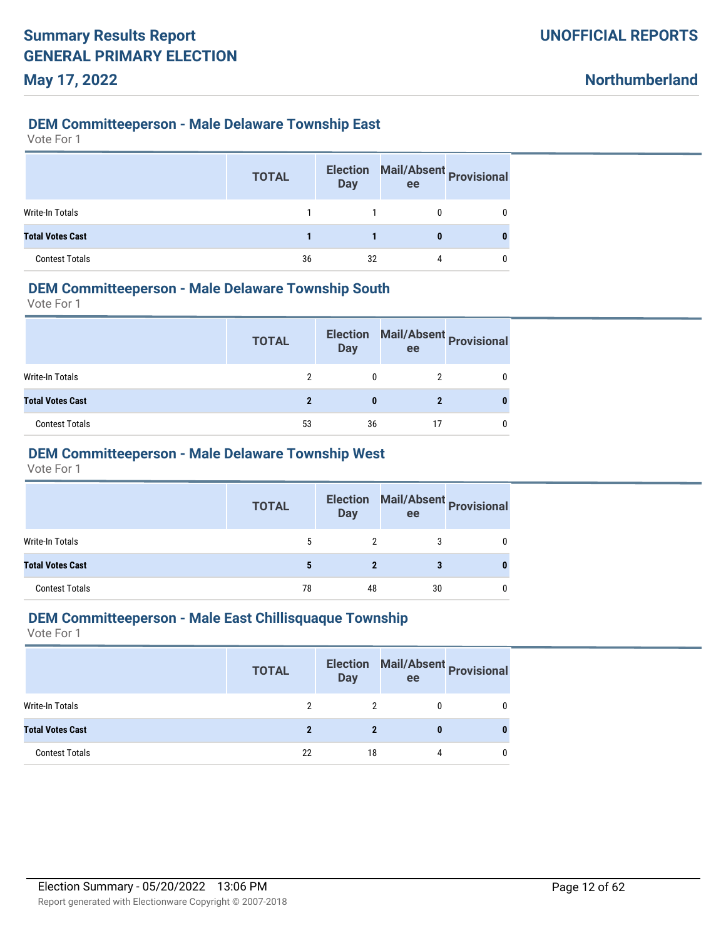#### **DEM Committeeperson - Male Delaware Township East**

Vote For 1

|                         | <b>TOTAL</b> | <b>Election</b><br><b>Day</b> | Mail/Absent Provisional<br>ee |   |
|-------------------------|--------------|-------------------------------|-------------------------------|---|
| <b>Write-In Totals</b>  |              |                               |                               |   |
| <b>Total Votes Cast</b> |              |                               | 0                             | 0 |
| <b>Contest Totals</b>   | 36           | 32                            |                               |   |

#### **DEM Committeeperson - Male Delaware Township South**

Vote For 1

|                         | <b>TOTAL</b> | <b>Election</b><br><b>Day</b> | ee | Mail/Absent Provisional |
|-------------------------|--------------|-------------------------------|----|-------------------------|
| Write-In Totals         |              |                               |    |                         |
| <b>Total Votes Cast</b> |              |                               |    |                         |
| <b>Contest Totals</b>   | 53           | 36                            |    |                         |

# **DEM Committeeperson - Male Delaware Township West**

Vote For 1

|                         | <b>TOTAL</b> | <b>Day</b> | Election Mail/Absent Provisional<br>ee |          |
|-------------------------|--------------|------------|----------------------------------------|----------|
| Write-In Totals         | 5            | 2          | 3                                      | 0        |
| <b>Total Votes Cast</b> | 5            | 2          | 3                                      | $\bf{0}$ |
| <b>Contest Totals</b>   | 78           | 48         | 30                                     | 0        |

#### **DEM Committeeperson - Male East Chillisquaque Township**

|                         | <b>TOTAL</b> | <b>Election</b><br><b>Day</b> | Mail/Absent Provisional<br>ee |   |
|-------------------------|--------------|-------------------------------|-------------------------------|---|
| Write-In Totals         |              |                               |                               |   |
| <b>Total Votes Cast</b> | 2            |                               |                               | 0 |
| <b>Contest Totals</b>   | 22           | 18                            | 4                             |   |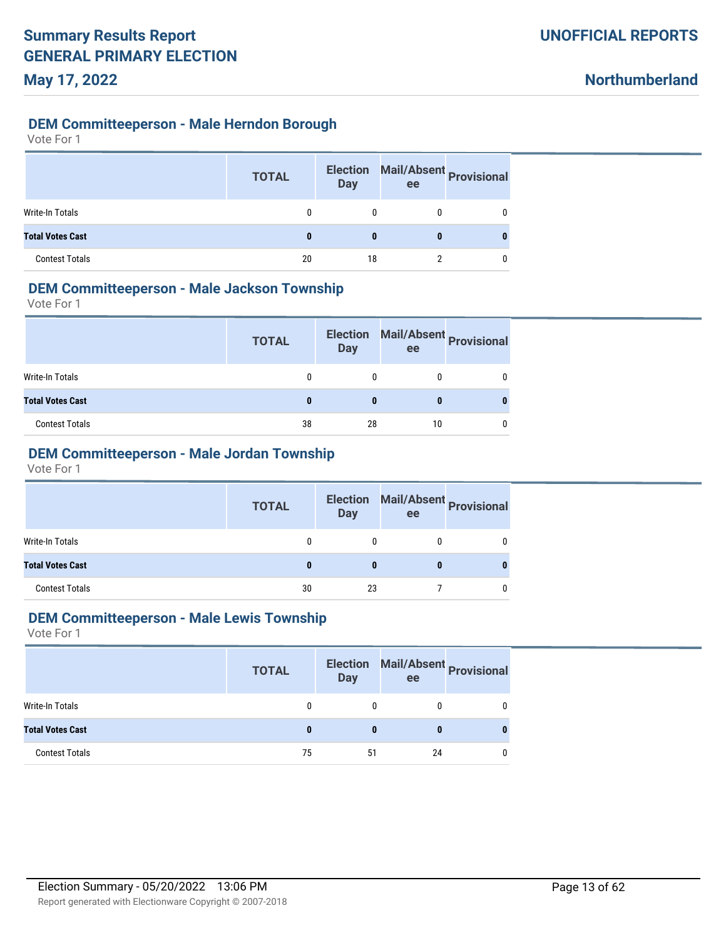**Northumberland**

### **DEM Committeeperson - Male Herndon Borough**

Vote For 1

|                         | <b>TOTAL</b> | <b>Election</b><br><b>Day</b> | Mail/Absent Provisional<br>ee |   |
|-------------------------|--------------|-------------------------------|-------------------------------|---|
| Write-In Totals         | 0            | 0                             |                               | 0 |
| <b>Total Votes Cast</b> | 0            | 0                             | 0                             |   |
| <b>Contest Totals</b>   | 20           | 18                            |                               | 0 |

#### **DEM Committeeperson - Male Jackson Township**

Vote For 1

|                         | <b>TOTAL</b> | <b>Election</b><br><b>Day</b> | ee | Mail/Absent Provisional |
|-------------------------|--------------|-------------------------------|----|-------------------------|
| Write-In Totals         |              |                               |    |                         |
| <b>Total Votes Cast</b> |              |                               |    |                         |
| <b>Contest Totals</b>   | 38           | 28                            | 10 |                         |

# **DEM Committeeperson - Male Jordan Township**

Vote For 1

|                         | <b>TOTAL</b> | <b>Day</b> | Election Mail/Absent Provisional<br>ee |   |
|-------------------------|--------------|------------|----------------------------------------|---|
| Write-In Totals         | 0            |            |                                        | 0 |
| <b>Total Votes Cast</b> | 0            | 0          |                                        |   |
| <b>Contest Totals</b>   | 30           | 23         |                                        |   |

#### **DEM Committeeperson - Male Lewis Township**

|                         | <b>TOTAL</b> | <b>Day</b> | Election Mail/Absent Provisional<br>ee |  |
|-------------------------|--------------|------------|----------------------------------------|--|
| Write-In Totals         |              | 0          |                                        |  |
| <b>Total Votes Cast</b> |              | 0          |                                        |  |
| <b>Contest Totals</b>   | 75           | 51         | 24                                     |  |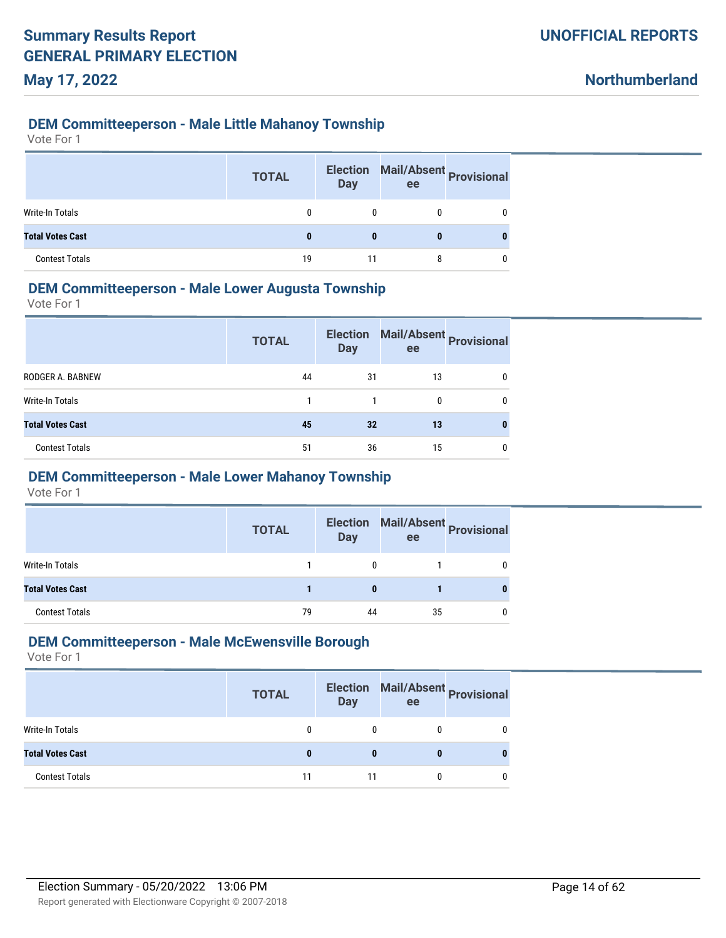#### **DEM Committeeperson - Male Little Mahanoy Township**

Vote For 1

|                         | <b>TOTAL</b> | <b>Day</b> | Election Mail/Absent Provisional<br>ee |          |
|-------------------------|--------------|------------|----------------------------------------|----------|
| Write-In Totals         |              |            |                                        | 0        |
| <b>Total Votes Cast</b> |              |            | 0                                      | $\bf{0}$ |
| <b>Contest Totals</b>   | 19           | 11         |                                        | n        |

### **DEM Committeeperson - Male Lower Augusta Township**

Vote For 1

|                         | <b>TOTAL</b> | <b>Election</b><br><b>Day</b> | ee | Mail/Absent Provisional |
|-------------------------|--------------|-------------------------------|----|-------------------------|
| RODGER A. BABNEW        | 44           | 31                            | 13 | 0                       |
| Write-In Totals         |              |                               | 0  | 0                       |
| <b>Total Votes Cast</b> | 45           | 32                            | 13 |                         |
| <b>Contest Totals</b>   | 51           | 36                            | 15 | 0                       |

# **DEM Committeeperson - Male Lower Mahanoy Township**

Vote For 1

|                         | <b>TOTAL</b> | <b>Election</b><br><b>Day</b> | ee | Mail/Absent Provisional |
|-------------------------|--------------|-------------------------------|----|-------------------------|
| Write-In Totals         |              | 0                             |    |                         |
| <b>Total Votes Cast</b> |              |                               |    |                         |
| <b>Contest Totals</b>   | 79           | 44                            | 35 |                         |

#### **DEM Committeeperson - Male McEwensville Borough**

|                         | <b>TOTAL</b> | <b>Election</b><br><b>Day</b> | ee | Mail/Absent Provisional |
|-------------------------|--------------|-------------------------------|----|-------------------------|
| Write-In Totals         |              |                               |    |                         |
| <b>Total Votes Cast</b> |              |                               |    |                         |
| <b>Contest Totals</b>   | 11           | 11                            |    |                         |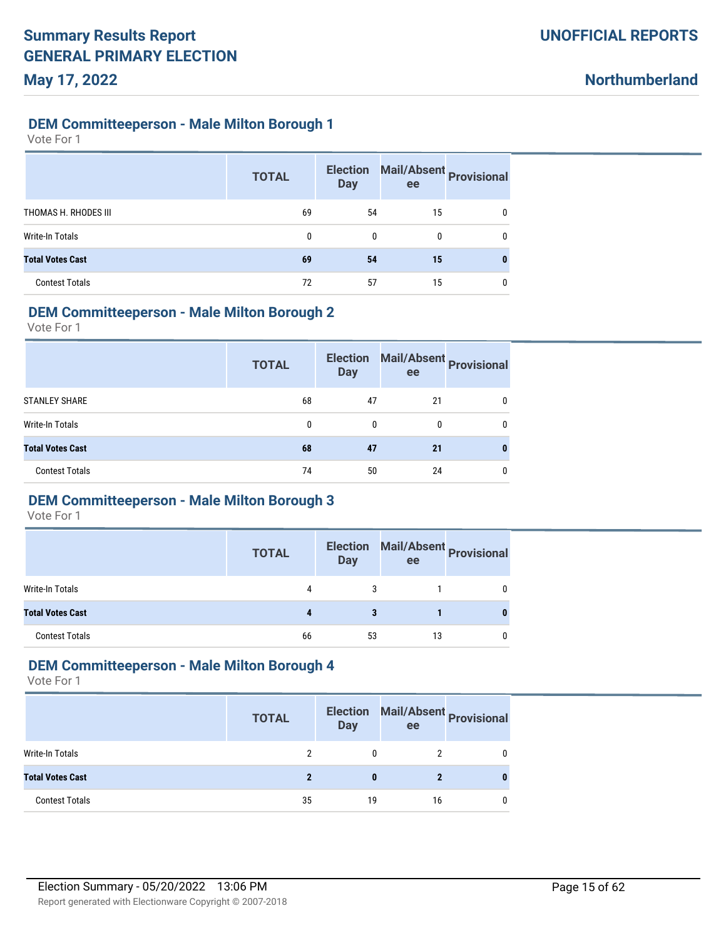#### **DEM Committeeperson - Male Milton Borough 1**

Vote For 1

|                         | <b>TOTAL</b> | <b>Election</b><br><b>Day</b> | Mail/Absent Provisional<br>ee |   |
|-------------------------|--------------|-------------------------------|-------------------------------|---|
| THOMAS H. RHODES III    | 69           | 54                            | 15                            | 0 |
| Write-In Totals         | $\mathbf{0}$ | $\mathbf{0}$                  | 0                             | 0 |
| <b>Total Votes Cast</b> | 69           | 54                            | 15                            | 0 |
| <b>Contest Totals</b>   | 72           | 57                            | 15                            | 0 |

#### **DEM Committeeperson - Male Milton Borough 2**

Vote For 1

|                         | <b>Election</b><br><b>TOTAL</b><br><b>Day</b> |    | ee | Mail/Absent Provisional |
|-------------------------|-----------------------------------------------|----|----|-------------------------|
| <b>STANLEY SHARE</b>    | 68                                            | 47 | 21 | 0                       |
| Write-In Totals         | 0                                             | 0  | 0  | 0                       |
| <b>Total Votes Cast</b> | 68                                            | 47 | 21 |                         |
| <b>Contest Totals</b>   | 74                                            | 50 | 24 |                         |

#### **DEM Committeeperson - Male Milton Borough 3**

Vote For 1

|                         | <b>TOTAL</b> | <b>Election</b><br><b>Day</b> | ee | Mail/Absent Provisional |
|-------------------------|--------------|-------------------------------|----|-------------------------|
| Write-In Totals         | 4            | 3                             |    |                         |
| <b>Total Votes Cast</b> |              |                               |    |                         |
| <b>Contest Totals</b>   | 66           | 53                            | 13 |                         |

### **DEM Committeeperson - Male Milton Borough 4**

|                         | <b>TOTAL</b> | <b>Day</b> | Election Mail/Absent Provisional<br>ee |   |
|-------------------------|--------------|------------|----------------------------------------|---|
| Write-In Totals         |              | 0          |                                        | 0 |
| <b>Total Votes Cast</b> |              |            |                                        | 0 |
| <b>Contest Totals</b>   | 35           | 19         | 16                                     | 0 |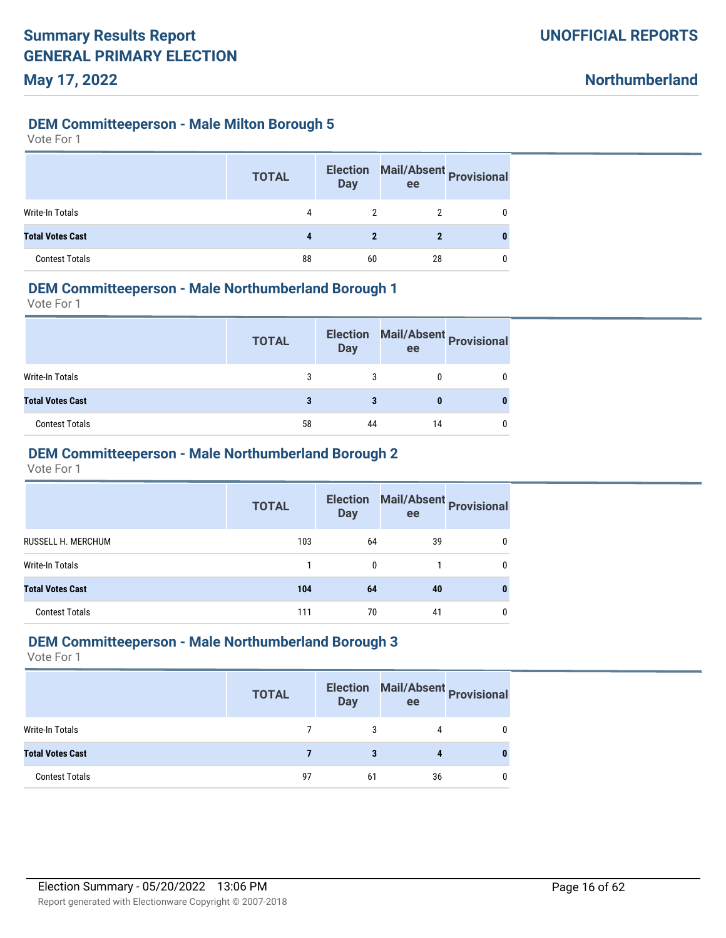#### **DEM Committeeperson - Male Milton Borough 5**

Vote For 1

|                         | <b>TOTAL</b> | <b>Election</b><br><b>Day</b> | Mail/Absent Provisional<br>ee |   |
|-------------------------|--------------|-------------------------------|-------------------------------|---|
| <b>Write-In Totals</b>  | 4            | 2                             |                               | 0 |
| <b>Total Votes Cast</b> |              | 2                             | 2                             |   |
| <b>Contest Totals</b>   | 88           | 60                            | 28                            | 0 |

#### **DEM Committeeperson - Male Northumberland Borough 1**

Vote For 1

|                         | <b>TOTAL</b> | <b>Election</b><br><b>Day</b> | ee | Mail/Absent Provisional |
|-------------------------|--------------|-------------------------------|----|-------------------------|
| <b>Write-In Totals</b>  | 3            |                               |    |                         |
| <b>Total Votes Cast</b> |              |                               |    |                         |
| <b>Contest Totals</b>   | 58           | 44                            | 14 |                         |

### **DEM Committeeperson - Male Northumberland Borough 2**

Vote For 1

|                         | <b>TOTAL</b> | <b>Day</b>   | Election Mail/Absent Provisional<br>ee |   |
|-------------------------|--------------|--------------|----------------------------------------|---|
| RUSSELL H. MERCHUM      | 103          | 64           | 39                                     | 0 |
| Write-In Totals         |              | $\mathbf{0}$ |                                        | 0 |
| <b>Total Votes Cast</b> | 104          | 64           | 40                                     | 0 |
| <b>Contest Totals</b>   | 111          | 70           | 41                                     | 0 |

#### **DEM Committeeperson - Male Northumberland Borough 3**

|                         | <b>TOTAL</b> | <b>Election</b><br><b>Day</b> | ee | Mail/Absent Provisional |
|-------------------------|--------------|-------------------------------|----|-------------------------|
| <b>Write-In Totals</b>  |              |                               |    |                         |
| <b>Total Votes Cast</b> |              | 3                             |    |                         |
| <b>Contest Totals</b>   | 97           | 61                            | 36 |                         |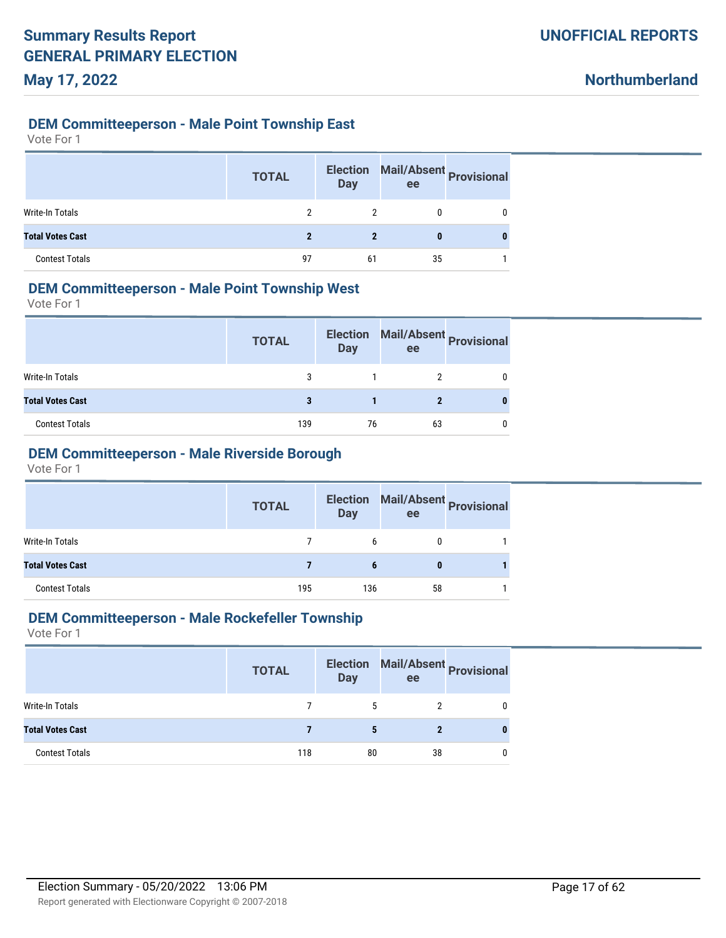**Northumberland**

#### **DEM Committeeperson - Male Point Township East**

Vote For 1

|                         | <b>TOTAL</b> | <b>Election</b><br><b>Day</b> | Mail/Absent Provisional<br>ee |   |
|-------------------------|--------------|-------------------------------|-------------------------------|---|
| Write-In Totals         |              | 2                             |                               | 0 |
| <b>Total Votes Cast</b> | 2            | $\mathbf 2$                   | 0                             |   |
| <b>Contest Totals</b>   | 97           | 61                            | 35                            |   |

#### **DEM Committeeperson - Male Point Township West**

Vote For 1

|                         | <b>TOTAL</b> | <b>Election</b><br><b>Day</b> | ee | Mail/Absent Provisional |
|-------------------------|--------------|-------------------------------|----|-------------------------|
| Write-In Totals         | 3            |                               |    |                         |
| <b>Total Votes Cast</b> |              |                               |    |                         |
| <b>Contest Totals</b>   | 139          | 76                            | 63 |                         |

# **DEM Committeeperson - Male Riverside Borough**

Vote For 1

|                         | <b>TOTAL</b> | <b>Election</b><br><b>Day</b> | <b>Mail/Absent Provisional</b><br>ee |  |
|-------------------------|--------------|-------------------------------|--------------------------------------|--|
| Write-In Totals         |              | 6                             | 0                                    |  |
| <b>Total Votes Cast</b> |              |                               | 0                                    |  |
| <b>Contest Totals</b>   | 195          | 136                           | 58                                   |  |

#### **DEM Committeeperson - Male Rockefeller Township**

|                         | <b>TOTAL</b> | <b>Day</b> | Election Mail/Absent Provisional<br>ee |  |
|-------------------------|--------------|------------|----------------------------------------|--|
| Write-In Totals         |              | 5          |                                        |  |
| <b>Total Votes Cast</b> |              | 5          |                                        |  |
| <b>Contest Totals</b>   | 118          | 80         | 38                                     |  |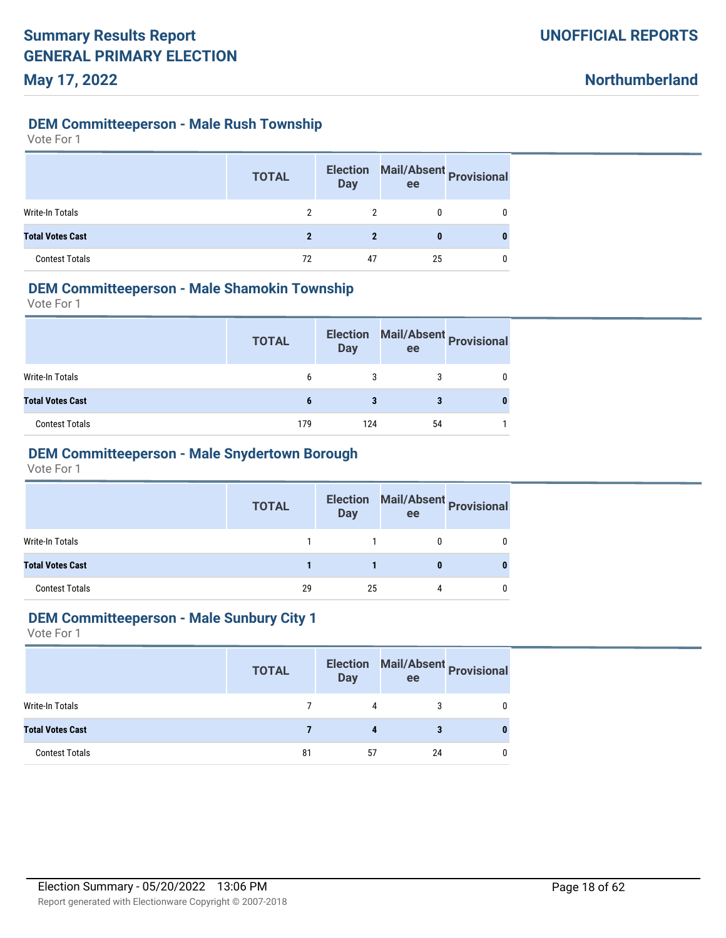**Northumberland**

#### **DEM Committeeperson - Male Rush Township**

Vote For 1

|                         | <b>TOTAL</b> | <b>Election</b><br><b>Day</b> | Mail/Absent Provisional<br>ee |  |
|-------------------------|--------------|-------------------------------|-------------------------------|--|
| Write-In Totals         |              |                               |                               |  |
| <b>Total Votes Cast</b> | 2            | $\boldsymbol{\eta}$           | 0                             |  |
| <b>Contest Totals</b>   | 72           | 47                            | 25                            |  |

#### **DEM Committeeperson - Male Shamokin Township**

Vote For 1

|                         | <b>TOTAL</b> | <b>Election</b><br><b>Day</b> | ee | Mail/Absent Provisional |
|-------------------------|--------------|-------------------------------|----|-------------------------|
| Write-In Totals         | 6            |                               |    |                         |
| <b>Total Votes Cast</b> | 6            |                               |    |                         |
| <b>Contest Totals</b>   | 179          | 124                           | 54 |                         |

#### **DEM Committeeperson - Male Snydertown Borough**

Vote For 1

|                         | <b>TOTAL</b> | <b>Day</b> | Election Mail/Absent Provisional<br>ee |   |
|-------------------------|--------------|------------|----------------------------------------|---|
| Write-In Totals         |              |            |                                        | 0 |
| <b>Total Votes Cast</b> |              |            |                                        | o |
| <b>Contest Totals</b>   | 29           | 25         | 4                                      |   |

#### **DEM Committeeperson - Male Sunbury City 1**

|                         | <b>TOTAL</b> | <b>Election</b><br><b>Day</b> | ee | Mail/Absent Provisional |
|-------------------------|--------------|-------------------------------|----|-------------------------|
| Write-In Totals         |              | 4                             | 3  |                         |
| <b>Total Votes Cast</b> |              |                               |    |                         |
| <b>Contest Totals</b>   | 81           | 57                            | 24 |                         |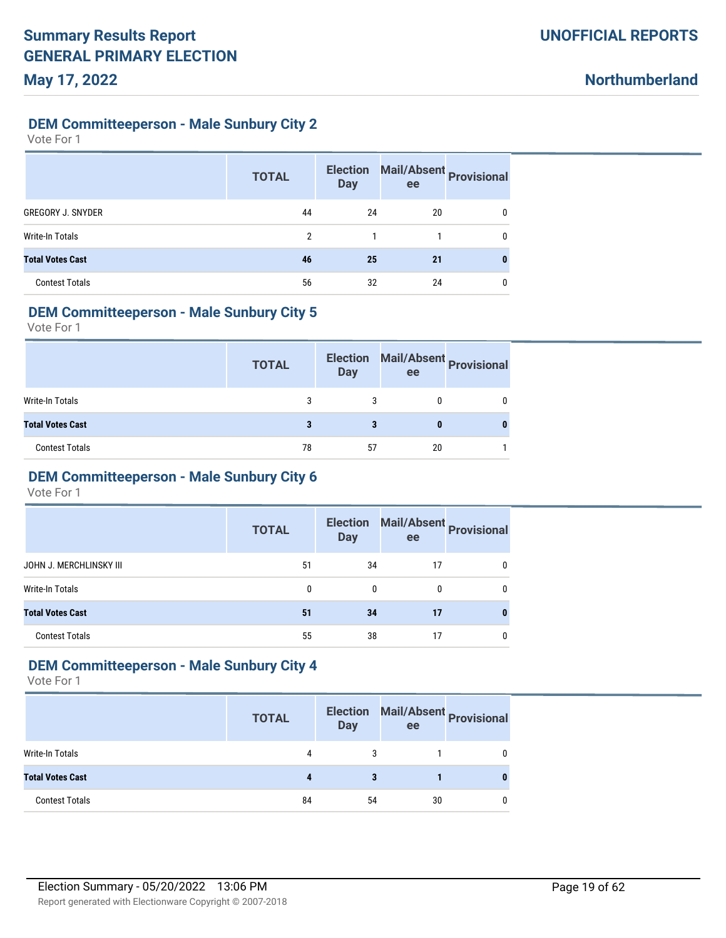### **DEM Committeeperson - Male Sunbury City 2**

Vote For 1

|                          | <b>TOTAL</b> | <b>Election</b><br><b>Day</b> | Mail/Absent Provisional<br>ee |   |
|--------------------------|--------------|-------------------------------|-------------------------------|---|
| <b>GREGORY J. SNYDER</b> | 44           | 24                            | 20                            | 0 |
| <b>Write-In Totals</b>   | 2            |                               |                               | 0 |
| <b>Total Votes Cast</b>  | 46           | 25                            | 21                            | 0 |
| <b>Contest Totals</b>    | 56           | 32                            | 24                            | 0 |

#### **DEM Committeeperson - Male Sunbury City 5**

Vote For 1

|                         | <b>TOTAL</b> | <b>Election</b><br><b>Day</b> | ee | Mail/Absent<br>Provisional |
|-------------------------|--------------|-------------------------------|----|----------------------------|
| Write-In Totals         |              |                               |    |                            |
| <b>Total Votes Cast</b> |              |                               |    |                            |
| <b>Contest Totals</b>   | 78           | 57                            | 20 |                            |

# **DEM Committeeperson - Male Sunbury City 6**

Vote For 1

|                         | <b>TOTAL</b> | <b>Election</b><br><b>Day</b> | ee | Mail/Absent Provisional |
|-------------------------|--------------|-------------------------------|----|-------------------------|
| JOHN J. MERCHLINSKY III | 51           | 34                            | 17 | 0                       |
| Write-In Totals         | 0            | 0                             | 0  | 0                       |
| <b>Total Votes Cast</b> | 51           | 34                            | 17 |                         |
| <b>Contest Totals</b>   | 55           | 38                            | 17 | 0                       |

# **DEM Committeeperson - Male Sunbury City 4**

|                         | <b>TOTAL</b> | <b>Day</b> | Election Mail/Absent Provisional<br>ee |   |
|-------------------------|--------------|------------|----------------------------------------|---|
| Write-In Totals         | 4            | 3          |                                        | 0 |
| <b>Total Votes Cast</b> |              | 3          |                                        | 0 |
| <b>Contest Totals</b>   | 84           | 54         | 30                                     | 0 |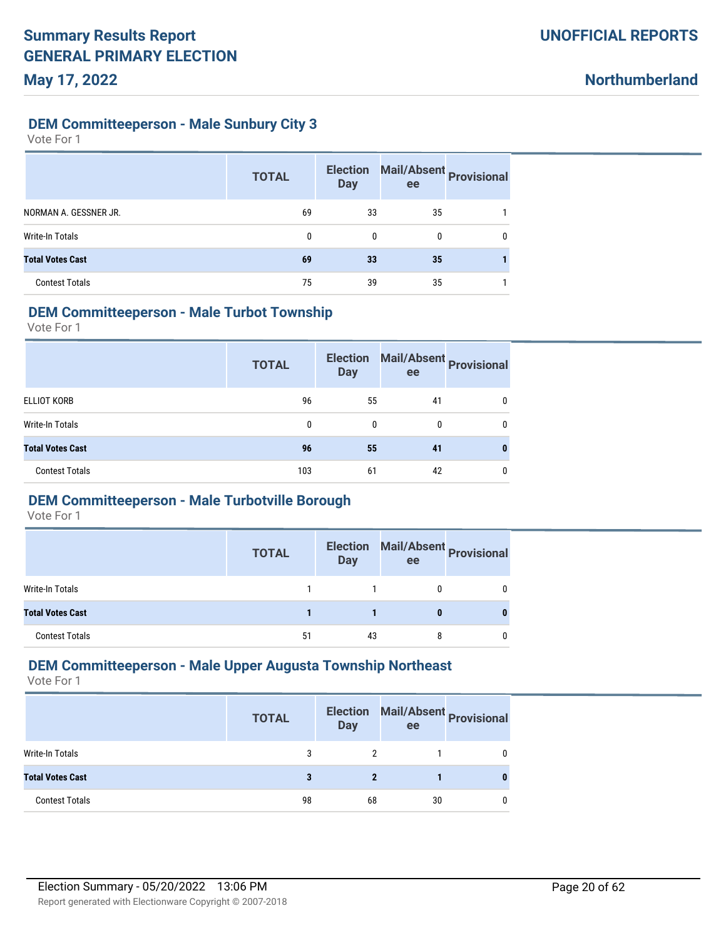### **DEM Committeeperson - Male Sunbury City 3**

Vote For 1

|                         | <b>TOTAL</b> | <b>Election</b><br><b>Day</b> | Mail/Absent Provisional<br>ee |   |
|-------------------------|--------------|-------------------------------|-------------------------------|---|
| NORMAN A. GESSNER JR.   | 69           | 33                            | 35                            |   |
| <b>Write-In Totals</b>  | 0            |                               | 0                             | 0 |
| <b>Total Votes Cast</b> | 69           | 33                            | 35                            |   |
| <b>Contest Totals</b>   | 75           | 39                            | 35                            |   |

#### **DEM Committeeperson - Male Turbot Township**

Vote For 1

|                         | <b>TOTAL</b> | <b>Election</b><br><b>Day</b> | ee | Mail/Absent<br>Provisional |
|-------------------------|--------------|-------------------------------|----|----------------------------|
| ELLIOT KORB             | 96           | 55                            | 41 | 0                          |
| Write-In Totals         | 0            | 0                             | 0  | 0                          |
| <b>Total Votes Cast</b> | 96           | 55                            | 41 |                            |
| <b>Contest Totals</b>   | 103          | 61                            | 42 | 0                          |

### **DEM Committeeperson - Male Turbotville Borough**

Vote For 1

|                         | <b>TOTAL</b> | <b>Election</b><br>Day | ee | Mail/Absent Provisional |
|-------------------------|--------------|------------------------|----|-------------------------|
| Write-In Totals         |              |                        |    |                         |
| <b>Total Votes Cast</b> |              |                        |    |                         |
| <b>Contest Totals</b>   | 51           | 43                     |    |                         |

### **DEM Committeeperson - Male Upper Augusta Township Northeast**

|                         | <b>TOTAL</b> | <b>Day</b> | Election Mail/Absent Provisional<br>ee |   |
|-------------------------|--------------|------------|----------------------------------------|---|
| Write-In Totals         | 3            |            |                                        | 0 |
| <b>Total Votes Cast</b> |              |            |                                        | 0 |
| <b>Contest Totals</b>   | 98           | 68         | 30                                     | 0 |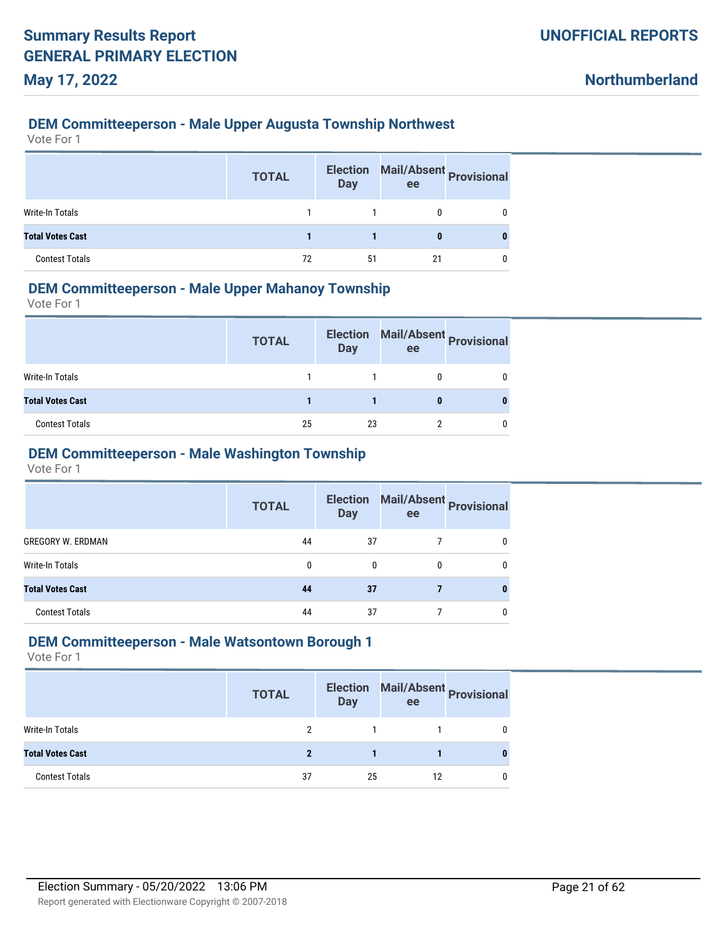#### **DEM Committeeperson - Male Upper Augusta Township Northwest**

Vote For 1

|                         | <b>TOTAL</b> | <b>Election</b><br><b>Day</b> | Mail/Absent Provisional<br>ee |   |
|-------------------------|--------------|-------------------------------|-------------------------------|---|
| Write-In Totals         |              |                               |                               |   |
| <b>Total Votes Cast</b> |              |                               | 0                             | 0 |
| <b>Contest Totals</b>   | 72           | 51                            | 21                            |   |

### **DEM Committeeperson - Male Upper Mahanoy Township**

Vote For 1

|                         | <b>TOTAL</b> | <b>Election</b><br><b>Day</b> | ee | Mail/Absent Provisional |
|-------------------------|--------------|-------------------------------|----|-------------------------|
| Write-In Totals         |              |                               |    |                         |
| <b>Total Votes Cast</b> |              |                               |    |                         |
| <b>Contest Totals</b>   | 25           | 23                            |    |                         |

### **DEM Committeeperson - Male Washington Township**

Vote For 1

|                          | <b>TOTAL</b> | <b>Election</b><br><b>Day</b> | ee | Mail/Absent<br>Provisional |
|--------------------------|--------------|-------------------------------|----|----------------------------|
| <b>GREGORY W. ERDMAN</b> | 44           | 37                            |    | 0                          |
| Write-In Totals          | 0            | $\mathbf{0}$                  | 0  | 0                          |
| <b>Total Votes Cast</b>  | 44           | 37                            |    | 0                          |
| <b>Contest Totals</b>    | 44           | 37                            |    | 0                          |

#### **DEM Committeeperson - Male Watsontown Borough 1**

|                         | <b>TOTAL</b> | <b>Election</b><br><b>Day</b> | ee | Mail/Absent Provisional |
|-------------------------|--------------|-------------------------------|----|-------------------------|
| <b>Write-In Totals</b>  |              |                               |    |                         |
| <b>Total Votes Cast</b> |              |                               |    |                         |
| <b>Contest Totals</b>   | 37           | 25                            | 12 |                         |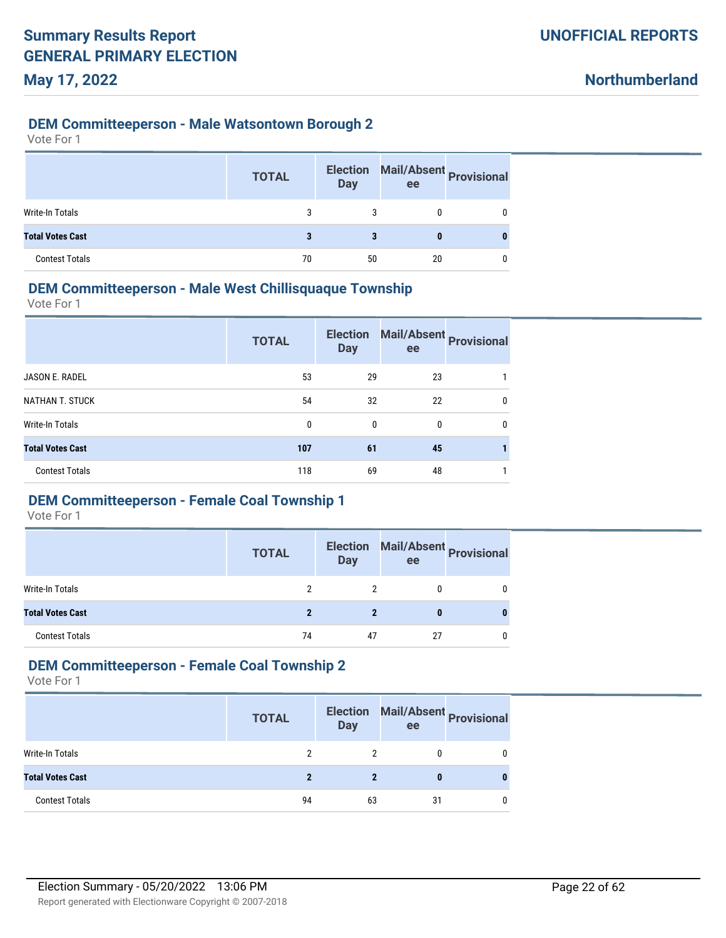#### **DEM Committeeperson - Male Watsontown Borough 2**

Vote For 1

|                         | <b>TOTAL</b> | <b>Election</b><br><b>Day</b> | Mail/Absent Provisional<br>ee |   |
|-------------------------|--------------|-------------------------------|-------------------------------|---|
| Write-In Totals         | 3            | 3                             |                               | 0 |
| <b>Total Votes Cast</b> | 3            | 3                             | 0                             |   |
| <b>Contest Totals</b>   | 70           | 50                            | 20                            | 0 |

#### **DEM Committeeperson - Male West Chillisquaque Township**

Vote For 1

|                         | <b>TOTAL</b> | <b>Election</b><br><b>Day</b> | ee | Mail/Absent Provisional |
|-------------------------|--------------|-------------------------------|----|-------------------------|
| JASON E. RADEL          | 53           | 29                            | 23 |                         |
| <b>NATHAN T. STUCK</b>  | 54           | 32                            | 22 | 0                       |
| <b>Write-In Totals</b>  | 0            | 0                             | 0  | 0                       |
| <b>Total Votes Cast</b> | 107          | 61                            | 45 |                         |
| <b>Contest Totals</b>   | 118          | 69                            | 48 |                         |

# **DEM Committeeperson - Female Coal Township 1**

Vote For 1

|                         | <b>TOTAL</b> | <b>Election</b><br><b>Day</b> | ee | Mail/Absent Provisional |
|-------------------------|--------------|-------------------------------|----|-------------------------|
| Write-In Totals         |              | 2                             |    |                         |
| <b>Total Votes Cast</b> |              |                               |    |                         |
| <b>Contest Totals</b>   | 74           | 47                            | 27 |                         |

### **DEM Committeeperson - Female Coal Township 2**

|                         | <b>TOTAL</b> | <b>Day</b> | Election Mail/Absent Provisional<br>ee |   |
|-------------------------|--------------|------------|----------------------------------------|---|
| Write-In Totals         |              |            | 0                                      | 0 |
| <b>Total Votes Cast</b> |              |            |                                        | 0 |
| <b>Contest Totals</b>   | 94           | 63         | 31                                     | 0 |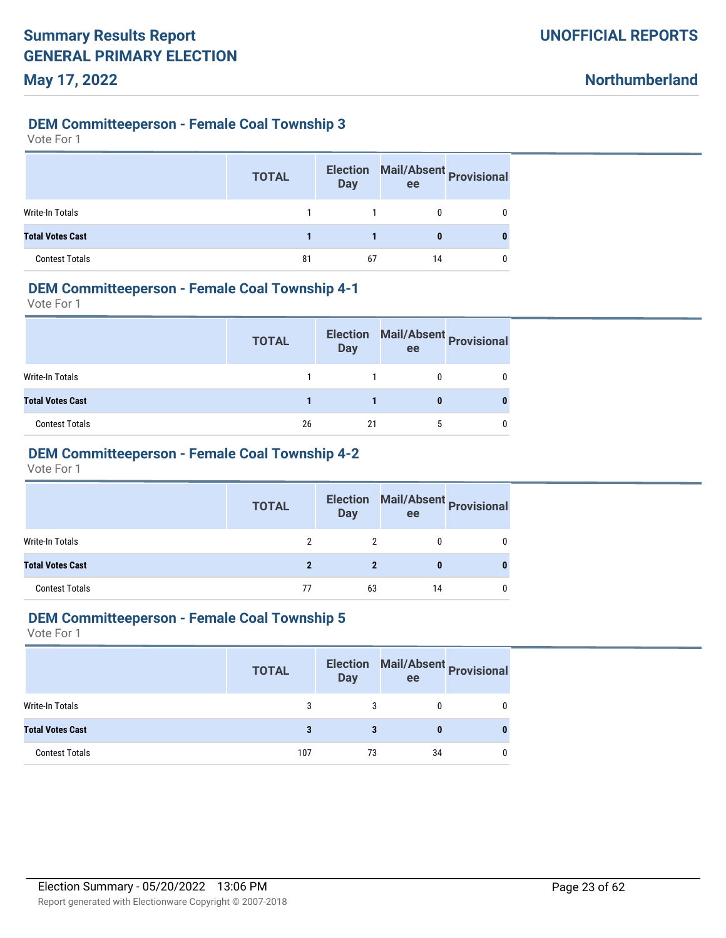#### **DEM Committeeperson - Female Coal Township 3**

Vote For 1

|                         | <b>TOTAL</b> | <b>Election</b><br><b>Day</b> | Mail/Absent Provisional<br>ee |  |
|-------------------------|--------------|-------------------------------|-------------------------------|--|
| Write-In Totals         |              |                               |                               |  |
| <b>Total Votes Cast</b> |              |                               | 0                             |  |
| <b>Contest Totals</b>   | 81           | 67                            | 14                            |  |

#### **DEM Committeeperson - Female Coal Township 4-1**

Vote For 1

|                         | <b>TOTAL</b> | <b>Election</b><br><b>Day</b> | ee | Mail/Absent Provisional |
|-------------------------|--------------|-------------------------------|----|-------------------------|
| Write-In Totals         |              |                               |    |                         |
| <b>Total Votes Cast</b> |              |                               |    |                         |
| <b>Contest Totals</b>   | 26           | 21                            |    |                         |

# **DEM Committeeperson - Female Coal Township 4-2**

Vote For 1

|                         | <b>TOTAL</b> | <b>Day</b> | Election Mail/Absent Provisional<br>ee |  |
|-------------------------|--------------|------------|----------------------------------------|--|
| Write-In Totals         |              |            |                                        |  |
| <b>Total Votes Cast</b> |              |            | 0                                      |  |
| <b>Contest Totals</b>   | 77           | 63         | 14                                     |  |

#### **DEM Committeeperson - Female Coal Township 5**

|                         | <b>TOTAL</b> | <b>Election</b><br><b>Day</b> | Mail/Absent<br>Provisional<br>ee |  |
|-------------------------|--------------|-------------------------------|----------------------------------|--|
| Write-In Totals         | 3            |                               |                                  |  |
| <b>Total Votes Cast</b> | 3            | з                             |                                  |  |
| <b>Contest Totals</b>   | 107          | 73                            | 34                               |  |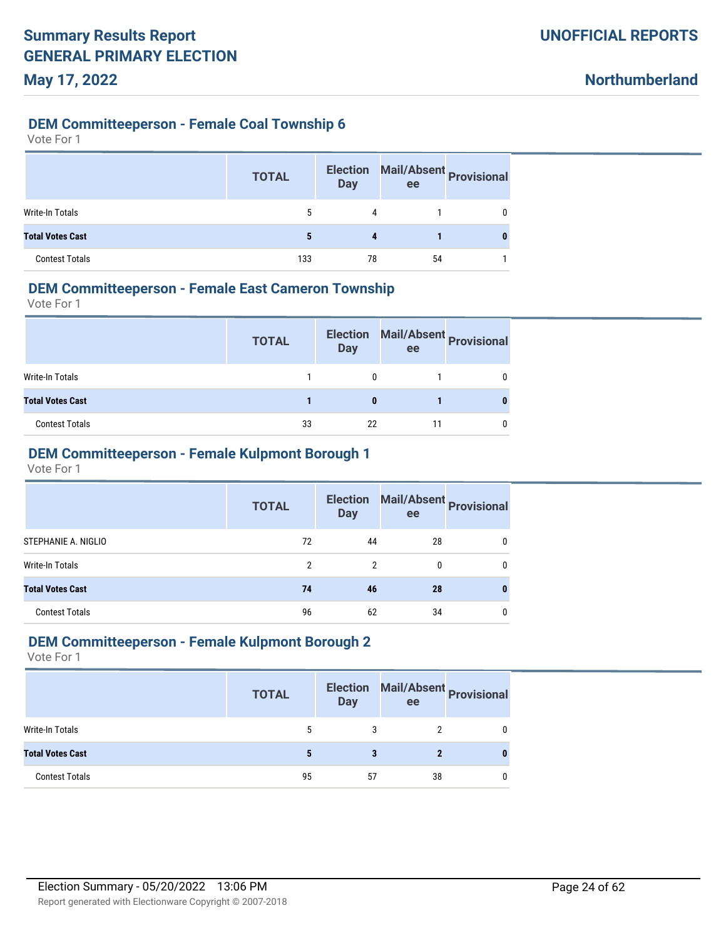### **DEM Committeeperson - Female Coal Township 6**

| Vote For 1 |  |
|------------|--|
|------------|--|

|                         | <b>TOTAL</b> | <b>Election</b><br>Day | ee | Mail/Absent Provisional |
|-------------------------|--------------|------------------------|----|-------------------------|
| Write-In Totals         | 5            | 4                      |    |                         |
| <b>Total Votes Cast</b> |              | 4                      |    |                         |
| <b>Contest Totals</b>   | 133          | 78                     | 54 |                         |

### **DEM Committeeperson - Female East Cameron Township**

Vote For 1

|                         | <b>TOTAL</b> | <b>Election</b><br><b>Day</b> | ee | Mail/Absent Provisional |
|-------------------------|--------------|-------------------------------|----|-------------------------|
| Write-In Totals         |              |                               |    |                         |
| <b>Total Votes Cast</b> |              |                               |    |                         |
| <b>Contest Totals</b>   | 33           | 22                            | 11 |                         |

# **DEM Committeeperson - Female Kulpmont Borough 1**

Vote For 1

|                         | <b>TOTAL</b>   | <b>Election</b><br><b>Day</b> | Mail/Absent<br>Provisional<br>ee |   |
|-------------------------|----------------|-------------------------------|----------------------------------|---|
| STEPHANIE A. NIGLIO     | 72             | 44                            | 28                               | 0 |
| Write-In Totals         | $\mathfrak{p}$ | 2                             | 0                                | 0 |
| <b>Total Votes Cast</b> | 74             | 46                            | 28                               | 0 |
| <b>Contest Totals</b>   | 96             | 62                            | 34                               | 0 |

### **DEM Committeeperson - Female Kulpmont Borough 2**

|                         | <b>TOTAL</b> | <b>Election</b><br><b>Day</b> | ee | Mail/Absent Provisional |
|-------------------------|--------------|-------------------------------|----|-------------------------|
| Write-In Totals         | 5            |                               |    |                         |
| <b>Total Votes Cast</b> |              |                               |    |                         |
| <b>Contest Totals</b>   | 95           | 57                            | 38 |                         |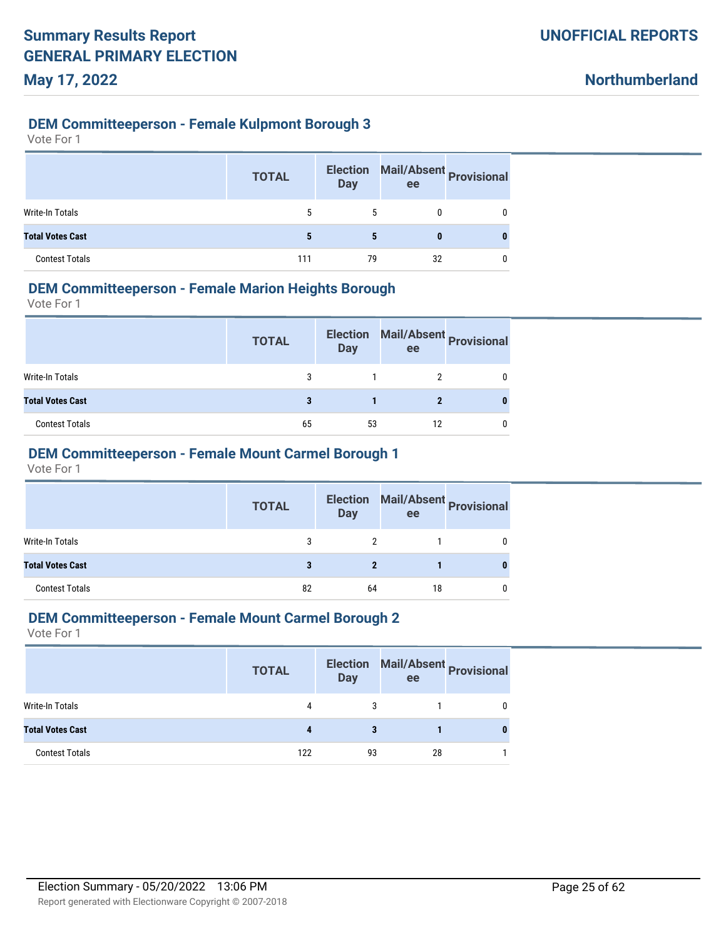#### **DEM Committeeperson - Female Kulpmont Borough 3**

Vote For 1

|                         | <b>TOTAL</b> | <b>Election</b><br><b>Day</b> | ee | Mail/Absent Provisional |
|-------------------------|--------------|-------------------------------|----|-------------------------|
| Write-In Totals         | 5            | 5                             |    | 0                       |
| <b>Total Votes Cast</b> | 5            | 5                             | 0  |                         |
| <b>Contest Totals</b>   | 111          | 79                            | 32 |                         |

#### **DEM Committeeperson - Female Marion Heights Borough**

Vote For 1

|                         | <b>TOTAL</b> | <b>Election</b><br><b>Day</b> | ee | Mail/Absent Provisional |
|-------------------------|--------------|-------------------------------|----|-------------------------|
| Write-In Totals         |              |                               |    |                         |
| <b>Total Votes Cast</b> |              |                               |    |                         |
| <b>Contest Totals</b>   | 65           | 53                            | 12 |                         |

# **DEM Committeeperson - Female Mount Carmel Borough 1**

Vote For 1

|                         | <b>TOTAL</b> | <b>Day</b>   | Election Mail/Absent Provisional<br>ee |   |
|-------------------------|--------------|--------------|----------------------------------------|---|
| Write-In Totals         | 3            | 2            |                                        | 0 |
| <b>Total Votes Cast</b> | 3            | $\mathbf{2}$ |                                        | 0 |
| <b>Contest Totals</b>   | 82           | 64           | 18                                     | 0 |

### **DEM Committeeperson - Female Mount Carmel Borough 2**

|                         | <b>TOTAL</b> | <b>Day</b> | ee | Election Mail/Absent Provisional |
|-------------------------|--------------|------------|----|----------------------------------|
| Write-In Totals         | 4            | 3          |    |                                  |
| <b>Total Votes Cast</b> |              |            |    |                                  |
| <b>Contest Totals</b>   | 122          | 93         | 28 |                                  |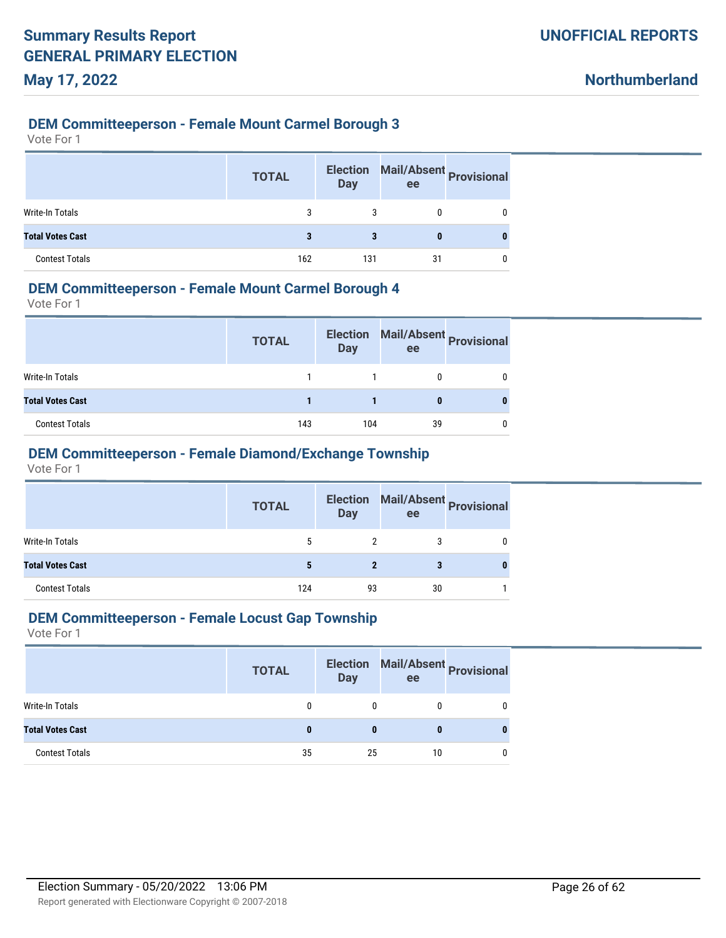#### **DEM Committeeperson - Female Mount Carmel Borough 3**

Vote For 1

|                         | <b>TOTAL</b> | <b>Election</b><br><b>Day</b> | Mail/Absent Provisional<br>ee |   |
|-------------------------|--------------|-------------------------------|-------------------------------|---|
| Write-In Totals         | 3            | 3                             |                               | 0 |
| <b>Total Votes Cast</b> |              |                               | 0                             |   |
| <b>Contest Totals</b>   | 162          | 131                           | 31                            |   |

#### **DEM Committeeperson - Female Mount Carmel Borough 4**

Vote For 1

|                         | <b>TOTAL</b> | <b>Election</b><br><b>Day</b> | ee | Mail/Absent Provisional |
|-------------------------|--------------|-------------------------------|----|-------------------------|
| Write-In Totals         |              |                               |    |                         |
| <b>Total Votes Cast</b> |              |                               |    |                         |
| <b>Contest Totals</b>   | 143          | 104                           | 39 |                         |

### **DEM Committeeperson - Female Diamond/Exchange Township**

Vote For 1

|                         | <b>TOTAL</b> | <b>Day</b>   | ee | Election Mail/Absent Provisional |
|-------------------------|--------------|--------------|----|----------------------------------|
| Write-In Totals         | 5            | 2            | 3  | 0                                |
| <b>Total Votes Cast</b> |              | $\mathbf{2}$ | 3  | 0                                |
| <b>Contest Totals</b>   | 124          | 93           | 30 |                                  |

#### **DEM Committeeperson - Female Locust Gap Township**

|                         | <b>TOTAL</b> | <b>Day</b> | ee | Election Mail/Absent Provisional |
|-------------------------|--------------|------------|----|----------------------------------|
| Write-In Totals         |              |            |    |                                  |
| <b>Total Votes Cast</b> |              | 0          |    |                                  |
| <b>Contest Totals</b>   | 35           | 25         | 10 |                                  |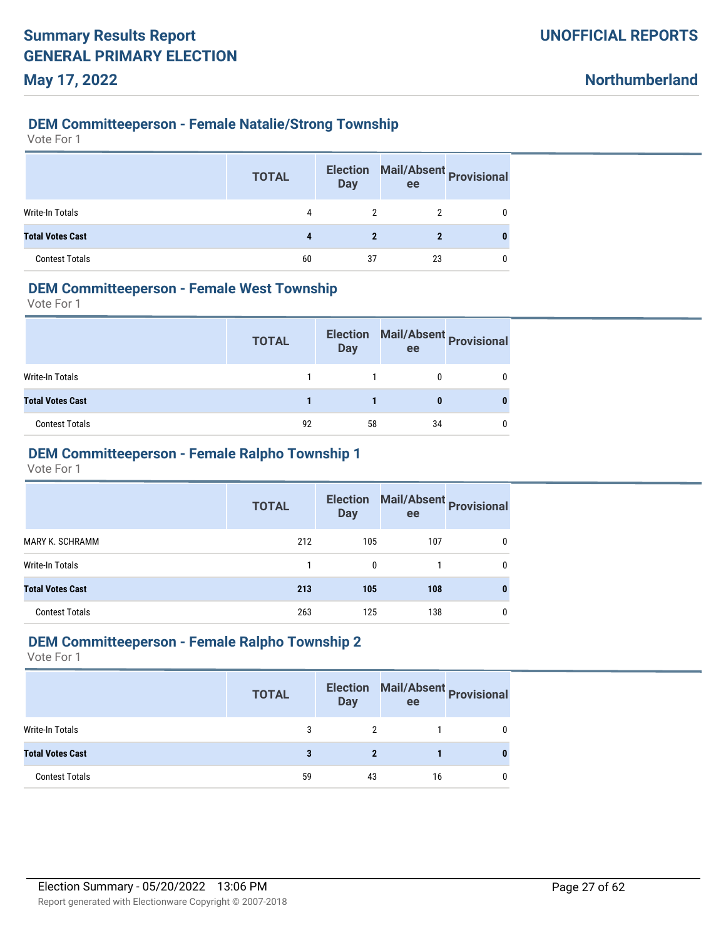### **DEM Committeeperson - Female Natalie/Strong Township**

Vote For 1

|                         | <b>TOTAL</b> | <b>Election</b><br><b>Day</b> | Mail/Absent Provisional<br>ee |   |
|-------------------------|--------------|-------------------------------|-------------------------------|---|
| Write-In Totals         | 4            |                               |                               |   |
| <b>Total Votes Cast</b> |              |                               |                               | 0 |
| <b>Contest Totals</b>   | 60           | 37                            | 23                            |   |

### **DEM Committeeperson - Female West Township**

Vote For 1

|                         | <b>TOTAL</b> | <b>Election</b><br><b>Day</b> | ee | Mail/Absent Provisional |
|-------------------------|--------------|-------------------------------|----|-------------------------|
| Write-In Totals         |              |                               |    |                         |
| <b>Total Votes Cast</b> |              |                               |    |                         |
| <b>Contest Totals</b>   | 92           | 58                            | 34 |                         |

# **DEM Committeeperson - Female Ralpho Township 1**

Vote For 1

|                         | <b>TOTAL</b> | <b>Election</b><br><b>Day</b> | ee  | Mail/Absent<br>Provisional |
|-------------------------|--------------|-------------------------------|-----|----------------------------|
| <b>MARY K. SCHRAMM</b>  | 212          | 105                           | 107 | 0                          |
| Write-In Totals         |              | $\mathbf{0}$                  |     | 0                          |
| <b>Total Votes Cast</b> | 213          | 105                           | 108 | 0                          |
| <b>Contest Totals</b>   | 263          | 125                           | 138 | 0                          |

### **DEM Committeeperson - Female Ralpho Township 2**

|                         | <b>TOTAL</b> | <b>Election</b><br><b>Day</b> | ee | Mail/Absent Provisional |
|-------------------------|--------------|-------------------------------|----|-------------------------|
| Write-In Totals         | 3            |                               |    |                         |
| <b>Total Votes Cast</b> |              |                               |    |                         |
| <b>Contest Totals</b>   | 59           | 43                            | 16 |                         |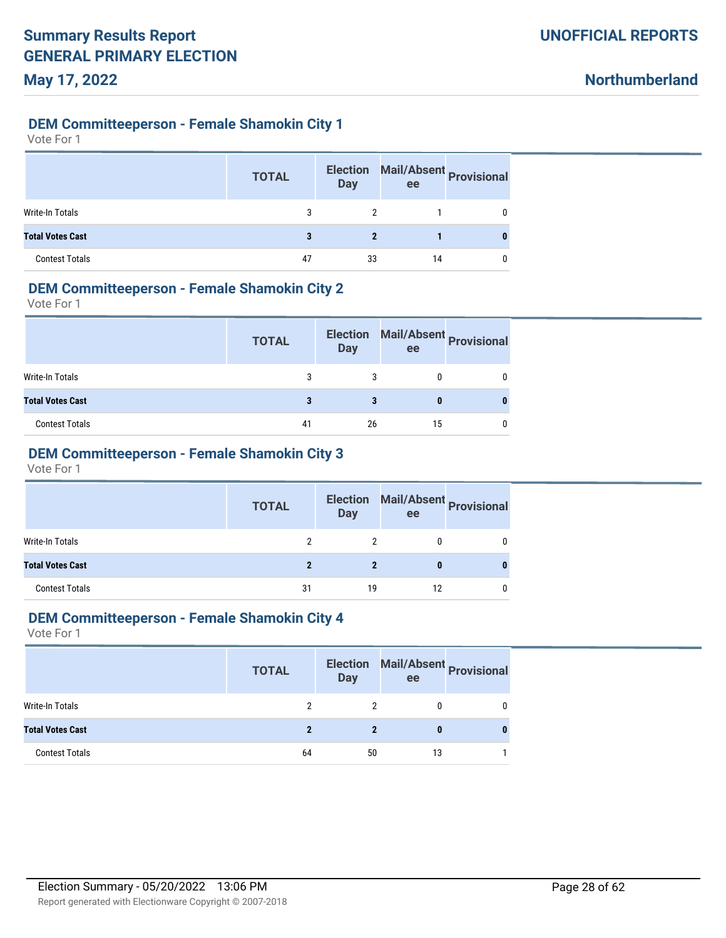**Northumberland**

#### **DEM Committeeperson - Female Shamokin City 1**

Vote For 1

|                         | <b>TOTAL</b> | <b>Election</b><br><b>Day</b> | ee | Mail/Absent Provisional |
|-------------------------|--------------|-------------------------------|----|-------------------------|
| Write-In Totals         | 3            |                               |    | 0                       |
| <b>Total Votes Cast</b> | 3            | 2                             |    |                         |
| <b>Contest Totals</b>   | 47           | 33                            | 14 | 0                       |

#### **DEM Committeeperson - Female Shamokin City 2**

Vote For 1

|                         | <b>TOTAL</b> | <b>Election</b><br><b>Day</b> | ee | Mail/Absent Provisional |
|-------------------------|--------------|-------------------------------|----|-------------------------|
| Write-In Totals         |              |                               |    |                         |
| <b>Total Votes Cast</b> |              |                               |    |                         |
| <b>Contest Totals</b>   | 41           | 26                            | 15 |                         |

# **DEM Committeeperson - Female Shamokin City 3**

Vote For 1

|                         | <b>TOTAL</b> | <b>Election</b><br><b>Day</b> | Mail/Absent Provisional<br>ee |  |
|-------------------------|--------------|-------------------------------|-------------------------------|--|
| Write-In Totals         |              |                               |                               |  |
| <b>Total Votes Cast</b> |              |                               | 0                             |  |
| <b>Contest Totals</b>   | 31           | 19                            | 12                            |  |

#### **DEM Committeeperson - Female Shamokin City 4**

|                         | <b>TOTAL</b> | <b>Election</b><br><b>Day</b> | ee | Mail/Absent Provisional |
|-------------------------|--------------|-------------------------------|----|-------------------------|
| Write-In Totals         |              |                               |    |                         |
| <b>Total Votes Cast</b> | 2            | 2                             | 0  |                         |
| <b>Contest Totals</b>   | 64           | 50                            | 13 |                         |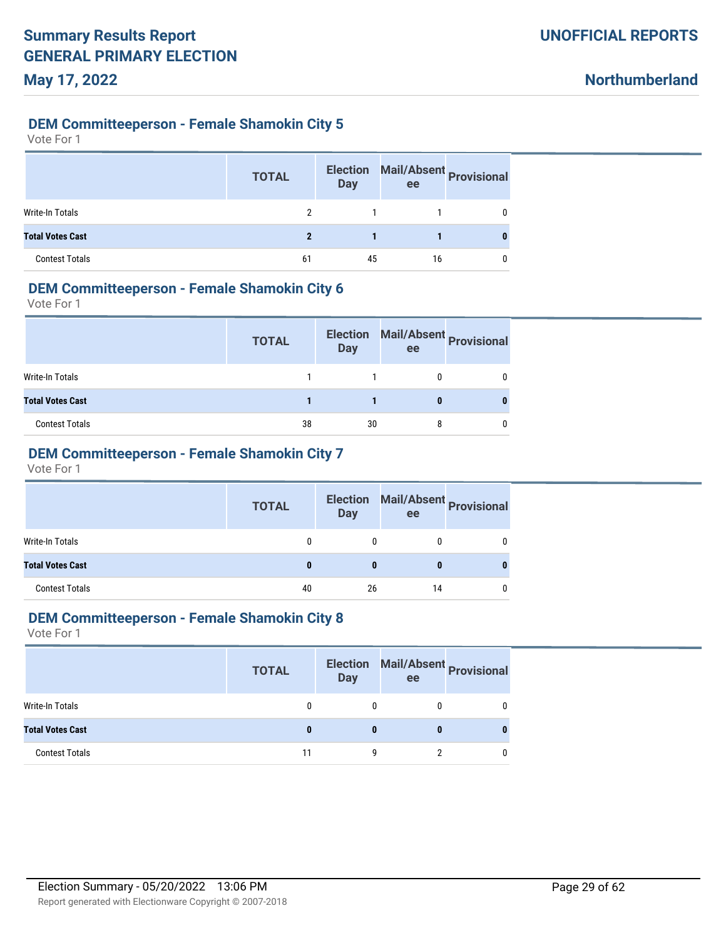**Northumberland**

#### **DEM Committeeperson - Female Shamokin City 5**

Vote For 1

|                         | <b>TOTAL</b> | <b>Election</b><br><b>Day</b> | ee | Mail/Absent Provisional |
|-------------------------|--------------|-------------------------------|----|-------------------------|
| Write-In Totals         | 2            |                               |    |                         |
| <b>Total Votes Cast</b> | 2            |                               |    |                         |
| <b>Contest Totals</b>   | 61           | 45                            | 16 |                         |

### **DEM Committeeperson - Female Shamokin City 6**

Vote For 1

|                         | <b>TOTAL</b> | <b>Election</b><br><b>Day</b> | ee | Mail/Absent Provisional |
|-------------------------|--------------|-------------------------------|----|-------------------------|
| Write-In Totals         |              |                               |    |                         |
| <b>Total Votes Cast</b> |              |                               |    |                         |
| <b>Contest Totals</b>   | 38           | 30                            |    |                         |

# **DEM Committeeperson - Female Shamokin City 7**

Vote For 1

|                         | <b>TOTAL</b> | <b>Election</b><br><b>Day</b> | Mail/Absent Provisional<br>ee |   |
|-------------------------|--------------|-------------------------------|-------------------------------|---|
| Write-In Totals         | 0            | 0                             |                               | 0 |
| <b>Total Votes Cast</b> |              |                               | o                             | o |
| <b>Contest Totals</b>   | 40           | 26                            | 14                            |   |

#### **DEM Committeeperson - Female Shamokin City 8**

|                         | <b>TOTAL</b> | <b>Election</b><br><b>Day</b> | ee | Mail/Absent<br>Provisional |
|-------------------------|--------------|-------------------------------|----|----------------------------|
| Write-In Totals         |              |                               |    |                            |
| <b>Total Votes Cast</b> |              | 0                             | O  |                            |
| <b>Contest Totals</b>   | 11           |                               |    |                            |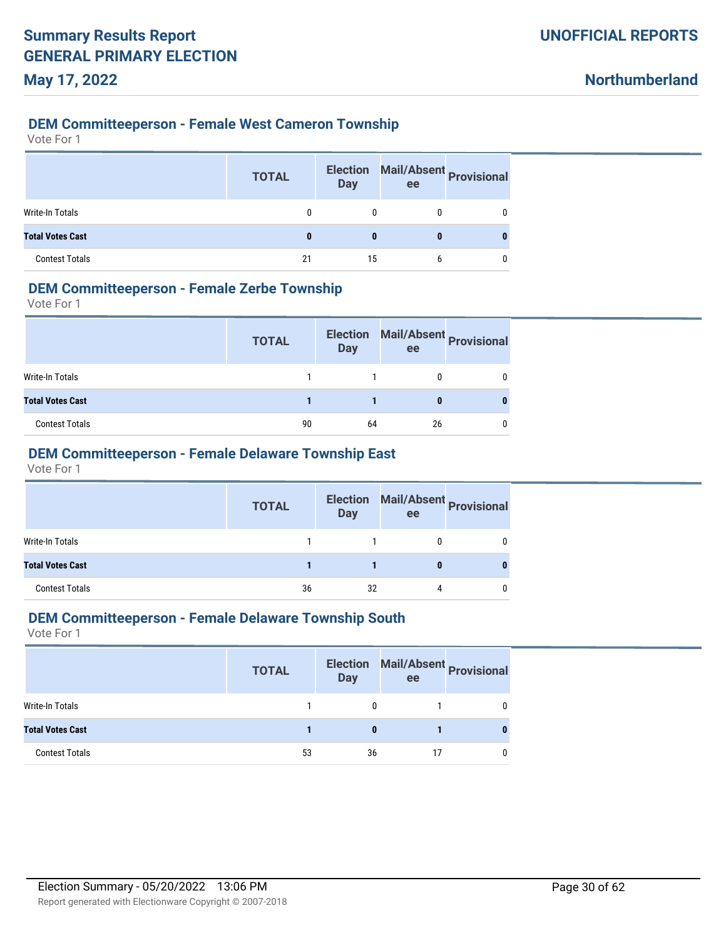#### **DEM Committeeperson - Female West Cameron Township**

Vote For 1

|                         | <b>TOTAL</b> | <b>Election</b><br><b>Day</b> | Mail/Absent Provisional<br>ee |   |
|-------------------------|--------------|-------------------------------|-------------------------------|---|
| Write-In Totals         | $\Omega$     |                               |                               |   |
| <b>Total Votes Cast</b> |              | 0                             | 0                             | 0 |
| <b>Contest Totals</b>   | 21           | 15                            |                               |   |

### **DEM Committeeperson - Female Zerbe Township**

Vote For 1

|                         | <b>TOTAL</b> | <b>Election</b><br><b>Day</b> | ee | Mail/Absent Provisional |
|-------------------------|--------------|-------------------------------|----|-------------------------|
| <b>Write-In Totals</b>  |              |                               |    |                         |
| <b>Total Votes Cast</b> |              |                               |    |                         |
| <b>Contest Totals</b>   | 90           | 64                            | 26 |                         |

# **DEM Committeeperson - Female Delaware Township East**

Vote For 1

|                         | <b>TOTAL</b> | <b>Day</b> | Election Mail/Absent Provisional<br>ee |   |
|-------------------------|--------------|------------|----------------------------------------|---|
| Write-In Totals         |              |            | 0                                      | 0 |
| <b>Total Votes Cast</b> |              |            | 0                                      | 0 |
| <b>Contest Totals</b>   | 36           | 32         | 4                                      | 0 |

#### **DEM Committeeperson - Female Delaware Township South**

|                         | <b>TOTAL</b> | <b>Election</b><br>Day | Mail/Absent Provisional<br>ee |  |
|-------------------------|--------------|------------------------|-------------------------------|--|
| Write-In Totals         |              |                        |                               |  |
| <b>Total Votes Cast</b> |              | 0                      |                               |  |
| <b>Contest Totals</b>   | 53           | 36                     | 17                            |  |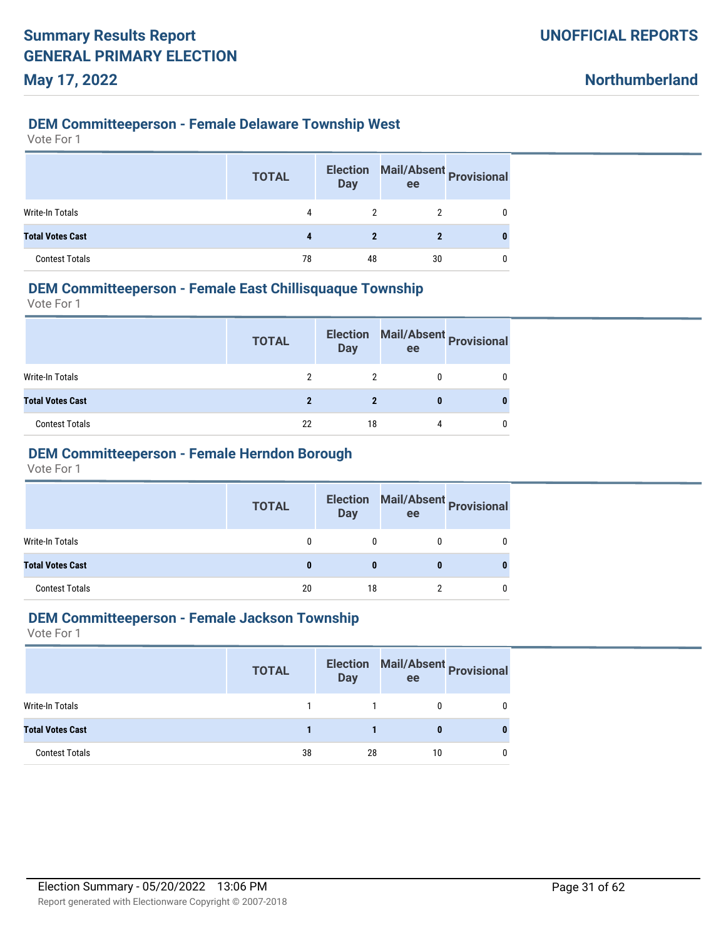#### **DEM Committeeperson - Female Delaware Township West**

Vote For 1

|                         | <b>TOTAL</b> | <b>Election</b><br><b>Day</b> | Mail/Absent Provisional<br>ee |   |
|-------------------------|--------------|-------------------------------|-------------------------------|---|
| Write-In Totals         | 4            | 2                             |                               |   |
| <b>Total Votes Cast</b> |              | 2                             |                               | 0 |
| <b>Contest Totals</b>   | 78           | 48                            | 30                            |   |

### **DEM Committeeperson - Female East Chillisquaque Township**

Vote For 1

|                         | <b>TOTAL</b> | <b>Election</b><br><b>Day</b> | ee | Mail/Absent Provisional |
|-------------------------|--------------|-------------------------------|----|-------------------------|
| Write-In Totals         |              |                               |    |                         |
| <b>Total Votes Cast</b> |              |                               |    |                         |
| <b>Contest Totals</b>   | 22           | 18                            | 4  |                         |

# **DEM Committeeperson - Female Herndon Borough**

Vote For 1

|                         | <b>TOTAL</b> | <b>Day</b> | Election Mail/Absent Provisional<br>ee |  |
|-------------------------|--------------|------------|----------------------------------------|--|
| Write-In Totals         |              | 0          | 0                                      |  |
| <b>Total Votes Cast</b> | 0            | 0          | 0                                      |  |
| <b>Contest Totals</b>   | 20           | 18         |                                        |  |

#### **DEM Committeeperson - Female Jackson Township**

|                         | <b>TOTAL</b> | <b>Day</b> | ee | Election Mail/Absent Provisional |
|-------------------------|--------------|------------|----|----------------------------------|
| Write-In Totals         |              |            |    |                                  |
| <b>Total Votes Cast</b> |              |            | 0  |                                  |
| <b>Contest Totals</b>   | 38           | 28         | 10 |                                  |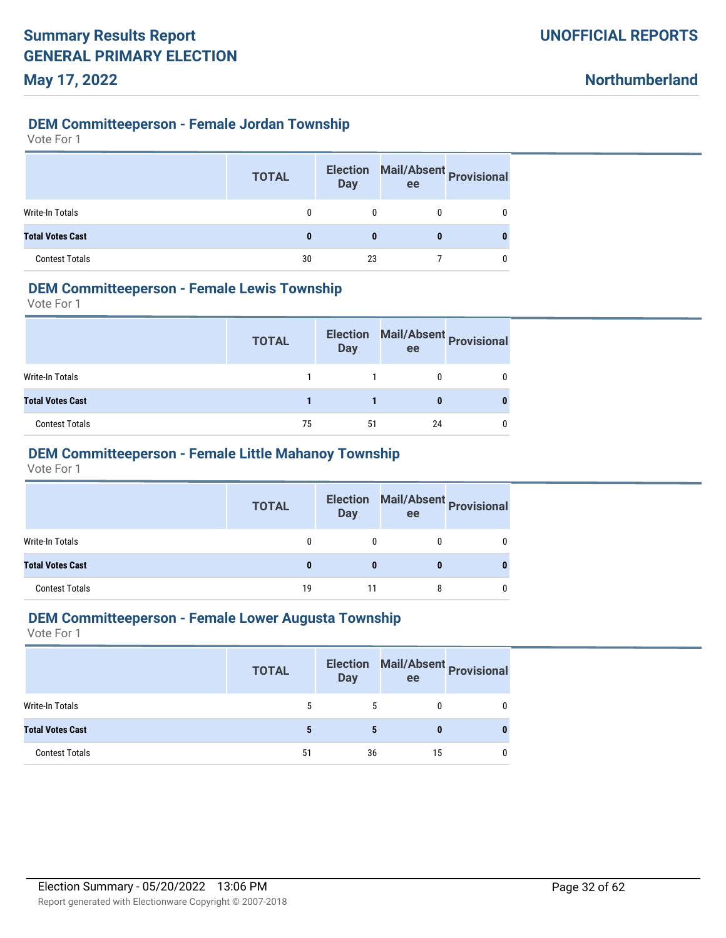#### **DEM Committeeperson - Female Jordan Township**

Vote For 1

|                         | <b>TOTAL</b> | <b>Election</b><br><b>Day</b> | ee | Mail/Absent Provisional |
|-------------------------|--------------|-------------------------------|----|-------------------------|
| Write-In Totals         | 0            | 0                             |    | 0                       |
| <b>Total Votes Cast</b> | 0            | 0                             | 0  |                         |
| <b>Contest Totals</b>   | 30           | 23                            |    |                         |

### **DEM Committeeperson - Female Lewis Township**

Vote For 1

|                         | <b>TOTAL</b> | <b>Election</b><br>Day | ee | Mail/Absent Provisional |
|-------------------------|--------------|------------------------|----|-------------------------|
| <b>Write-In Totals</b>  |              |                        |    |                         |
| <b>Total Votes Cast</b> |              |                        |    |                         |
| <b>Contest Totals</b>   | 75           | 51                     | 24 |                         |

### **DEM Committeeperson - Female Little Mahanoy Township**

Vote For 1

|                         | <b>TOTAL</b> | <b>Day</b> | ee | Election Mail/Absent Provisional |
|-------------------------|--------------|------------|----|----------------------------------|
| Write-In Totals         | 0            | 0          | 0  | 0                                |
| <b>Total Votes Cast</b> | 0            | 0          | 0  |                                  |
| <b>Contest Totals</b>   | 19           |            | 8  | 0                                |

#### **DEM Committeeperson - Female Lower Augusta Township**

|                         | <b>TOTAL</b> | <b>Election</b><br><b>Day</b> | Mail/Absent Provisional<br>ee |  |
|-------------------------|--------------|-------------------------------|-------------------------------|--|
| Write-In Totals         | 5            | 5                             |                               |  |
| <b>Total Votes Cast</b> |              | 5                             |                               |  |
| <b>Contest Totals</b>   | 51           | 36                            | 15                            |  |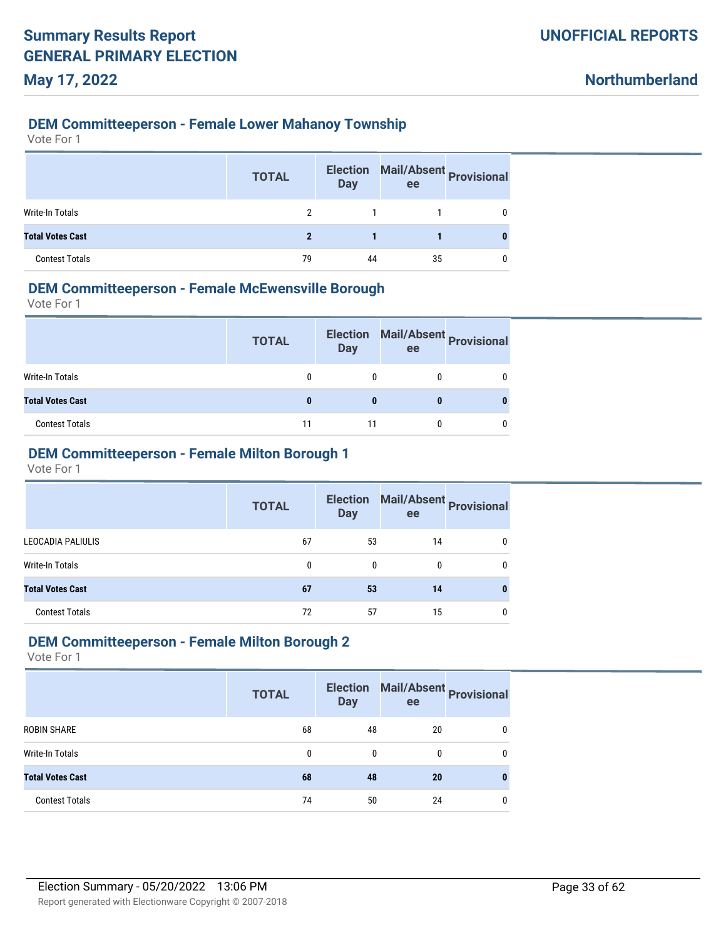### **DEM Committeeperson - Female Lower Mahanoy Township**

Vote For 1

|                         | <b>TOTAL</b> | <b>Election</b><br><b>Day</b> | Mail/Absent Provisional<br>ee |   |
|-------------------------|--------------|-------------------------------|-------------------------------|---|
| <b>Write-In Totals</b>  | 2            |                               |                               |   |
| <b>Total Votes Cast</b> | 2            |                               |                               | 0 |
| <b>Contest Totals</b>   | 79           | 44                            | 35                            |   |

### **DEM Committeeperson - Female McEwensville Borough**

Vote For 1

|                         | <b>TOTAL</b> | <b>Election</b><br><b>Day</b> | ee | Mail/Absent Provisional |
|-------------------------|--------------|-------------------------------|----|-------------------------|
| <b>Write-In Totals</b>  |              |                               |    |                         |
| <b>Total Votes Cast</b> |              |                               |    |                         |
| <b>Contest Totals</b>   | 11           | 11                            |    |                         |

### **DEM Committeeperson - Female Milton Borough 1**

Vote For 1

|                         | <b>TOTAL</b> | <b>Election</b><br><b>Day</b> | ee | Mail/Absent<br>Provisional |
|-------------------------|--------------|-------------------------------|----|----------------------------|
| LEOCADIA PALIULIS       | 67           | 53                            | 14 |                            |
| Write-In Totals         | 0            | 0                             | 0  |                            |
| <b>Total Votes Cast</b> | 67           | 53                            | 14 |                            |
| <b>Contest Totals</b>   | 72           | 57                            | 15 |                            |

#### **DEM Committeeperson - Female Milton Borough 2**

|                         | <b>TOTAL</b> | <b>Election</b><br><b>Day</b> | ee | Mail/Absent Provisional |
|-------------------------|--------------|-------------------------------|----|-------------------------|
| <b>ROBIN SHARE</b>      | 68           | 48                            | 20 | 0                       |
| Write-In Totals         | 0            | 0                             | 0  | 0                       |
| <b>Total Votes Cast</b> | 68           | 48                            | 20 | 0                       |
| <b>Contest Totals</b>   | 74           | 50                            | 24 | 0                       |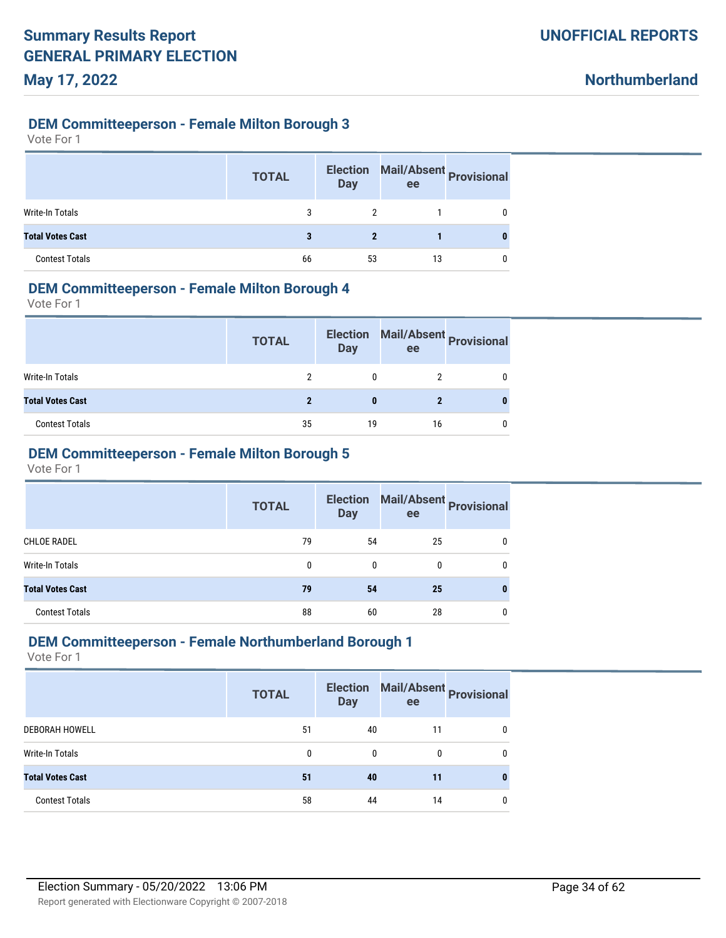#### **DEM Committeeperson - Female Milton Borough 3**

Vote For 1

|                         | <b>TOTAL</b> | <b>Election</b><br><b>Day</b> | ee | Mail/Absent Provisional |
|-------------------------|--------------|-------------------------------|----|-------------------------|
| Write-In Totals         | 3            |                               |    | 0                       |
| <b>Total Votes Cast</b> | 3            | 2                             |    |                         |
| <b>Contest Totals</b>   | 66           | 53                            | 13 | 0                       |

#### **DEM Committeeperson - Female Milton Borough 4**

Vote For 1

|                         | <b>TOTAL</b> | <b>Election</b><br><b>Day</b> | ee | Mail/Absent Provisional |
|-------------------------|--------------|-------------------------------|----|-------------------------|
| Write-In Totals         |              |                               |    |                         |
| <b>Total Votes Cast</b> |              |                               |    |                         |
| <b>Contest Totals</b>   | 35           | 19                            | 16 |                         |

### **DEM Committeeperson - Female Milton Borough 5**

Vote For 1

|                         | <b>TOTAL</b> | <b>Election</b><br><b>Day</b> | Mail/Absent<br>Provisional<br>ee |   |
|-------------------------|--------------|-------------------------------|----------------------------------|---|
| <b>CHLOE RADEL</b>      | 79           | 54                            | 25                               | 0 |
| Write-In Totals         | 0            | 0                             | 0                                | 0 |
| <b>Total Votes Cast</b> | 79           | 54                            | 25                               | 0 |
| <b>Contest Totals</b>   | 88           | 60                            | 28                               | 0 |

#### **DEM Committeeperson - Female Northumberland Borough 1**

|                         | <b>TOTAL</b> | <b>Election</b><br><b>Day</b> | ee | Mail/Absent Provisional |
|-------------------------|--------------|-------------------------------|----|-------------------------|
| <b>DEBORAH HOWELL</b>   | 51           | 40                            | 11 |                         |
| <b>Write-In Totals</b>  | 0            | 0                             | 0  |                         |
| <b>Total Votes Cast</b> | 51           | 40                            | 11 |                         |
| <b>Contest Totals</b>   | 58           | 44                            | 14 |                         |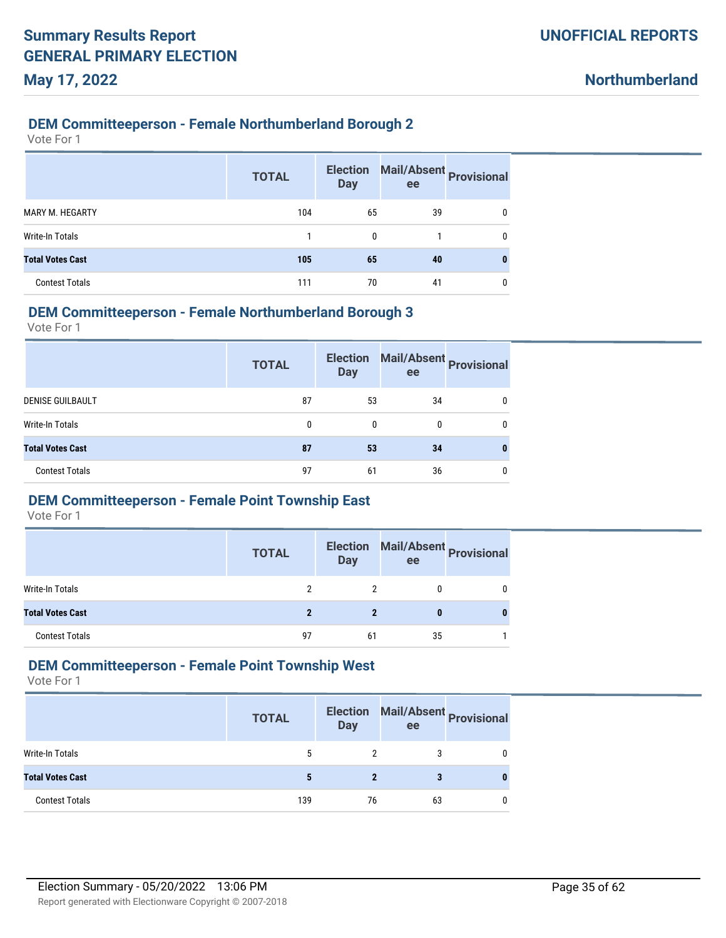#### **DEM Committeeperson - Female Northumberland Borough 2**

Vote For 1

**May 17, 2022**

|                         | <b>TOTAL</b> | <b>Election</b><br><b>Day</b> | ee | Mail/Absent Provisional |
|-------------------------|--------------|-------------------------------|----|-------------------------|
| MARY M. HEGARTY         | 104          | 65                            | 39 | 0                       |
| <b>Write-In Totals</b>  |              | $\Omega$                      |    | 0                       |
| <b>Total Votes Cast</b> | 105          | 65                            | 40 | 0                       |
| <b>Contest Totals</b>   | 111          | 70                            | 41 | 0                       |

#### **DEM Committeeperson - Female Northumberland Borough 3**

Vote For 1

|                         | <b>TOTAL</b> | <b>Election</b><br><b>Day</b> | ee | Mail/Absent Provisional |
|-------------------------|--------------|-------------------------------|----|-------------------------|
| <b>DENISE GUILBAULT</b> | 87           | 53                            | 34 |                         |
| Write-In Totals         | 0            | 0                             | 0  | 0                       |
| <b>Total Votes Cast</b> | 87           | 53                            | 34 | 0                       |
| <b>Contest Totals</b>   | 97           | 61                            | 36 | 0                       |

#### **DEM Committeeperson - Female Point Township East**

Vote For 1

|                         | <b>TOTAL</b> | <b>Day</b> | ee | Election Mail/Absent Provisional |
|-------------------------|--------------|------------|----|----------------------------------|
| Write-In Totals         |              |            |    |                                  |
| <b>Total Votes Cast</b> | ŋ            |            |    |                                  |
| <b>Contest Totals</b>   | 97           | 61         | 35 |                                  |

### **DEM Committeeperson - Female Point Township West**

|                         | <b>TOTAL</b> | <b>Election</b><br><b>Day</b> | Mail/Absent Provisional<br>ee |   |
|-------------------------|--------------|-------------------------------|-------------------------------|---|
| Write-In Totals         | 5            |                               | 3                             | 0 |
| <b>Total Votes Cast</b> |              |                               |                               | 0 |
| <b>Contest Totals</b>   | 139          | 76                            | 63                            | 0 |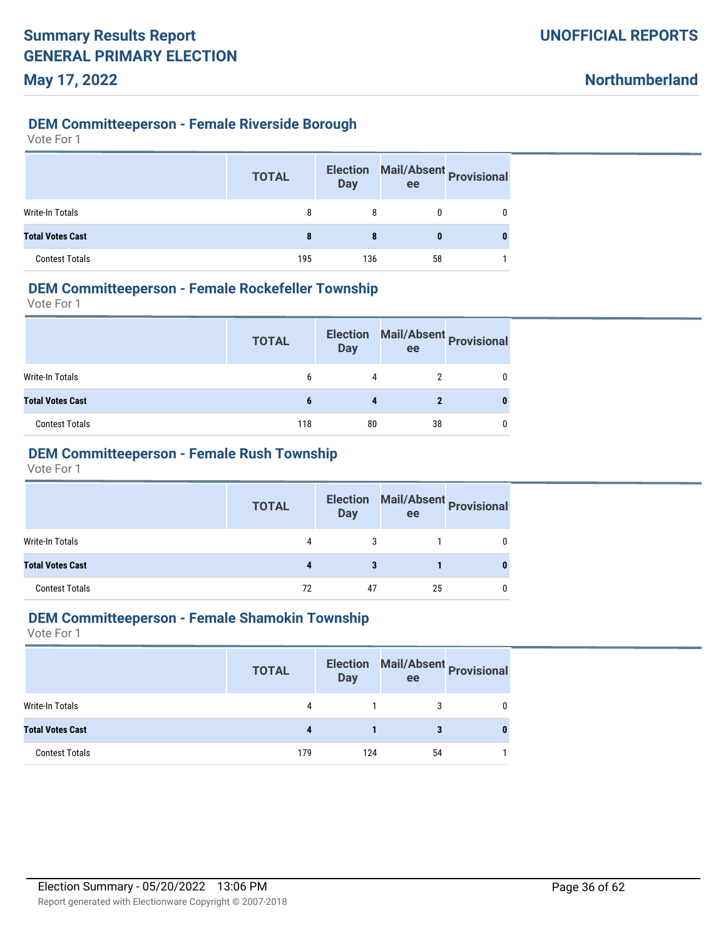#### **DEM Committeeperson - Female Riverside Borough**

Vote For 1

|                         | <b>TOTAL</b> | <b>Election</b><br><b>Day</b> | Mail/Absent Provisional<br>ee |   |
|-------------------------|--------------|-------------------------------|-------------------------------|---|
| Write-In Totals         | 8            | 8                             |                               | 0 |
| <b>Total Votes Cast</b> | 8            | 8                             | 0                             |   |
| <b>Contest Totals</b>   | 195          | 136                           | 58                            |   |

### **DEM Committeeperson - Female Rockefeller Township**

Vote For 1

|                         | <b>TOTAL</b> | <b>Election</b><br><b>Day</b> | ee | Mail/Absent Provisional |
|-------------------------|--------------|-------------------------------|----|-------------------------|
| Write-In Totals         | 6            | 4                             |    |                         |
| <b>Total Votes Cast</b> | b            |                               |    |                         |
| <b>Contest Totals</b>   | 118          | 80                            | 38 |                         |

# **DEM Committeeperson - Female Rush Township**

Vote For 1

|                         | <b>TOTAL</b> | <b>Day</b> | Election Mail/Absent Provisional<br>ee |   |
|-------------------------|--------------|------------|----------------------------------------|---|
| Write-In Totals         | 4            | 3          |                                        |   |
| <b>Total Votes Cast</b> |              | 3          |                                        | 0 |
| <b>Contest Totals</b>   | 72           | 47         | 25                                     |   |

### **DEM Committeeperson - Female Shamokin Township**

|                         | <b>TOTAL</b> | <b>Election</b><br><b>Day</b> | Mail/Absent Provisional<br>ee |   |
|-------------------------|--------------|-------------------------------|-------------------------------|---|
| Write-In Totals         | 4            |                               |                               |   |
| <b>Total Votes Cast</b> |              |                               |                               | 0 |
| <b>Contest Totals</b>   | 179          | 124                           | 54                            |   |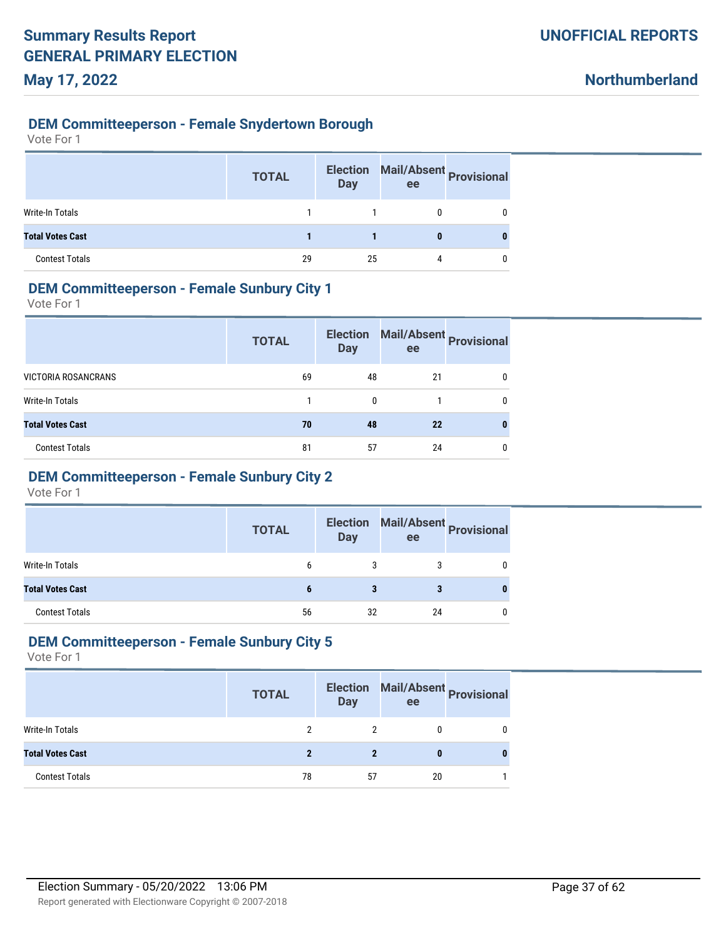#### **DEM Committeeperson - Female Snydertown Borough**

| Vote For |  |  |
|----------|--|--|
|----------|--|--|

|                         | <b>TOTAL</b> | <b>Election</b><br><b>Day</b> | ee | Mail/Absent Provisional |
|-------------------------|--------------|-------------------------------|----|-------------------------|
| Write-In Totals         |              |                               |    | 0                       |
| <b>Total Votes Cast</b> |              |                               | 0  |                         |
| <b>Contest Totals</b>   | 29           | 25                            | 4  | 0                       |

### **DEM Committeeperson - Female Sunbury City 1**

Vote For 1

|                            | <b>TOTAL</b> | <b>Election</b><br><b>Day</b> | ee | Mail/Absent Provisional |
|----------------------------|--------------|-------------------------------|----|-------------------------|
| <b>VICTORIA ROSANCRANS</b> | 69           | 48                            | 21 | 0                       |
| Write-In Totals            |              | 0                             |    | 0                       |
| <b>Total Votes Cast</b>    | 70           | 48                            | 22 | 0                       |
| <b>Contest Totals</b>      | 81           | 57                            | 24 | 0                       |

# **DEM Committeeperson - Female Sunbury City 2**

Vote For 1

|                         | <b>TOTAL</b> | <b>Election</b><br><b>Day</b> | ee | Mail/Absent Provisional |
|-------------------------|--------------|-------------------------------|----|-------------------------|
| Write-In Totals         | 6            | 3                             |    |                         |
| <b>Total Votes Cast</b> | 6            |                               |    |                         |
| <b>Contest Totals</b>   | 56           | 32                            | 24 |                         |

#### **DEM Committeeperson - Female Sunbury City 5**

|                         | <b>TOTAL</b> | <b>Election</b><br><b>Day</b> | ee | Mail/Absent Provisional |
|-------------------------|--------------|-------------------------------|----|-------------------------|
| Write-In Totals         |              |                               |    |                         |
| <b>Total Votes Cast</b> |              |                               |    |                         |
| <b>Contest Totals</b>   | 78           | -57                           | 20 |                         |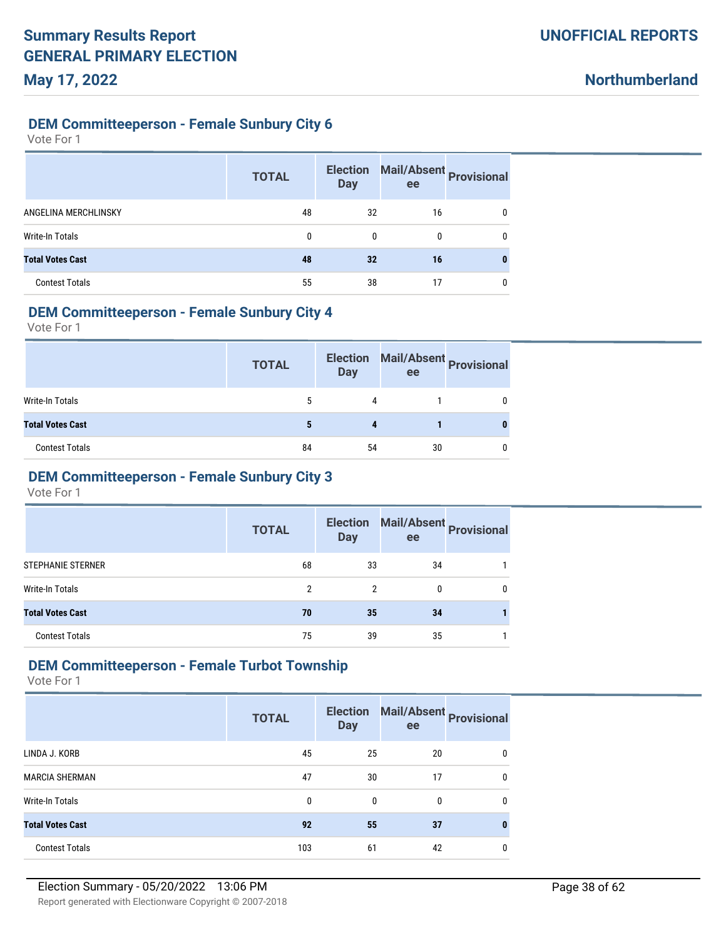### **DEM Committeeperson - Female Sunbury City 6**

Vote For 1

|                         | <b>TOTAL</b> | <b>Election</b><br><b>Day</b> | ee | Mail/Absent Provisional |
|-------------------------|--------------|-------------------------------|----|-------------------------|
| ANGELINA MERCHLINSKY    | 48           | 32                            | 16 | 0                       |
| <b>Write-In Totals</b>  | 0            | $\mathbf{0}$                  | 0  | 0                       |
| <b>Total Votes Cast</b> | 48           | 32                            | 16 |                         |
| <b>Contest Totals</b>   | 55           | 38                            | 17 | 0                       |

### **DEM Committeeperson - Female Sunbury City 4**

Vote For 1

|                         | <b>TOTAL</b> | <b>Election</b><br><b>Day</b> | ee | Mail/Absent Provisional |
|-------------------------|--------------|-------------------------------|----|-------------------------|
| <b>Write-In Totals</b>  | 5            | 4                             |    |                         |
| <b>Total Votes Cast</b> |              |                               |    |                         |
| <b>Contest Totals</b>   | 84           | 54                            | 30 |                         |

# **DEM Committeeperson - Female Sunbury City 3**

Vote For 1

|                          | <b>TOTAL</b>  | <b>Election</b><br><b>Day</b> | ee | Mail/Absent Provisional |
|--------------------------|---------------|-------------------------------|----|-------------------------|
| <b>STEPHANIE STERNER</b> | 68            | 33                            | 34 |                         |
| Write-In Totals          | $\mathcal{P}$ | 2                             | 0  | 0                       |
| <b>Total Votes Cast</b>  | 70            | 35                            | 34 |                         |
| <b>Contest Totals</b>    | 75            | 39                            | 35 |                         |

### **DEM Committeeperson - Female Turbot Township**

|                         | <b>TOTAL</b> | <b>Election</b><br><b>Day</b> | Mail/Absent Provisional<br>ee |              |
|-------------------------|--------------|-------------------------------|-------------------------------|--------------|
| LINDA J. KORB           | 45           | 25                            | 20                            | $\mathbf{0}$ |
| <b>MARCIA SHERMAN</b>   | 47           | 30                            | 17                            | $\mathbf{0}$ |
| Write-In Totals         | 0            | 0                             | 0                             | $\mathbf{0}$ |
| <b>Total Votes Cast</b> | 92           | 55                            | 37                            | 0            |
| <b>Contest Totals</b>   | 103          | 61                            | 42                            | 0            |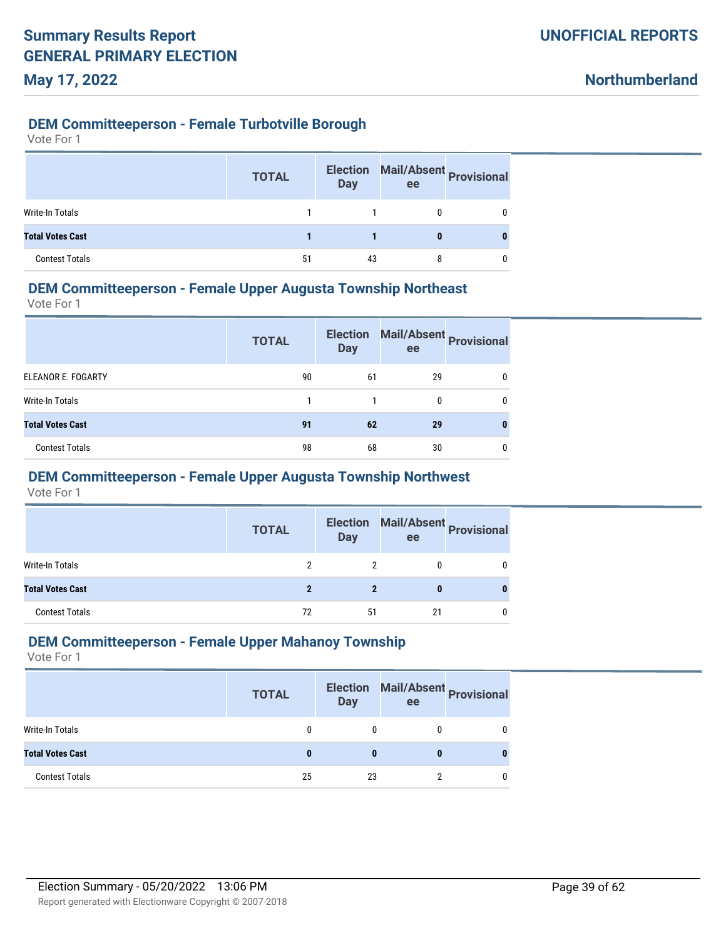#### **DEM Committeeperson - Female Turbotville Borough**

| Vote For |  |  |
|----------|--|--|
|----------|--|--|

|                         | <b>TOTAL</b> | <b>Election</b><br><b>Day</b> | ee | Mail/Absent Provisional |
|-------------------------|--------------|-------------------------------|----|-------------------------|
| <b>Write-In Totals</b>  |              |                               |    |                         |
| <b>Total Votes Cast</b> |              |                               |    |                         |
| <b>Contest Totals</b>   | 51           | 43                            |    |                         |

### **DEM Committeeperson - Female Upper Augusta Township Northeast**

Vote For 1

|                         | <b>TOTAL</b> | <b>Election</b><br><b>Day</b> | ee | Mail/Absent Provisional |
|-------------------------|--------------|-------------------------------|----|-------------------------|
| ELEANOR E. FOGARTY      | 90           | 61                            | 29 | 0                       |
| Write-In Totals         |              |                               | 0  | 0                       |
| <b>Total Votes Cast</b> | 91           | 62                            | 29 |                         |
| <b>Contest Totals</b>   | 98           | 68                            | 30 |                         |

### **DEM Committeeperson - Female Upper Augusta Township Northwest**

Vote For 1

|                         | <b>TOTAL</b> | <b>Election</b><br><b>Day</b> | ee | Mail/Absent Provisional |
|-------------------------|--------------|-------------------------------|----|-------------------------|
| Write-In Totals         |              |                               |    |                         |
| <b>Total Votes Cast</b> |              |                               |    |                         |
| <b>Contest Totals</b>   | 72           | 51                            | 21 |                         |

#### **DEM Committeeperson - Female Upper Mahanoy Township**

|                         | <b>TOTAL</b> | <b>Election</b><br><b>Day</b> | ee | Mail/Absent Provisional |
|-------------------------|--------------|-------------------------------|----|-------------------------|
| Write-In Totals         |              |                               |    |                         |
| <b>Total Votes Cast</b> |              |                               |    |                         |
| <b>Contest Totals</b>   | 25           | 23                            |    |                         |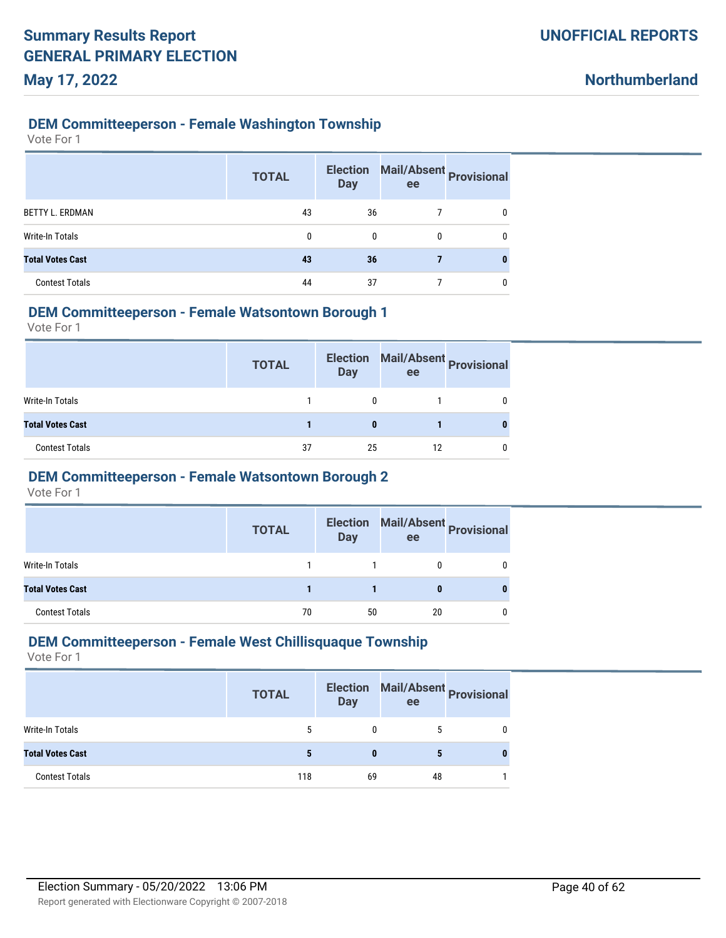#### **DEM Committeeperson - Female Washington Township**

Vote For 1

|                         | <b>TOTAL</b> | <b>Election</b><br><b>Day</b> | Mail/Absent Provisional<br>ee |              |
|-------------------------|--------------|-------------------------------|-------------------------------|--------------|
| <b>BETTY L. ERDMAN</b>  | 43           | 36                            |                               | $\mathbf{0}$ |
| <b>Write-In Totals</b>  | $\Omega$     | $\Omega$                      | 0                             | 0            |
| <b>Total Votes Cast</b> | 43           | 36                            |                               | 0            |
| <b>Contest Totals</b>   | 44           | 37                            |                               | 0            |

#### **DEM Committeeperson - Female Watsontown Borough 1**

Vote For 1

|                         | <b>TOTAL</b> | <b>Election</b><br><b>Day</b> | ee | Mail/Absent Provisional |
|-------------------------|--------------|-------------------------------|----|-------------------------|
| Write-In Totals         |              | 0                             |    |                         |
| <b>Total Votes Cast</b> |              |                               |    |                         |
| <b>Contest Totals</b>   | 37           | 25                            | 12 |                         |

### **DEM Committeeperson - Female Watsontown Borough 2**

Vote For 1

|                         | <b>TOTAL</b> | <b>Election</b><br><b>Day</b> | ee | Mail/Absent Provisional |
|-------------------------|--------------|-------------------------------|----|-------------------------|
| Write-In Totals         |              |                               |    |                         |
| <b>Total Votes Cast</b> |              |                               |    |                         |
| <b>Contest Totals</b>   | 70           | 50                            | 20 |                         |

#### **DEM Committeeperson - Female West Chillisquaque Township**

|                         | <b>TOTAL</b> | <b>Election</b><br><b>Day</b> | ee | Mail/Absent Provisional |
|-------------------------|--------------|-------------------------------|----|-------------------------|
| Write-In Totals         | 5            |                               |    |                         |
| <b>Total Votes Cast</b> |              |                               |    |                         |
| <b>Contest Totals</b>   | 118          | 69                            | 48 |                         |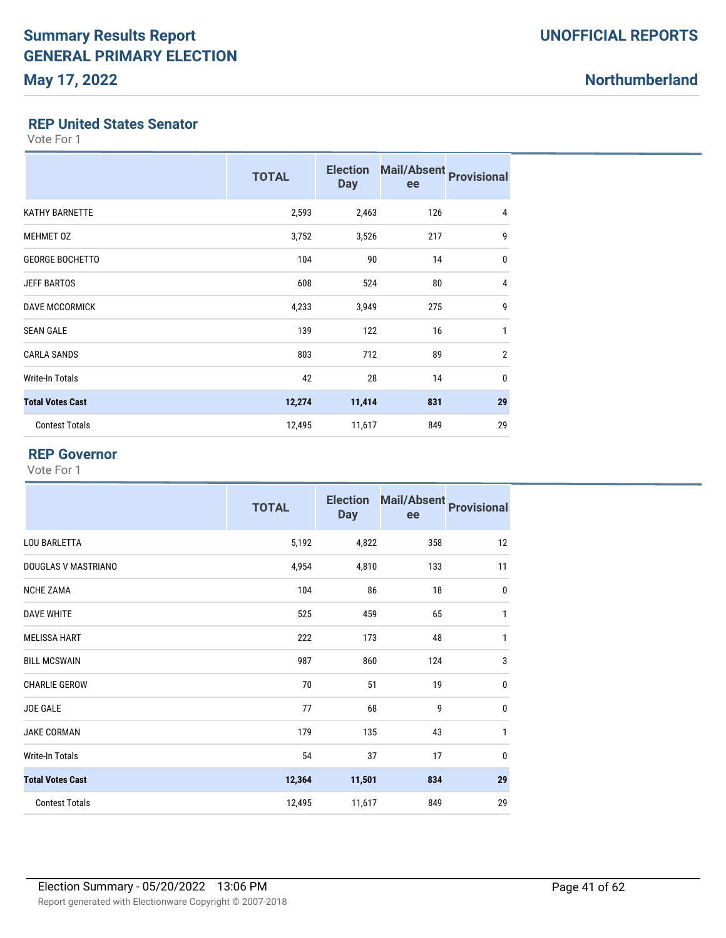# **Northumberland**

#### **REP United States Senator**

Vote For 1

|                         | <b>TOTAL</b> | <b>Election</b><br><b>Day</b> | Mail/Absent Provisional<br>ee |                |
|-------------------------|--------------|-------------------------------|-------------------------------|----------------|
| <b>KATHY BARNETTE</b>   | 2,593        | 2,463                         | 126                           | 4              |
| <b>MEHMET 0Z</b>        | 3,752        | 3,526                         | 217                           | 9              |
| <b>GEORGE BOCHETTO</b>  | 104          | 90                            | 14                            | $\mathbf 0$    |
| <b>JEFF BARTOS</b>      | 608          | 524                           | 80                            | 4              |
| <b>DAVE MCCORMICK</b>   | 4,233        | 3,949                         | 275                           | 9              |
| <b>SEAN GALE</b>        | 139          | 122                           | 16                            | 1              |
| <b>CARLA SANDS</b>      | 803          | 712                           | 89                            | $\overline{2}$ |
| Write-In Totals         | 42           | 28                            | 14                            | 0              |
| <b>Total Votes Cast</b> | 12,274       | 11,414                        | 831                           | 29             |
| <b>Contest Totals</b>   | 12,495       | 11,617                        | 849                           | 29             |

#### **REP Governor**

|                         | <b>TOTAL</b> | <b>Election</b><br><b>Day</b> | <b>Mail/Absent</b><br>ee | <b>Provisional</b> |
|-------------------------|--------------|-------------------------------|--------------------------|--------------------|
| <b>LOU BARLETTA</b>     | 5,192        | 4,822                         | 358                      | 12                 |
| DOUGLAS V MASTRIANO     | 4,954        | 4,810                         | 133                      | 11                 |
| <b>NCHE ZAMA</b>        | 104          | 86                            | 18                       | $\mathbf 0$        |
| <b>DAVE WHITE</b>       | 525          | 459                           | 65                       | $\mathbf{1}$       |
| <b>MELISSA HART</b>     | 222          | 173                           | 48                       | $\mathbf{1}$       |
| <b>BILL MCSWAIN</b>     | 987          | 860                           | 124                      | 3                  |
| <b>CHARLIE GEROW</b>    | 70           | 51                            | 19                       | $\mathbf 0$        |
| <b>JOE GALE</b>         | 77           | 68                            | 9                        | $\mathbf{0}$       |
| <b>JAKE CORMAN</b>      | 179          | 135                           | 43                       | 1                  |
| <b>Write-In Totals</b>  | 54           | 37                            | 17                       | $\mathbf{0}$       |
| <b>Total Votes Cast</b> | 12,364       | 11,501                        | 834                      | 29                 |
| <b>Contest Totals</b>   | 12,495       | 11,617                        | 849                      | 29                 |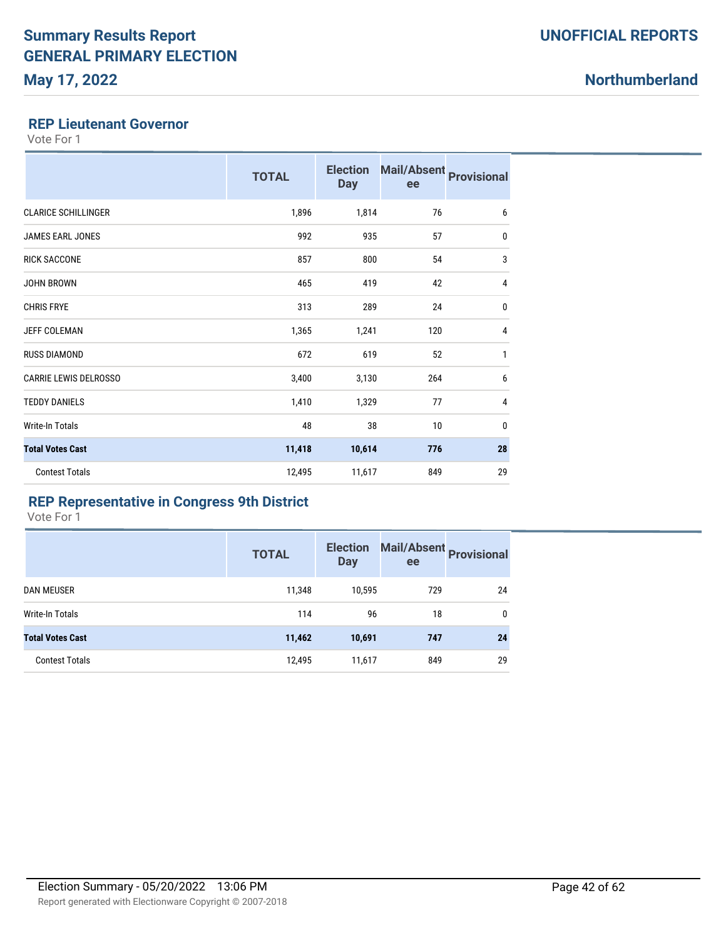#### **REP Lieutenant Governor**

Vote For 1

|                              | <b>TOTAL</b> | <b>Election</b><br><b>Day</b> | <b>Mail/Absent</b><br>ee | <b>Provisional</b> |
|------------------------------|--------------|-------------------------------|--------------------------|--------------------|
| <b>CLARICE SCHILLINGER</b>   | 1,896        | 1,814                         | 76                       | 6                  |
| <b>JAMES EARL JONES</b>      | 992          | 935                           | 57                       | $\mathbf 0$        |
| <b>RICK SACCONE</b>          | 857          | 800                           | 54                       | 3                  |
| <b>JOHN BROWN</b>            | 465          | 419                           | 42                       | 4                  |
| <b>CHRIS FRYE</b>            | 313          | 289                           | 24                       | $\mathbf 0$        |
| <b>JEFF COLEMAN</b>          | 1,365        | 1,241                         | 120                      | $\overline{4}$     |
| <b>RUSS DIAMOND</b>          | 672          | 619                           | 52                       | 1                  |
| <b>CARRIE LEWIS DELROSSO</b> | 3,400        | 3,130                         | 264                      | 6                  |
| <b>TEDDY DANIELS</b>         | 1,410        | 1,329                         | 77                       | 4                  |
| Write-In Totals              | 48           | 38                            | 10                       | $\mathbf{0}$       |
| <b>Total Votes Cast</b>      | 11,418       | 10,614                        | 776                      | 28                 |
| <b>Contest Totals</b>        | 12,495       | 11,617                        | 849                      | 29                 |

#### **REP Representative in Congress 9th District**

|                         | <b>TOTAL</b> | <b>Election</b><br><b>Day</b> | Mail/Absent Provisional<br>ee |    |
|-------------------------|--------------|-------------------------------|-------------------------------|----|
| <b>DAN MEUSER</b>       | 11,348       | 10,595                        | 729                           | 24 |
| Write-In Totals         | 114          | 96                            | 18                            | 0  |
| <b>Total Votes Cast</b> | 11,462       | 10,691                        | 747                           | 24 |
| <b>Contest Totals</b>   | 12,495       | 11,617                        | 849                           | 29 |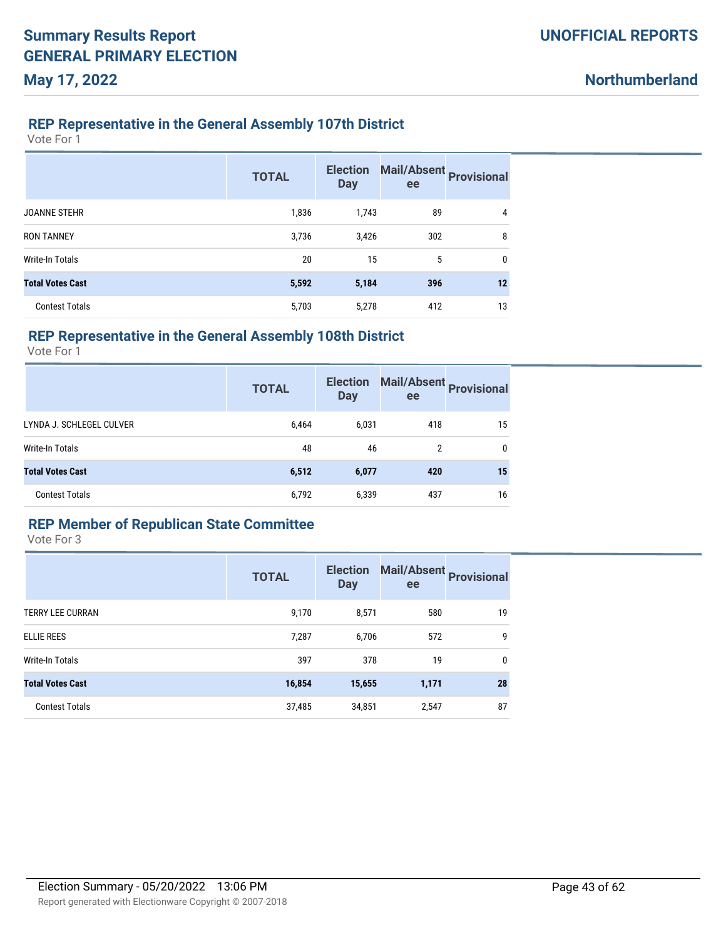### **REP Representative in the General Assembly 107th District**

Vote For 1

**May 17, 2022**

|                         | <b>TOTAL</b> | <b>Election</b><br><b>Day</b> | Mail/Absent<br><b>Provisional</b><br>ee |             |
|-------------------------|--------------|-------------------------------|-----------------------------------------|-------------|
| <b>JOANNE STEHR</b>     | 1,836        | 1,743                         | 89                                      | 4           |
| <b>RON TANNEY</b>       | 3,736        | 3,426                         | 302                                     | 8           |
| Write-In Totals         | 20           | 15                            | 5                                       | $\mathbf 0$ |
| <b>Total Votes Cast</b> | 5,592        | 5,184                         | 396                                     | 12          |
| <b>Contest Totals</b>   | 5,703        | 5,278                         | 412                                     | 13          |

### **REP Representative in the General Assembly 108th District**

Vote For 1

|                          | <b>TOTAL</b> | <b>Election</b><br><b>Day</b> | Mail/Absent Provisional<br>ee |              |
|--------------------------|--------------|-------------------------------|-------------------------------|--------------|
| LYNDA J. SCHLEGEL CULVER | 6,464        | 6,031                         | 418                           | 15           |
| Write-In Totals          | 48           | 46                            | 2                             | $\mathbf{0}$ |
| <b>Total Votes Cast</b>  | 6,512        | 6,077                         | 420                           | 15           |
| <b>Contest Totals</b>    | 6,792        | 6,339                         | 437                           | 16           |

### **REP Member of Republican State Committee**

|                         | <b>TOTAL</b> | <b>Election</b><br><b>Day</b> | Mail/Absent<br>Provisional<br>ee |              |
|-------------------------|--------------|-------------------------------|----------------------------------|--------------|
| <b>TERRY LEE CURRAN</b> | 9,170        | 8,571                         | 580                              | 19           |
| ELLIE REES              | 7,287        | 6,706                         | 572                              | 9            |
| Write-In Totals         | 397          | 378                           | 19                               | $\mathbf{0}$ |
| <b>Total Votes Cast</b> | 16,854       | 15,655                        | 1,171                            | 28           |
| <b>Contest Totals</b>   | 37,485       | 34,851                        | 2,547                            | 87           |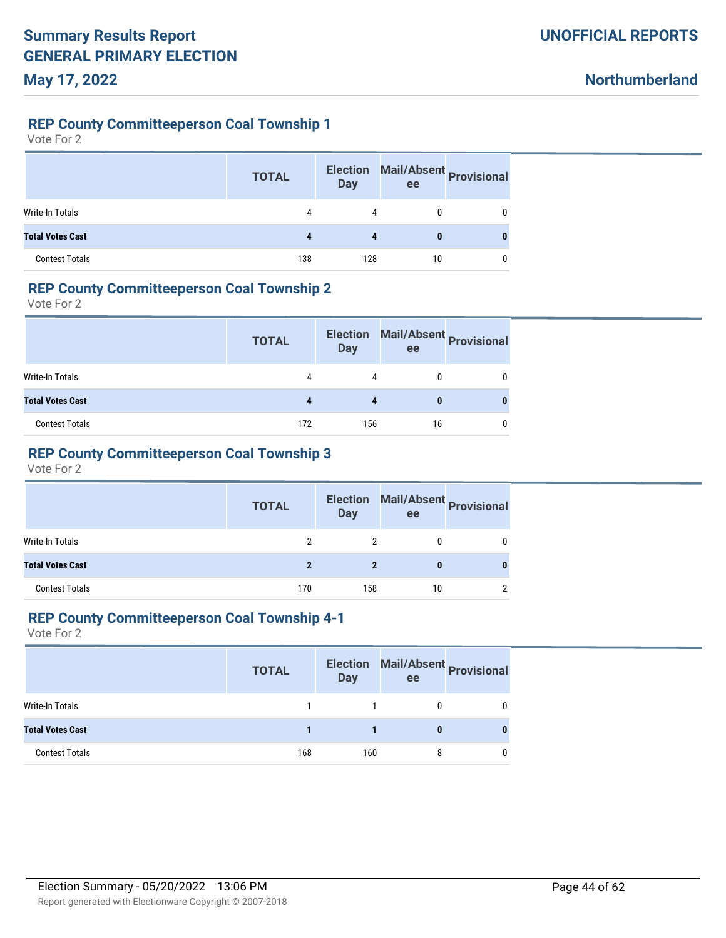**Northumberland**

#### **REP County Committeeperson Coal Township 1**

Vote For 2

|                         | <b>TOTAL</b> | <b>Election</b><br><b>Day</b> | ee | Mail/Absent Provisional |
|-------------------------|--------------|-------------------------------|----|-------------------------|
| Write-In Totals         | 4            | 4                             |    |                         |
| <b>Total Votes Cast</b> |              |                               | 0  |                         |
| <b>Contest Totals</b>   | 138          | 128                           | 10 |                         |

### **REP County Committeeperson Coal Township 2**

Vote For 2

|                         | <b>TOTAL</b> | <b>Election</b><br><b>Day</b> | ee | Mail/Absent Provisional |
|-------------------------|--------------|-------------------------------|----|-------------------------|
| Write-In Totals         | 4            | 4                             |    |                         |
| <b>Total Votes Cast</b> |              |                               |    |                         |
| <b>Contest Totals</b>   | 172          | 156                           | 16 |                         |

# **REP County Committeeperson Coal Township 3**

Vote For 2

|                         | <b>TOTAL</b> | <b>Day</b> | ee | Election Mail/Absent Provisional |
|-------------------------|--------------|------------|----|----------------------------------|
| Write-In Totals         |              | 2          |    |                                  |
| <b>Total Votes Cast</b> |              | 2          |    |                                  |
| <b>Contest Totals</b>   | 170          | 158        | 10 |                                  |

#### **REP County Committeeperson Coal Township 4-1**

|                         | <b>TOTAL</b> | <b>Day</b> | Election Mail/Absent Provisional<br>ee |   |
|-------------------------|--------------|------------|----------------------------------------|---|
| Write-In Totals         |              |            |                                        |   |
| <b>Total Votes Cast</b> |              |            |                                        | 0 |
| <b>Contest Totals</b>   | 168          | 160        |                                        |   |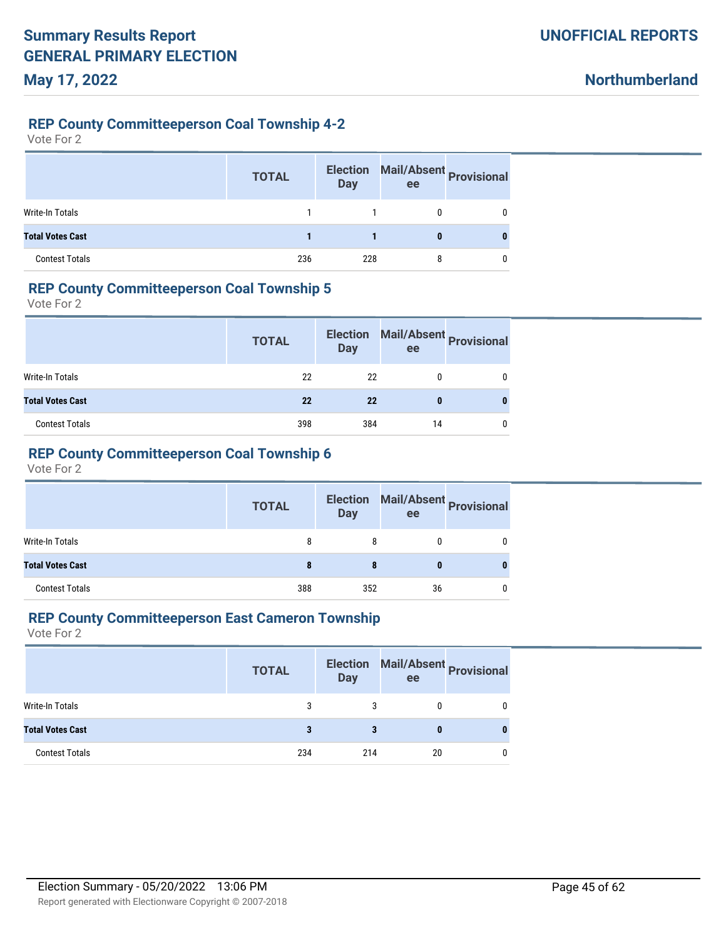**Northumberland**

#### **REP County Committeeperson Coal Township 4-2**

Vote For 2

|                         | <b>TOTAL</b> | <b>Election</b><br><b>Day</b> | Mail/Absent Provisional<br>ee |   |
|-------------------------|--------------|-------------------------------|-------------------------------|---|
| Write-In Totals         |              |                               | 0                             | 0 |
| <b>Total Votes Cast</b> |              |                               | 0                             |   |
| <b>Contest Totals</b>   | 236          | 228                           | 8                             | 0 |

#### **REP County Committeeperson Coal Township 5**

Vote For 2

|                         | <b>TOTAL</b> | <b>Election</b><br>Day | ee | Mail/Absent Provisional |
|-------------------------|--------------|------------------------|----|-------------------------|
| Write-In Totals         | 22           | 22                     |    |                         |
| <b>Total Votes Cast</b> | 22           | 22                     |    |                         |
| <b>Contest Totals</b>   | 398          | 384                    | 14 |                         |

### **REP County Committeeperson Coal Township 6**

Vote For 2

|                         | <b>TOTAL</b> | <b>Election</b><br><b>Day</b> | Mail/Absent<br>Provisional<br>ee |   |
|-------------------------|--------------|-------------------------------|----------------------------------|---|
| Write-In Totals         | 8            | 8                             | 0                                | 0 |
| <b>Total Votes Cast</b> |              |                               | 0                                |   |
| <b>Contest Totals</b>   | 388          | 352                           | 36                               | 0 |

#### **REP County Committeeperson East Cameron Township**

|                         | <b>TOTAL</b> | <b>Day</b> | Election Mail/Absent Provisional<br>ee |  |
|-------------------------|--------------|------------|----------------------------------------|--|
| Write-In Totals         |              | 3          |                                        |  |
| <b>Total Votes Cast</b> | 3            |            |                                        |  |
| <b>Contest Totals</b>   | 234          | 214        | 20                                     |  |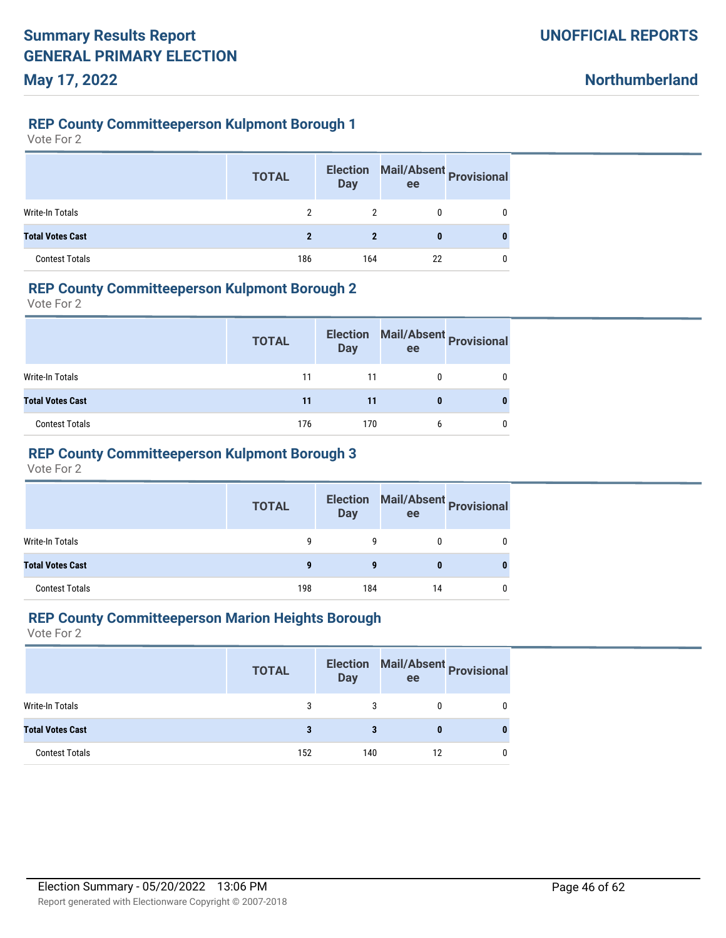**Northumberland**

#### **REP County Committeeperson Kulpmont Borough 1**

Vote For 2

|                         | <b>TOTAL</b> | <b>Election</b><br><b>Day</b> | Mail/Absent Provisional<br>ee |   |
|-------------------------|--------------|-------------------------------|-------------------------------|---|
| Write-In Totals         |              |                               | 0                             | 0 |
| <b>Total Votes Cast</b> | 2            | $\boldsymbol{\eta}$           | 0                             |   |
| <b>Contest Totals</b>   | 186          | 164                           | 22                            | 0 |

### **REP County Committeeperson Kulpmont Borough 2**

Vote For 2

|                         | <b>TOTAL</b> | <b>Election</b><br><b>Day</b> | ee | Mail/Absent Provisional |
|-------------------------|--------------|-------------------------------|----|-------------------------|
| Write-In Totals         | 11           | 11                            |    |                         |
| <b>Total Votes Cast</b> | 11           | 11                            |    |                         |
| <b>Contest Totals</b>   | 176          | 170                           | 6  |                         |

### **REP County Committeeperson Kulpmont Borough 3**

Vote For 2

|                         | <b>TOTAL</b> | <b>Election</b><br><b>Day</b> | ee | Mail/Absent Provisional |
|-------------------------|--------------|-------------------------------|----|-------------------------|
| Write-In Totals         | q            | 9                             | 0  | U                       |
| <b>Total Votes Cast</b> | 9            | 9                             | 0  | o                       |
| <b>Contest Totals</b>   | 198          | 184                           | 14 | U                       |

#### **REP County Committeeperson Marion Heights Borough**

|                         | <b>TOTAL</b> | <b>Day</b> | Election Mail/Absent Provisional<br>ee |   |
|-------------------------|--------------|------------|----------------------------------------|---|
| Write-In Totals         | 3            | 3          |                                        |   |
| <b>Total Votes Cast</b> | 3            | 3          |                                        | 0 |
| <b>Contest Totals</b>   | 152          | 140        |                                        |   |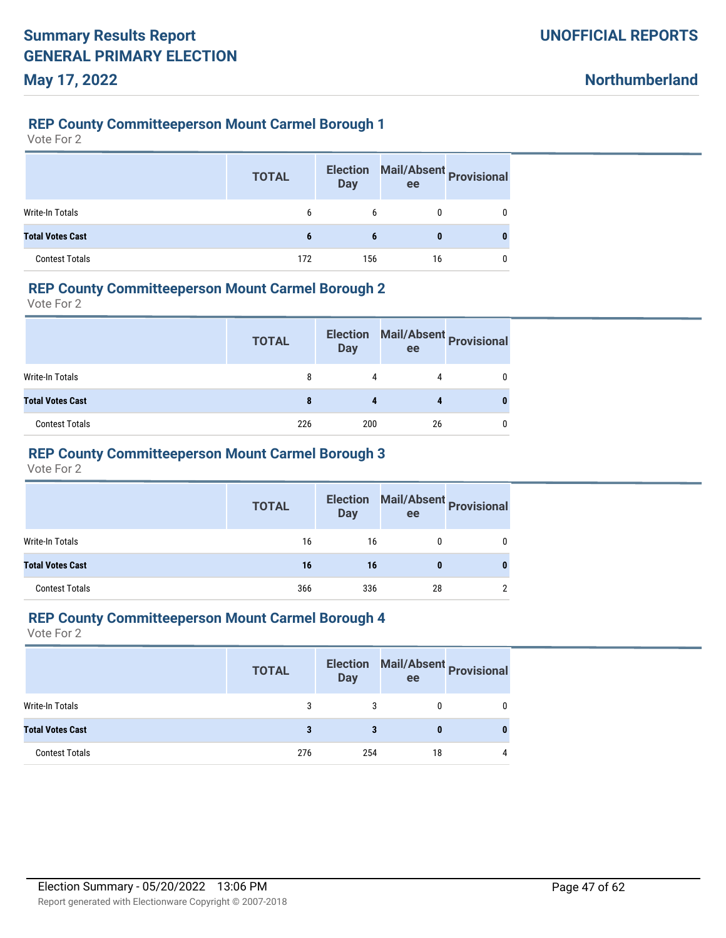**Northumberland**

#### **REP County Committeeperson Mount Carmel Borough 1**

Vote For 2

|                         | <b>TOTAL</b> | <b>Election</b><br><b>Day</b> | Mail/Absent Provisional<br>ee |   |
|-------------------------|--------------|-------------------------------|-------------------------------|---|
| Write-In Totals         | 6            | 6                             |                               |   |
| <b>Total Votes Cast</b> | 6            | 6                             | 0                             | 0 |
| <b>Contest Totals</b>   | 172          | 156                           | 16                            |   |

### **REP County Committeeperson Mount Carmel Borough 2**

Vote For 2

|                         | <b>TOTAL</b> | <b>Election</b><br><b>Day</b> | ee | Mail/Absent Provisional |
|-------------------------|--------------|-------------------------------|----|-------------------------|
| Write-In Totals         | 8            | 4                             | 4  |                         |
| <b>Total Votes Cast</b> |              |                               |    |                         |
| <b>Contest Totals</b>   | 226          | 200                           | 26 |                         |

#### **REP County Committeeperson Mount Carmel Borough 3**

Vote For 2

|                         | <b>TOTAL</b> | <b>Election</b><br><b>Day</b> | Mail/Absent<br>Provisional<br>ee |   |
|-------------------------|--------------|-------------------------------|----------------------------------|---|
| Write-In Totals         | 16           | 16                            |                                  | 0 |
| <b>Total Votes Cast</b> | 16           | 16                            | $\bf{0}$                         | U |
| <b>Contest Totals</b>   | 366          | 336                           | 28                               |   |

#### **REP County Committeeperson Mount Carmel Borough 4**

|                         | <b>TOTAL</b> | <b>Election</b><br><b>Day</b> | Mail/Absent Provisional<br>ee |   |
|-------------------------|--------------|-------------------------------|-------------------------------|---|
| Write-In Totals         | 3            |                               |                               |   |
| <b>Total Votes Cast</b> | 3            |                               |                               |   |
| <b>Contest Totals</b>   | 276          | 254                           | 18                            | 4 |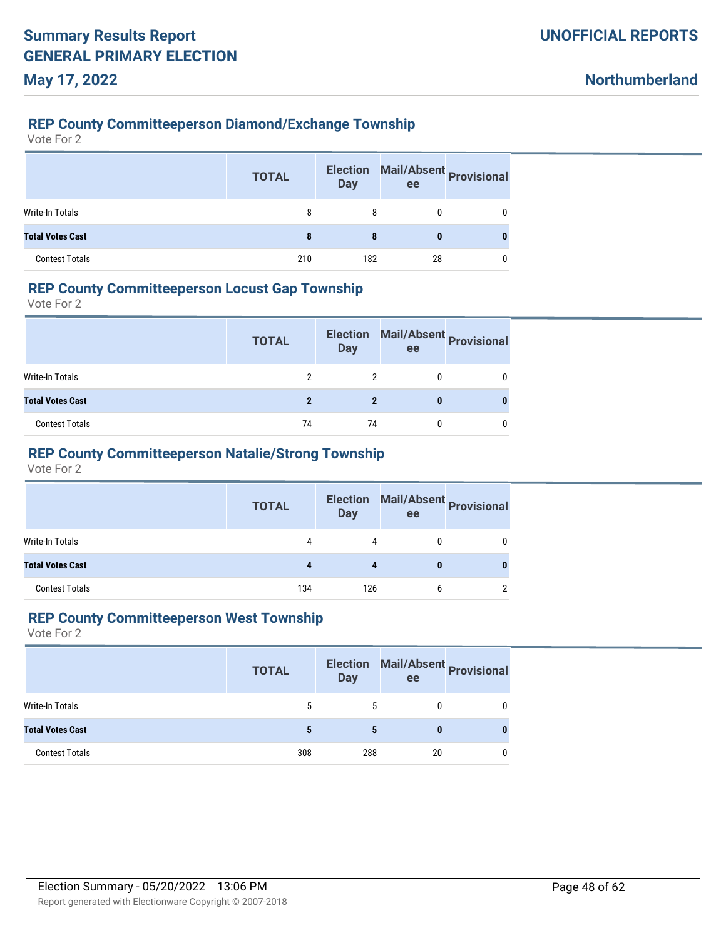#### **REP County Committeeperson Diamond/Exchange Township**

Vote For 2

|                         | <b>TOTAL</b> | <b>Election</b><br><b>Day</b> | Mail/Absent Provisional<br>ee |   |
|-------------------------|--------------|-------------------------------|-------------------------------|---|
| <b>Write-In Totals</b>  | 8            | 8                             |                               |   |
| <b>Total Votes Cast</b> | 8            | 8                             | 0                             | 0 |
| <b>Contest Totals</b>   | 210          | 182                           | 28                            |   |

### **REP County Committeeperson Locust Gap Township**

Vote For 2

|                         | <b>TOTAL</b> | <b>Election</b><br><b>Day</b> | ee | Mail/Absent Provisional |
|-------------------------|--------------|-------------------------------|----|-------------------------|
| Write-In Totals         |              |                               |    |                         |
| <b>Total Votes Cast</b> |              |                               |    |                         |
| <b>Contest Totals</b>   | 74           | 74                            |    |                         |

### **REP County Committeeperson Natalie/Strong Township**

Vote For 2

|                         | <b>TOTAL</b> | <b>Election</b><br><b>Day</b> | ee | Mail/Absent<br>Provisional |
|-------------------------|--------------|-------------------------------|----|----------------------------|
| Write-In Totals         | 4            | 4                             |    | 0                          |
| <b>Total Votes Cast</b> | 4            |                               |    |                            |
| <b>Contest Totals</b>   | 134          | 126                           |    |                            |

#### **REP County Committeeperson West Township**

|                         | <b>TOTAL</b> | <b>Day</b> | ee | Election Mail/Absent Provisional |
|-------------------------|--------------|------------|----|----------------------------------|
| Write-In Totals         | 5            | 5          |    |                                  |
| <b>Total Votes Cast</b> | 5            |            | 0  |                                  |
| <b>Contest Totals</b>   | 308          | 288        | 20 |                                  |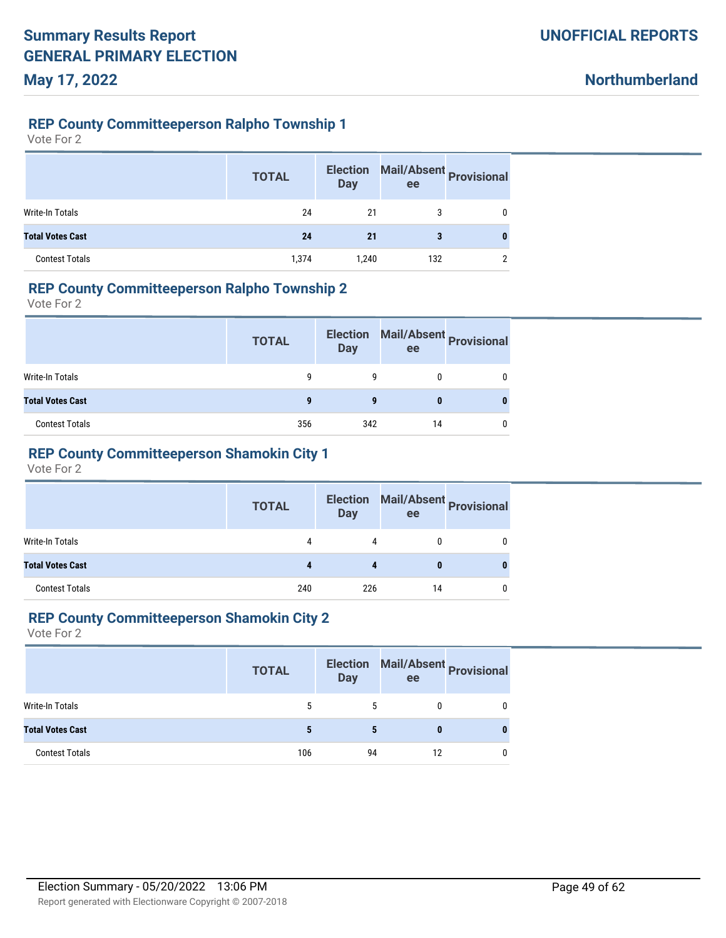**Northumberland**

#### **REP County Committeeperson Ralpho Township 1**

Vote For 2

|                         | <b>TOTAL</b> | <b>Election</b><br><b>Day</b> | ee  | Mail/Absent Provisional |
|-------------------------|--------------|-------------------------------|-----|-------------------------|
| Write-In Totals         | 24           | 21                            |     |                         |
| <b>Total Votes Cast</b> | 24           | 21                            | 3   | 0                       |
| <b>Contest Totals</b>   | 1,374        | 1,240                         | 132 | ∩                       |

#### **REP County Committeeperson Ralpho Township 2**

Vote For 2

|                         | <b>TOTAL</b> | <b>Election</b><br><b>Day</b> | ee | Mail/Absent Provisional |
|-------------------------|--------------|-------------------------------|----|-------------------------|
| Write-In Totals         |              |                               |    |                         |
| <b>Total Votes Cast</b> | g            | g                             |    |                         |
| <b>Contest Totals</b>   | 356          | 342                           | 14 |                         |

# **REP County Committeeperson Shamokin City 1**

Vote For 2

|                         | <b>TOTAL</b> | <b>Election</b><br><b>Day</b> | ee | Mail/Absent Provisional |
|-------------------------|--------------|-------------------------------|----|-------------------------|
| Write-In Totals         | 4            | 4                             |    |                         |
| <b>Total Votes Cast</b> |              |                               | o  |                         |
| <b>Contest Totals</b>   | 240          | 226                           | 14 |                         |

#### **REP County Committeeperson Shamokin City 2**

|                         | <b>TOTAL</b> | <b>Election</b><br>Day | Mail/Absent Provisional<br>ee |  |
|-------------------------|--------------|------------------------|-------------------------------|--|
| Write-In Totals         | 5            | 5                      |                               |  |
| <b>Total Votes Cast</b> |              | 5                      |                               |  |
| <b>Contest Totals</b>   | 106          | 94                     |                               |  |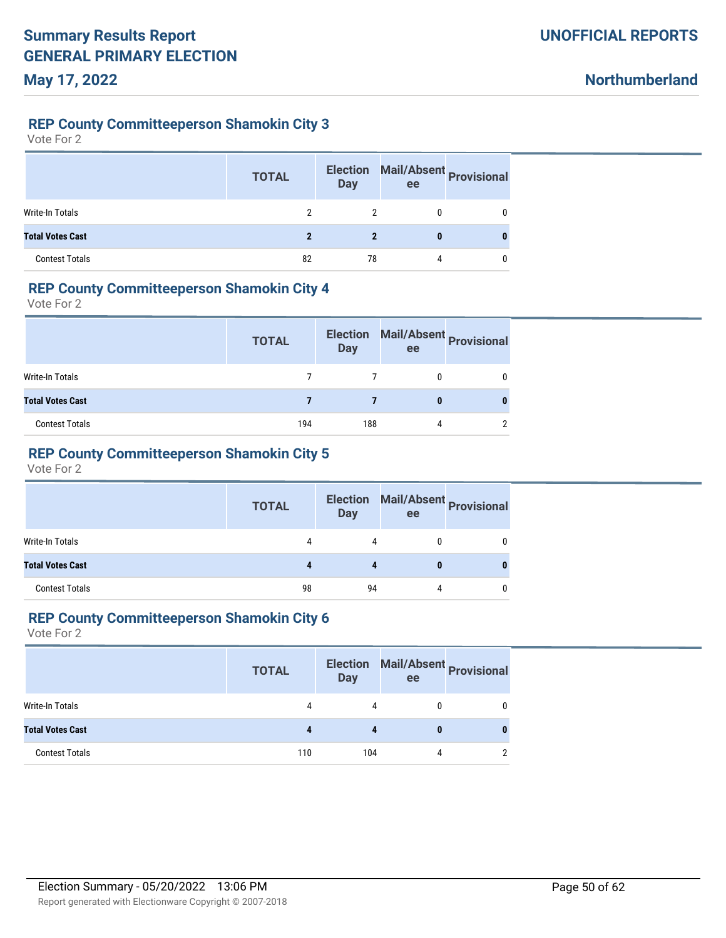**Northumberland**

#### **REP County Committeeperson Shamokin City 3**

Vote For 2

|                         | <b>TOTAL</b> | <b>Election</b><br><b>Day</b> | Mail/Absent Provisional<br>ee |   |
|-------------------------|--------------|-------------------------------|-------------------------------|---|
| <b>Write-In Totals</b>  |              |                               |                               | 0 |
| <b>Total Votes Cast</b> |              |                               | 0                             |   |
| <b>Contest Totals</b>   | 82           | 78                            | 4                             | 0 |

### **REP County Committeeperson Shamokin City 4**

Vote For 2

|                         | <b>TOTAL</b> | <b>Election</b><br>Day | ee | Mail/Absent Provisional |
|-------------------------|--------------|------------------------|----|-------------------------|
| Write-In Totals         |              |                        |    |                         |
| <b>Total Votes Cast</b> |              |                        |    |                         |
| <b>Contest Totals</b>   | 194          | 188                    | 4  |                         |

### **REP County Committeeperson Shamokin City 5**

Vote For 2

|                         | <b>TOTAL</b> | <b>Election</b><br><b>Day</b> | ee | Mail/Absent Provisional |
|-------------------------|--------------|-------------------------------|----|-------------------------|
| Write-In Totals         |              | 4                             |    |                         |
| <b>Total Votes Cast</b> |              |                               |    |                         |
| <b>Contest Totals</b>   | 98           | 94                            | 4  |                         |

#### **REP County Committeeperson Shamokin City 6**

|                         | <b>TOTAL</b> | <b>Day</b> | Election Mail/Absent Provisional<br>ee |  |
|-------------------------|--------------|------------|----------------------------------------|--|
| Write-In Totals         | 4            | 4          |                                        |  |
| <b>Total Votes Cast</b> |              |            |                                        |  |
| <b>Contest Totals</b>   | 110          | 104        | 4                                      |  |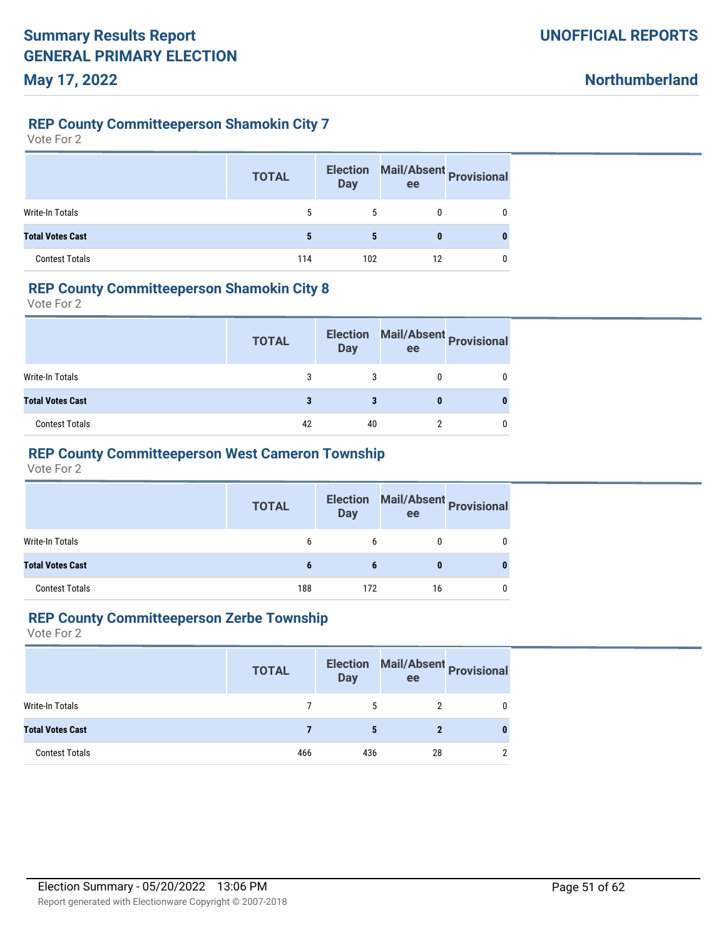**Northumberland**

#### **REP County Committeeperson Shamokin City 7**

Vote For 2

|                         | <b>TOTAL</b> | <b>Election</b><br><b>Day</b> | Mail/Absent Provisional<br>ee |   |
|-------------------------|--------------|-------------------------------|-------------------------------|---|
| <b>Write-In Totals</b>  | 5            | 5                             | 0                             | 0 |
| <b>Total Votes Cast</b> | 5            | 5                             | 0                             |   |
| <b>Contest Totals</b>   | 114          | 102                           | 12                            | 0 |

### **REP County Committeeperson Shamokin City 8**

Vote For 2

|                         | <b>TOTAL</b> | <b>Election</b><br><b>Day</b> | ee | Mail/Absent Provisional |
|-------------------------|--------------|-------------------------------|----|-------------------------|
| Write-In Totals         |              |                               |    |                         |
| <b>Total Votes Cast</b> |              |                               |    |                         |
| <b>Contest Totals</b>   | 42           | 40                            |    |                         |

### **REP County Committeeperson West Cameron Township**

Vote For 2

|                         | <b>TOTAL</b> | <b>Day</b> | Election Mail/Absent Provisional<br>ee |   |
|-------------------------|--------------|------------|----------------------------------------|---|
| Write-In Totals         | b            | 6          | 0                                      | 0 |
| <b>Total Votes Cast</b> | 6            | 6          | 0                                      |   |
| <b>Contest Totals</b>   | 188          | 172        | 16                                     | 0 |

#### **REP County Committeeperson Zerbe Township**

|                         | <b>TOTAL</b> | Day | ee | Election Mail/Absent Provisional |
|-------------------------|--------------|-----|----|----------------------------------|
| Write-In Totals         |              | 5   |    |                                  |
| <b>Total Votes Cast</b> |              | 5   |    |                                  |
| <b>Contest Totals</b>   | 466          | 436 | 28 |                                  |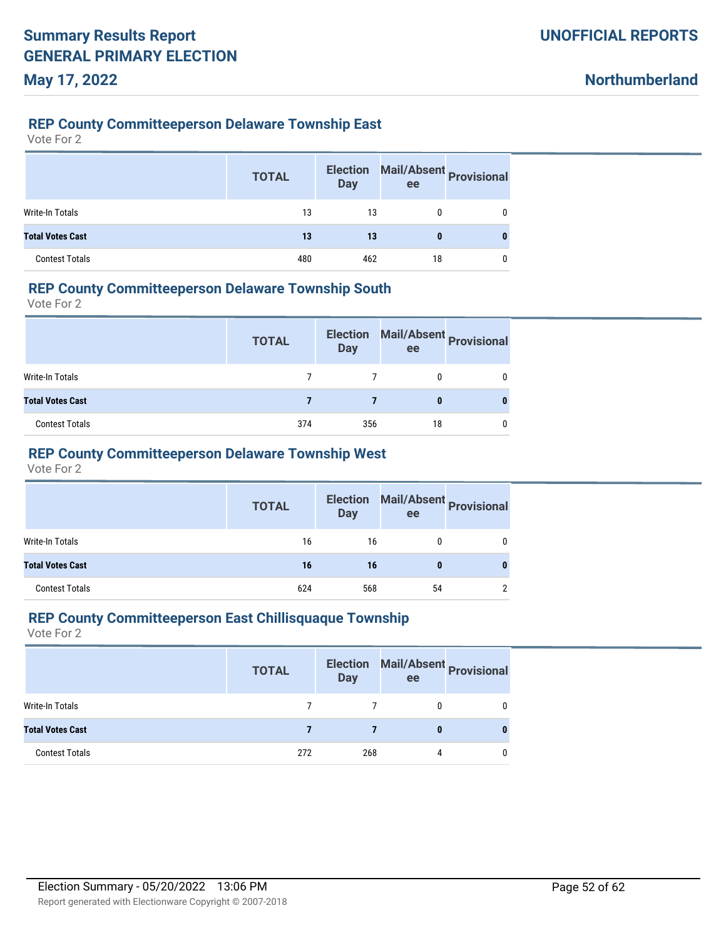#### **REP County Committeeperson Delaware Township East**

Vote For 2

|                         | <b>TOTAL</b> | <b>Election</b><br><b>Day</b> | Mail/Absent Provisional<br>ee |   |
|-------------------------|--------------|-------------------------------|-------------------------------|---|
| Write-In Totals         | 13           | 13                            | 0                             | 0 |
| <b>Total Votes Cast</b> | 13           | 13                            | 0                             |   |
| <b>Contest Totals</b>   | 480          | 462                           | 18                            | 0 |

#### **REP County Committeeperson Delaware Township South**

Vote For 2

|                         | <b>TOTAL</b> | <b>Election</b><br><b>Day</b> | ee | Mail/Absent Provisional |
|-------------------------|--------------|-------------------------------|----|-------------------------|
| Write-In Totals         |              |                               |    |                         |
| <b>Total Votes Cast</b> |              |                               |    |                         |
| <b>Contest Totals</b>   | 374          | 356                           | 18 |                         |

### **REP County Committeeperson Delaware Township West**

Vote For 2

|                         | <b>TOTAL</b> | <b>Election</b><br><b>Day</b> | Mail/Absent Provisional<br>ee |   |
|-------------------------|--------------|-------------------------------|-------------------------------|---|
| Write-In Totals         | 16           | 16                            |                               |   |
| <b>Total Votes Cast</b> | 16           | 16                            | 0                             |   |
| <b>Contest Totals</b>   | 624          | 568                           | 54                            | າ |

#### **REP County Committeeperson East Chillisquaque Township**

|                         | <b>TOTAL</b> | Day | Election Mail/Absent Provisional<br>ee |  |
|-------------------------|--------------|-----|----------------------------------------|--|
| Write-In Totals         |              |     | 0                                      |  |
| <b>Total Votes Cast</b> |              |     | 0                                      |  |
| <b>Contest Totals</b>   | 272          | 268 | 4                                      |  |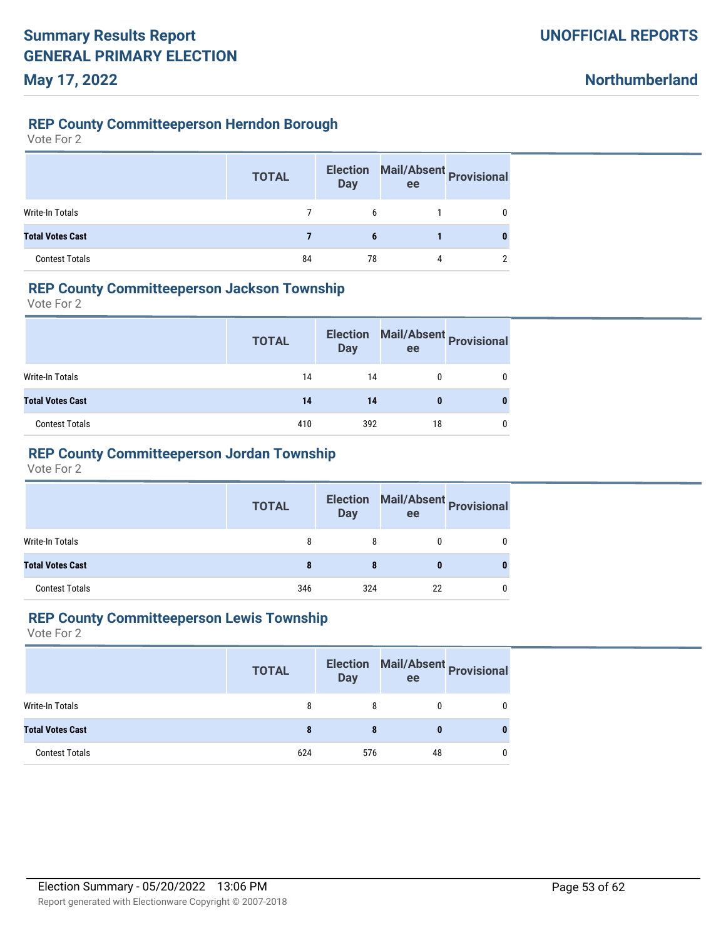**Northumberland**

#### **REP County Committeeperson Herndon Borough**

Vote For 2

|                         | <b>TOTAL</b> | <b>Election</b><br><b>Day</b> | ee | Mail/Absent Provisional |
|-------------------------|--------------|-------------------------------|----|-------------------------|
| <b>Write-In Totals</b>  |              | 6                             |    | 0                       |
| <b>Total Votes Cast</b> |              | 6                             |    |                         |
| <b>Contest Totals</b>   | 84           | 78                            | 4  | ∩                       |

#### **REP County Committeeperson Jackson Township**

Vote For 2

|                         | <b>TOTAL</b> | <b>Election</b><br><b>Day</b> | ee | Mail/Absent Provisional |
|-------------------------|--------------|-------------------------------|----|-------------------------|
| Write-In Totals         | 14           | 14                            |    |                         |
| <b>Total Votes Cast</b> | 14           | 14                            |    |                         |
| <b>Contest Totals</b>   | 410          | 392                           | 18 |                         |

### **REP County Committeeperson Jordan Township**

Vote For 2

|                         | <b>TOTAL</b> | <b>Day</b> | Election Mail/Absent Provisional<br>ee |  |
|-------------------------|--------------|------------|----------------------------------------|--|
| Write-In Totals         | 8            | 8          |                                        |  |
| <b>Total Votes Cast</b> | 8            |            |                                        |  |
| <b>Contest Totals</b>   | 346          | 324        | 22                                     |  |

#### **REP County Committeeperson Lewis Township**

|                         | <b>TOTAL</b> | Day | ee | Election Mail/Absent Provisional |
|-------------------------|--------------|-----|----|----------------------------------|
| Write-In Totals         | 8            |     |    |                                  |
| <b>Total Votes Cast</b> | 8            |     |    |                                  |
| <b>Contest Totals</b>   | 624          | 576 | 48 |                                  |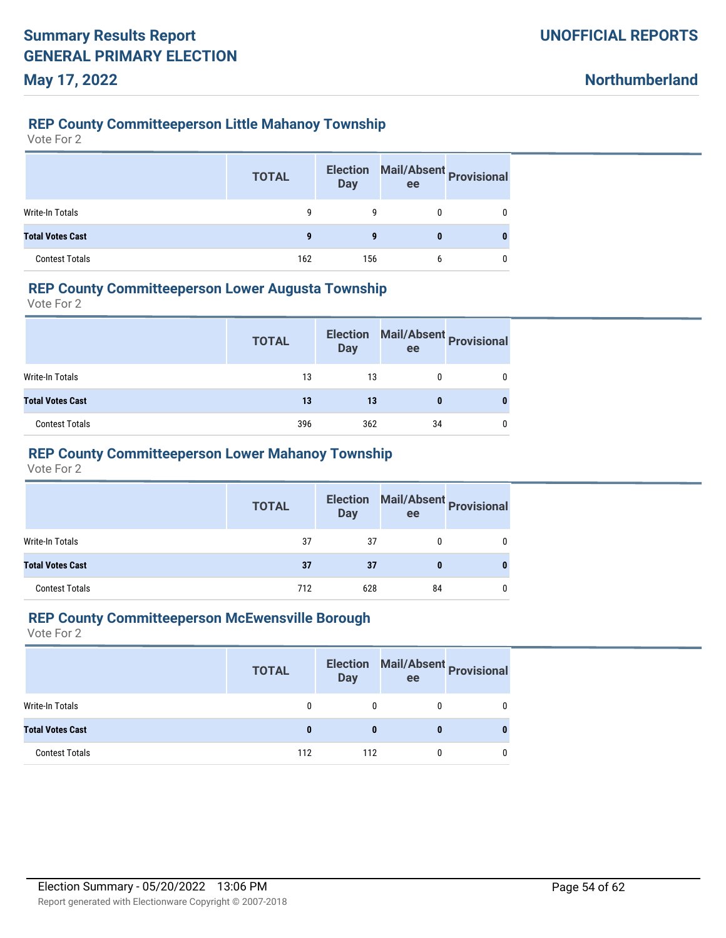#### **REP County Committeeperson Little Mahanoy Township**

Vote For 2

|                         | <b>TOTAL</b> | <b>Election</b><br><b>Day</b> | Mail/Absent Provisional<br>ee |   |
|-------------------------|--------------|-------------------------------|-------------------------------|---|
| <b>Write-In Totals</b>  | q            | q                             |                               |   |
| <b>Total Votes Cast</b> | g            | g                             | 0                             | 0 |
| <b>Contest Totals</b>   | 162          | 156                           | h                             |   |

### **REP County Committeeperson Lower Augusta Township**

Vote For 2

|                         | <b>TOTAL</b> | <b>Election</b><br>Day | ee | Mail/Absent Provisional |
|-------------------------|--------------|------------------------|----|-------------------------|
| <b>Write-In Totals</b>  | 13           | 13                     |    |                         |
| <b>Total Votes Cast</b> | 13           | 13                     |    |                         |
| <b>Contest Totals</b>   | 396          | 362                    | 34 |                         |

#### **REP County Committeeperson Lower Mahanoy Township**

Vote For 2

|                         | <b>TOTAL</b> | <b>Day</b> | Election Mail/Absent Provisional<br>ee |  |
|-------------------------|--------------|------------|----------------------------------------|--|
| Write-In Totals         | 37           | 37         | 0                                      |  |
| <b>Total Votes Cast</b> | 37           | 37         | 0                                      |  |
| <b>Contest Totals</b>   | 712          | 628        | 84                                     |  |

#### **REP County Committeeperson McEwensville Borough**

|                         | <b>TOTAL</b> | <b>Day</b> | Election Mail/Absent Provisional<br>ee |  |
|-------------------------|--------------|------------|----------------------------------------|--|
| Write-In Totals         |              |            |                                        |  |
| <b>Total Votes Cast</b> |              |            |                                        |  |
| <b>Contest Totals</b>   | 112          | 112        |                                        |  |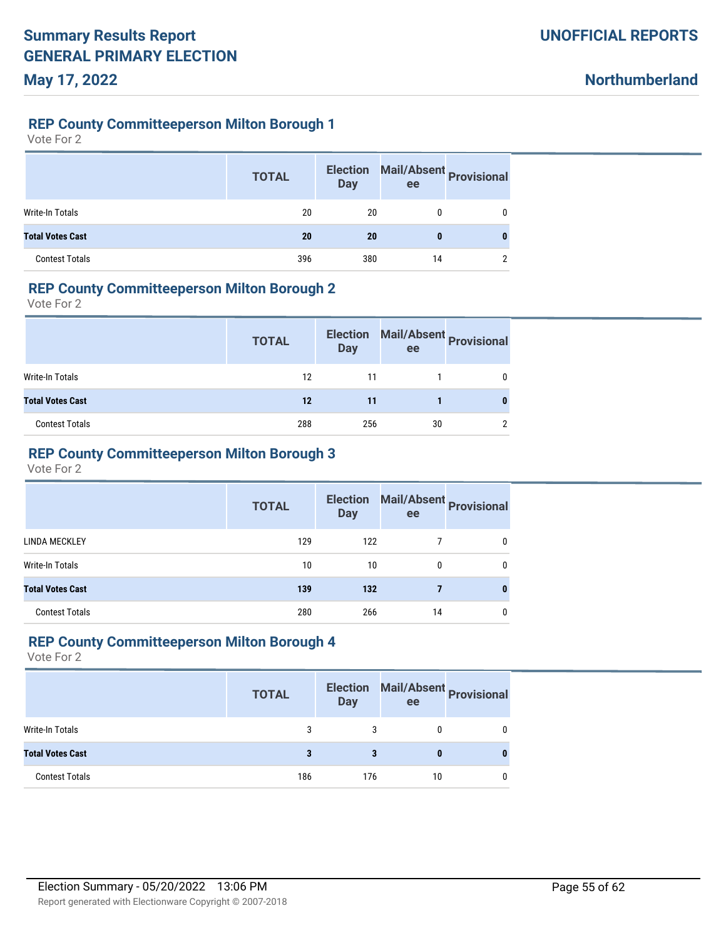**Northumberland**

#### **REP County Committeeperson Milton Borough 1**

Vote For 2

|                         | <b>TOTAL</b> | <b>Election</b><br><b>Day</b> | ee | Mail/Absent Provisional |
|-------------------------|--------------|-------------------------------|----|-------------------------|
| Write-In Totals         | 20           | 20                            |    |                         |
| <b>Total Votes Cast</b> | 20           | 20                            | 0  |                         |
| <b>Contest Totals</b>   | 396          | 380                           | 14 | ∩                       |

### **REP County Committeeperson Milton Borough 2**

Vote For 2

|                         | <b>TOTAL</b> | <b>Election</b><br><b>Day</b> | Mail/Absent Provisional<br>ee |              |
|-------------------------|--------------|-------------------------------|-------------------------------|--------------|
| <b>Write-In Totals</b>  | 12           | 11                            |                               | $\mathbf{0}$ |
| <b>Total Votes Cast</b> | 12           | 11                            |                               |              |
| <b>Contest Totals</b>   | 288          | 256                           | 30                            | 2            |

### **REP County Committeeperson Milton Borough 3**

Vote For 2

|                         | <b>TOTAL</b> | <b>Election</b><br><b>Day</b> | ee | Mail/Absent Provisional |
|-------------------------|--------------|-------------------------------|----|-------------------------|
| LINDA MECKLEY           | 129          | 122                           |    |                         |
| Write-In Totals         | 10           | 10                            | 0  |                         |
| <b>Total Votes Cast</b> | 139          | 132                           |    |                         |
| <b>Contest Totals</b>   | 280          | 266                           | 14 |                         |

#### **REP County Committeeperson Milton Borough 4**

|                         | <b>TOTAL</b> | <b>Election</b><br><b>Day</b> | ee | Mail/Absent Provisional |
|-------------------------|--------------|-------------------------------|----|-------------------------|
| Write-In Totals         | 3            |                               |    |                         |
| <b>Total Votes Cast</b> |              |                               |    |                         |
| <b>Contest Totals</b>   | 186          | 176                           | 10 |                         |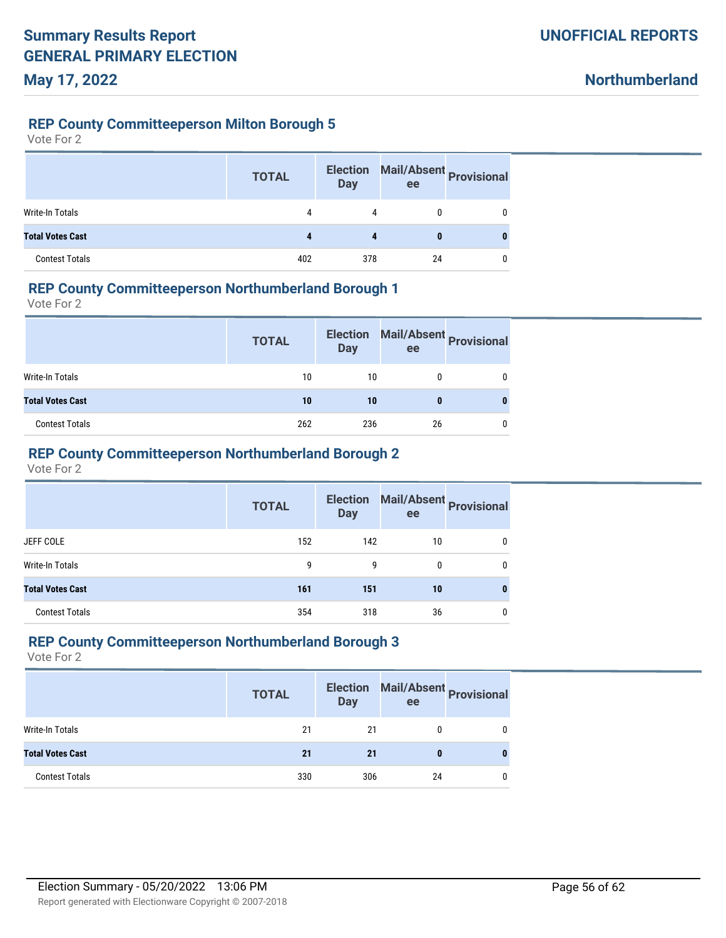**Northumberland**

#### **REP County Committeeperson Milton Borough 5**

Vote For 2

|                         | <b>TOTAL</b> | <b>Election</b><br><b>Day</b> | Mail/Absent Provisional<br>ee |   |
|-------------------------|--------------|-------------------------------|-------------------------------|---|
| <b>Write-In Totals</b>  | 4            | 4                             |                               | 0 |
| <b>Total Votes Cast</b> |              |                               | 0                             |   |
| <b>Contest Totals</b>   | 402          | 378                           | 24                            |   |

### **REP County Committeeperson Northumberland Borough 1**

Vote For 2

|                         | <b>TOTAL</b> | <b>Election</b><br><b>Day</b> | ee | Mail/Absent Provisional |
|-------------------------|--------------|-------------------------------|----|-------------------------|
| <b>Write-In Totals</b>  | 10           | 10                            |    |                         |
| <b>Total Votes Cast</b> | 10           | 10                            |    |                         |
| <b>Contest Totals</b>   | 262          | 236                           | 26 |                         |

### **REP County Committeeperson Northumberland Borough 2**

Vote For 2

|                         | <b>TOTAL</b> | <b>Day</b> | Election Mail/Absent Provisional<br>ee |   |
|-------------------------|--------------|------------|----------------------------------------|---|
| JEFF COLE               | 152          | 142        | 10                                     | 0 |
| Write-In Totals         | 9            | 9          | $\mathbf{0}$                           | 0 |
| <b>Total Votes Cast</b> | 161          | 151        | 10                                     | 0 |
| <b>Contest Totals</b>   | 354          | 318        | 36                                     | 0 |

#### **REP County Committeeperson Northumberland Borough 3**

|                         | <b>TOTAL</b> | <b>Election</b><br><b>Day</b> | ee | Mail/Absent Provisional |
|-------------------------|--------------|-------------------------------|----|-------------------------|
| Write-In Totals         | 21           | 21                            |    |                         |
| <b>Total Votes Cast</b> | 21           | 21                            |    |                         |
| <b>Contest Totals</b>   | 330          | 306                           | 24 |                         |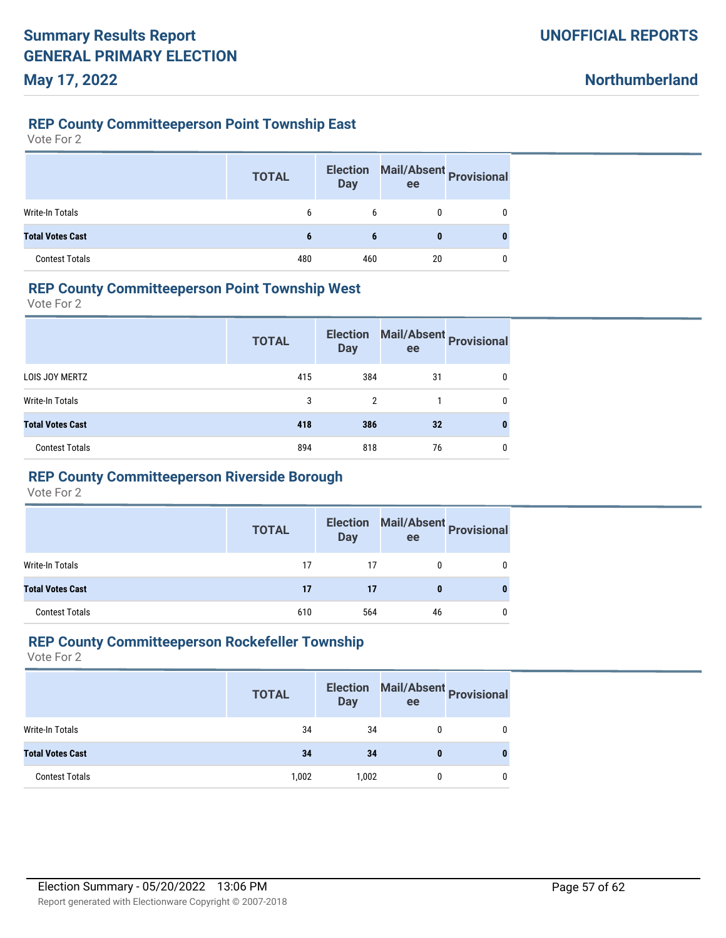**Northumberland**

#### **REP County Committeeperson Point Township East**

Vote For 2

|                         | <b>TOTAL</b> | <b>Election</b><br><b>Day</b> | Mail/Absent Provisional<br>ee |   |
|-------------------------|--------------|-------------------------------|-------------------------------|---|
| <b>Write-In Totals</b>  | 6            | 6                             |                               |   |
| <b>Total Votes Cast</b> | ъ            | 6                             | 0                             | 0 |
| <b>Contest Totals</b>   | 480          | 460                           | 20                            |   |

#### **REP County Committeeperson Point Township West**

Vote For 2

|                         | <b>TOTAL</b> | <b>Election</b><br><b>Day</b> | ee | Mail/Absent Provisional |
|-------------------------|--------------|-------------------------------|----|-------------------------|
| LOIS JOY MERTZ          | 415          | 384                           | 31 | 0                       |
| Write-In Totals         | 3            | 2                             |    | 0                       |
| <b>Total Votes Cast</b> | 418          | 386                           | 32 | 0                       |
| <b>Contest Totals</b>   | 894          | 818                           | 76 | 0                       |

# **REP County Committeeperson Riverside Borough**

Vote For 2

|                         | <b>TOTAL</b> | <b>Election</b><br><b>Day</b> | ee | Mail/Absent Provisional |
|-------------------------|--------------|-------------------------------|----|-------------------------|
| Write-In Totals         | 17           | 17                            |    |                         |
| <b>Total Votes Cast</b> | 17           | 17                            |    |                         |
| <b>Contest Totals</b>   | 610          | 564                           | 46 |                         |

#### **REP County Committeeperson Rockefeller Township**

|                         | <b>TOTAL</b> | <b>Election</b><br><b>Day</b> | ee | Mail/Absent Provisional |
|-------------------------|--------------|-------------------------------|----|-------------------------|
| <b>Write-In Totals</b>  | 34           | 34                            |    |                         |
| <b>Total Votes Cast</b> | 34           | 34                            |    |                         |
| <b>Contest Totals</b>   | 1,002        | 1,002                         |    |                         |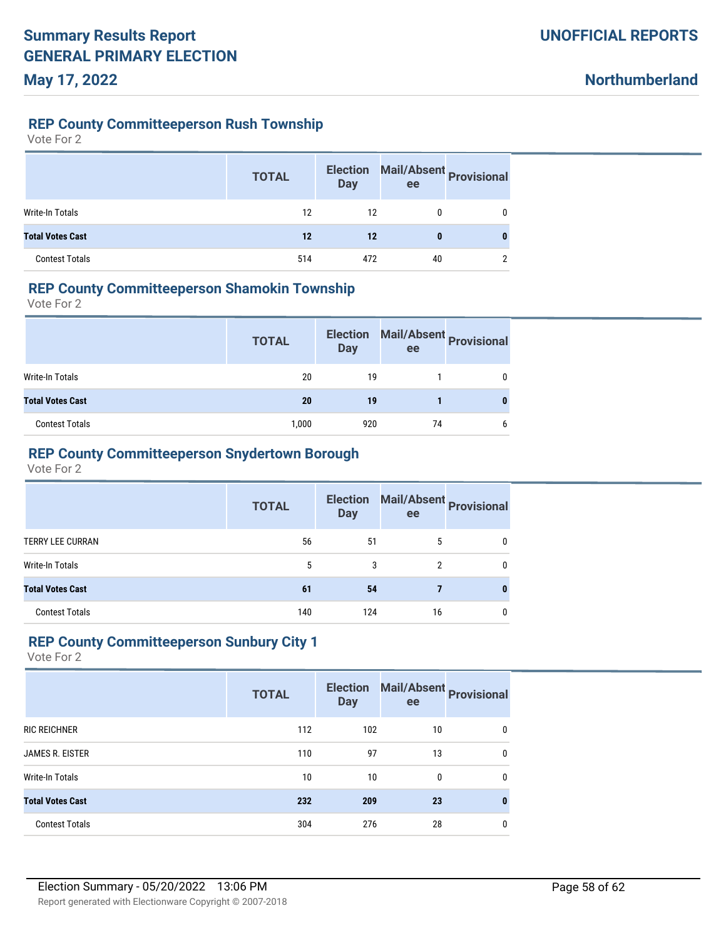**Northumberland**

#### **REP County Committeeperson Rush Township**

Vote For 2

|                         | <b>TOTAL</b> | <b>Election</b><br><b>Day</b> | Mail/Absent Provisional<br>ee |   |
|-------------------------|--------------|-------------------------------|-------------------------------|---|
| Write-In Totals         | 12           | 12                            |                               |   |
| <b>Total Votes Cast</b> | 12           | 12                            | 0                             | 0 |
| <b>Contest Totals</b>   | 514          | 472                           | 40                            | ∩ |

#### **REP County Committeeperson Shamokin Township**

Vote For 2

|                         | <b>TOTAL</b> | <b>Election</b><br><b>Day</b> | ee | Mail/Absent Provisional |
|-------------------------|--------------|-------------------------------|----|-------------------------|
| Write-In Totals         | 20           | 19                            |    |                         |
| <b>Total Votes Cast</b> | 20           | 19                            |    |                         |
| <b>Contest Totals</b>   | 1,000        | 920                           | 74 | 6                       |

#### **REP County Committeeperson Snydertown Borough**

Vote For 2

|                         | <b>TOTAL</b> | <b>Election</b><br><b>Day</b> | ee | Mail/Absent Provisional |
|-------------------------|--------------|-------------------------------|----|-------------------------|
| <b>TERRY LEE CURRAN</b> | 56           | 51                            | 5  |                         |
| Write-In Totals         | 5            | 3                             | 2  | 0                       |
| <b>Total Votes Cast</b> | 61           | 54                            |    | 0                       |
| <b>Contest Totals</b>   | 140          | 124                           | 16 |                         |

#### **REP County Committeeperson Sunbury City 1**

|                         | <b>TOTAL</b> | <b>Election</b><br><b>Day</b> | ee | Mail/Absent Provisional |
|-------------------------|--------------|-------------------------------|----|-------------------------|
| <b>RIC REICHNER</b>     | 112          | 102                           | 10 | 0                       |
| <b>JAMES R. EISTER</b>  | 110          | 97                            | 13 | 0                       |
| Write-In Totals         | 10           | 10 <sup>°</sup>               | 0  | $\mathbf{0}$            |
| <b>Total Votes Cast</b> | 232          | 209                           | 23 | 0                       |
| <b>Contest Totals</b>   | 304          | 276                           | 28 | 0                       |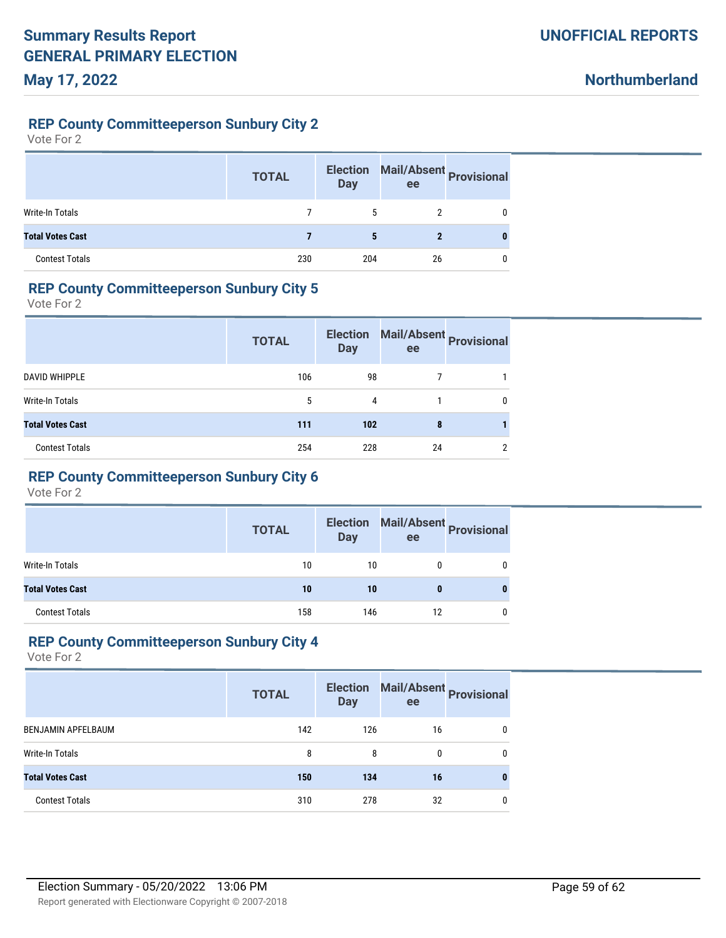**Northumberland**

### **REP County Committeeperson Sunbury City 2**

Vote For 2

|                         | <b>TOTAL</b> | <b>Election</b><br><b>Day</b> | Mail/Absent Provisional<br>ee |   |
|-------------------------|--------------|-------------------------------|-------------------------------|---|
| <b>Write-In Totals</b>  |              | 5                             |                               | 0 |
| <b>Total Votes Cast</b> |              | 5                             | 2                             | 0 |
| <b>Contest Totals</b>   | 230          | 204                           | 26                            | 0 |

### **REP County Committeeperson Sunbury City 5**

Vote For 2

|                         | <b>TOTAL</b> | <b>Election</b><br><b>Day</b> | ee | Mail/Absent Provisional |
|-------------------------|--------------|-------------------------------|----|-------------------------|
| <b>DAVID WHIPPLE</b>    | 106          | 98                            |    |                         |
| Write-In Totals         | 5            | 4                             |    | 0                       |
| <b>Total Votes Cast</b> | 111          | 102                           | 8  |                         |
| <b>Contest Totals</b>   | 254          | 228                           | 24 | 2                       |

# **REP County Committeeperson Sunbury City 6**

Vote For 2

|                         | <b>TOTAL</b> | <b>Election</b><br><b>Day</b> | ee | Mail/Absent Provisional |
|-------------------------|--------------|-------------------------------|----|-------------------------|
| Write-In Totals         | 10           | 10                            |    |                         |
| <b>Total Votes Cast</b> | 10           | 10                            |    |                         |
| <b>Contest Totals</b>   | 158          | 146                           | 12 |                         |

#### **REP County Committeeperson Sunbury City 4**

|                           | <b>TOTAL</b> | <b>Election</b><br><b>Day</b> | ee | Mail/Absent<br><b>Provisional</b> |
|---------------------------|--------------|-------------------------------|----|-----------------------------------|
| <b>BENJAMIN APFELBAUM</b> | 142          | 126                           | 16 | 0                                 |
| Write-In Totals           | 8            | 8                             | 0  | 0                                 |
| <b>Total Votes Cast</b>   | 150          | 134                           | 16 | 0                                 |
| <b>Contest Totals</b>     | 310          | 278                           | 32 | 0                                 |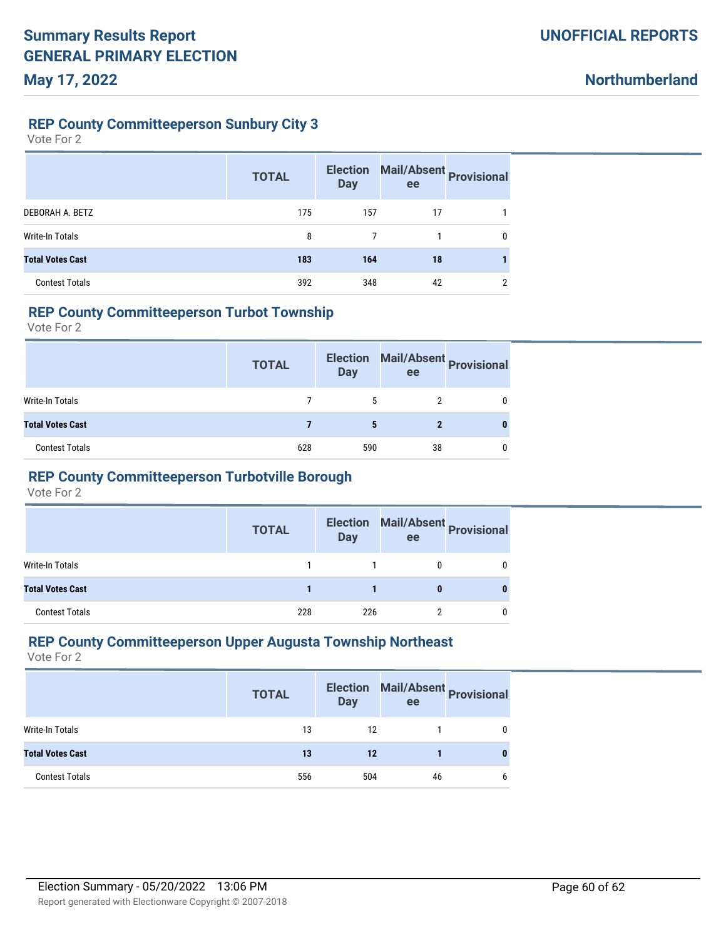### **REP County Committeeperson Sunbury City 3**

Vote For 2

|                         | <b>TOTAL</b> | <b>Election</b><br><b>Day</b> | ee | Mail/Absent Provisional |
|-------------------------|--------------|-------------------------------|----|-------------------------|
| DEBORAH A. BETZ         | 175          | 157                           | 17 |                         |
| <b>Write-In Totals</b>  | 8            |                               |    | 0                       |
| <b>Total Votes Cast</b> | 183          | 164                           | 18 |                         |
| <b>Contest Totals</b>   | 392          | 348                           | 42 | ົ                       |

#### **REP County Committeeperson Turbot Township**

Vote For 2

|                         | <b>TOTAL</b> | <b>Election</b><br><b>Day</b> | ee | Mail/Absent Provisional |
|-------------------------|--------------|-------------------------------|----|-------------------------|
| Write-In Totals         |              | 5                             |    |                         |
| <b>Total Votes Cast</b> |              |                               |    |                         |
| <b>Contest Totals</b>   | 628          | 590                           | 38 |                         |

# **REP County Committeeperson Turbotville Borough**

Vote For 2

|                         | <b>TOTAL</b> | <b>Election</b><br><b>Day</b> | ee | Mail/Absent Provisional |
|-------------------------|--------------|-------------------------------|----|-------------------------|
| Write-In Totals         |              |                               |    |                         |
| <b>Total Votes Cast</b> |              |                               |    |                         |
| <b>Contest Totals</b>   | 228          | 226                           |    |                         |

#### **REP County Committeeperson Upper Augusta Township Northeast**

|                         | <b>TOTAL</b> | <b>Election</b><br>Day | ee | Mail/Absent Provisional |
|-------------------------|--------------|------------------------|----|-------------------------|
| Write-In Totals         | 13           | 12                     |    |                         |
| <b>Total Votes Cast</b> | 13           | 12                     |    |                         |
| <b>Contest Totals</b>   | 556          | 504                    | 46 |                         |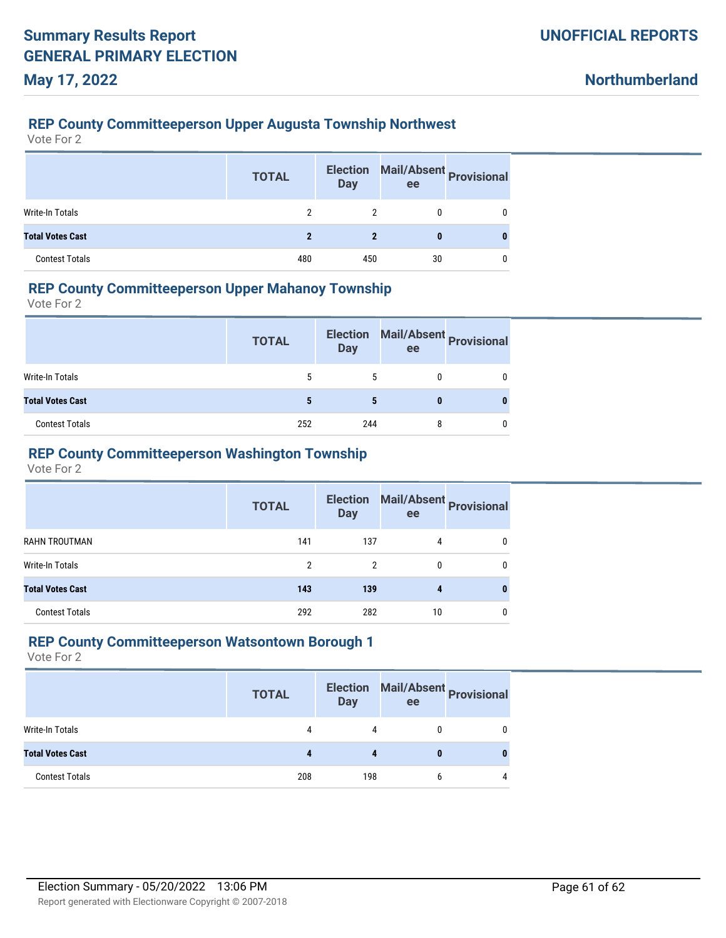### **REP County Committeeperson Upper Augusta Township Northwest**

Vote For 2

|                         | <b>TOTAL</b> | <b>Election</b><br><b>Day</b> | Mail/Absent Provisional<br>ee |   |
|-------------------------|--------------|-------------------------------|-------------------------------|---|
| Write-In Totals         |              |                               |                               |   |
| <b>Total Votes Cast</b> |              | 2                             | 0                             | 0 |
| <b>Contest Totals</b>   | 480          | 450                           | 30                            |   |

### **REP County Committeeperson Upper Mahanoy Township**

Vote For 2

|                         | <b>TOTAL</b> | <b>Election</b><br><b>Day</b> | ee | Mail/Absent Provisional |
|-------------------------|--------------|-------------------------------|----|-------------------------|
| Write-In Totals         | 5            |                               |    |                         |
| <b>Total Votes Cast</b> |              |                               |    |                         |
| <b>Contest Totals</b>   | 252          | 244                           |    |                         |

### **REP County Committeeperson Washington Township**

Vote For 2

|                         | <b>TOTAL</b> | <b>Day</b> | Election Mail/Absent Provisional<br>ee |   |
|-------------------------|--------------|------------|----------------------------------------|---|
| RAHN TROUTMAN           | 141          | 137        | 4                                      | 0 |
| Write-In Totals         | 2            | 2          | 0                                      | 0 |
| <b>Total Votes Cast</b> | 143          | 139        | 4                                      | 0 |
| <b>Contest Totals</b>   | 292          | 282        | 10                                     | 0 |

#### **REP County Committeeperson Watsontown Borough 1**

|                         | <b>TOTAL</b> | <b>Election</b><br><b>Day</b> | ee | Mail/Absent Provisional |
|-------------------------|--------------|-------------------------------|----|-------------------------|
| <b>Write-In Totals</b>  | 4            | 4                             |    |                         |
| <b>Total Votes Cast</b> |              |                               |    |                         |
| <b>Contest Totals</b>   | 208          | 198                           | h  |                         |